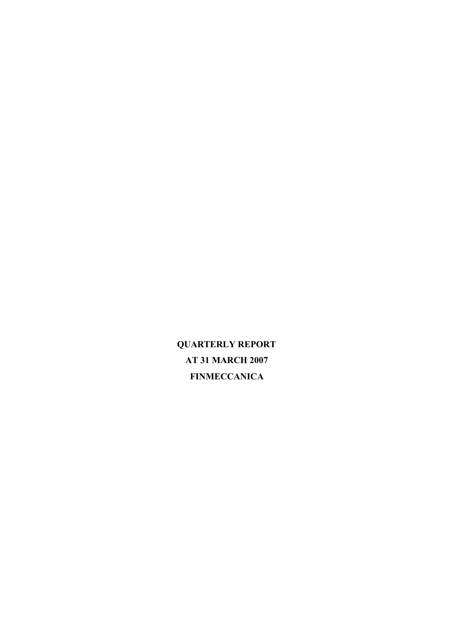**QUARTERLY REPORT AT 31 MARCH 2007 FINMECCANICA**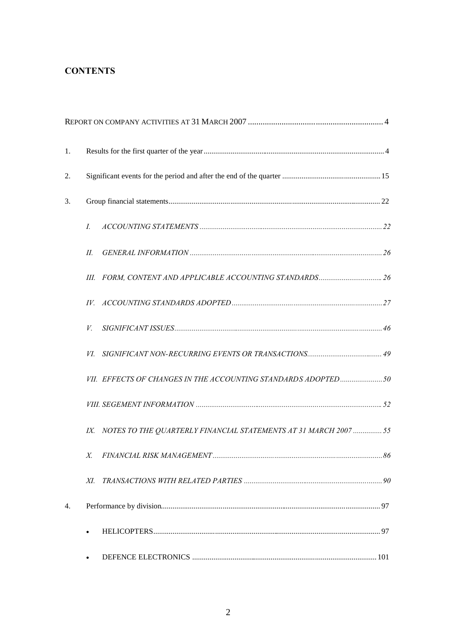## **CONTENTS**

| 1. |                                                                      |  |
|----|----------------------------------------------------------------------|--|
| 2. |                                                                      |  |
| 3. |                                                                      |  |
|    | I.                                                                   |  |
|    | П.                                                                   |  |
|    |                                                                      |  |
|    |                                                                      |  |
|    | V.                                                                   |  |
|    | VI.                                                                  |  |
|    | VII. EFFECTS OF CHANGES IN THE ACCOUNTING STANDARDS ADOPTED 50       |  |
|    |                                                                      |  |
|    | IX. NOTES TO THE QUARTERLY FINANCIAL STATEMENTS AT 31 MARCH 2007  55 |  |
|    | X.                                                                   |  |
|    | XI.                                                                  |  |
| 4. |                                                                      |  |
|    |                                                                      |  |
|    | $\bullet$                                                            |  |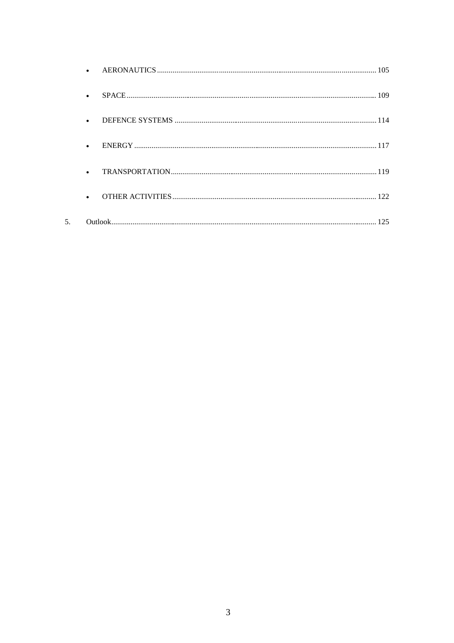| $\bullet$ |  |
|-----------|--|
| $\bullet$ |  |
|           |  |
|           |  |
|           |  |
| $\bullet$ |  |
|           |  |

5.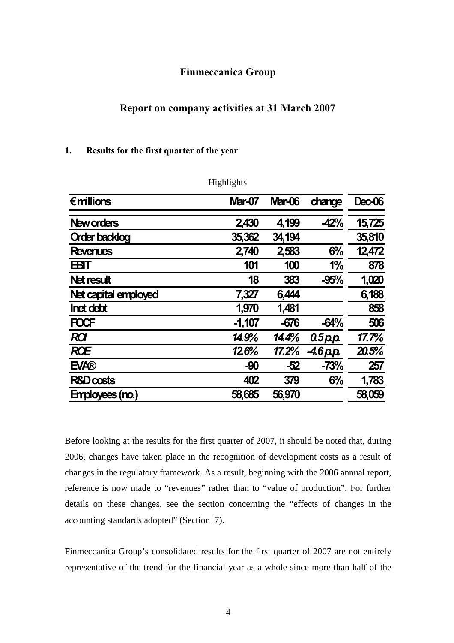### **Finmeccanica Group**

### <span id="page-3-0"></span>**Report on company activities at 31 March 2007**

#### <span id="page-3-1"></span>**1. Results for the first quarter of the year**

|                      | Highlights    |               |            |               |
|----------------------|---------------|---------------|------------|---------------|
| $\epsilon$ millions  | <b>Mar-07</b> | <b>Mar-06</b> | change     | <b>Dec-06</b> |
| <b>New orders</b>    | 2430          | 4,199         | $-42%$     | 15,725        |
| <b>Order backlog</b> | 35,362        | 34,194        |            | 35,810        |
| <b>Revenues</b>      | 2,740         | 2583          | 6%         | 12,472        |
| <b>EBIT</b>          | 101           | 100           | 1%         | 878           |
| Net result           | 18            | 383           | $-95%$     | 1,020         |
| Net capital employed | 7,327         | 6,444         |            | 6,188         |
| <b>Inet debt</b>     | 1,970         | 1,481         |            | 858           |
| <b>FOCF</b>          | $-1,107$      | $-676$        | $-64%$     | 506           |
| <b>ROI</b>           | 14.9%         | 14.4%         | $0.5p$ $p$ | 17.7%         |
| <b>ROE</b>           | 126%          | 17.2%         | $-46$ pp   | 20.5%         |
| <b>EVA®</b>          | $-90$         | $-52$         | $-73%$     | 257           |
| <b>R&amp;D costs</b> | 402           | 379           | 6%         | 1,783         |
| Employees (no.)      | 58,685        | 56,970        |            | 58,059        |

Before looking at the results for the first quarter of 2007, it should be noted that, during 2006, changes have taken place in the recognition of development costs as a result of changes in the regulatory framework. As a result, beginning with the 2006 annual report, reference is now made to "revenues" rather than to "value of production". For further details on these changes, see the section concerning the "effects of changes in the accounting standards adopted" (Section 7).

Finmeccanica Group's consolidated results for the first quarter of 2007 are not entirely representative of the trend for the financial year as a whole since more than half of the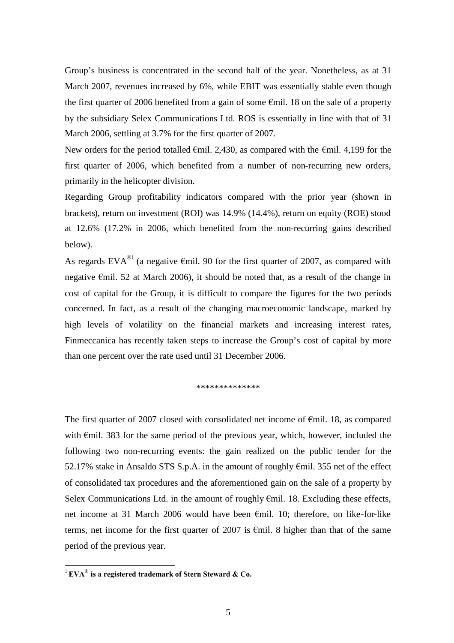Group's business is concentrated in the second half of the year. Nonetheless, as at 31 March 2007, revenues increased by 6%, while EBIT was essentially stable even though the first quarter of 2006 benefited from a gain of some  $\epsilon$ mil. 18 on the sale of a property by the subsidiary Selex Communications Ltd. ROS is essentially in line with that of 31 March 2006, settling at 3.7% for the first quarter of 2007.

New orders for the period totalled  $\epsilon$ mil. 2,430, as compared with the  $\epsilon$ mil. 4,199 for the first quarter of 2006, which benefited from a number of non-recurring new orders, primarily in the helicopter division.

Regarding Group profitability indicators compared with the prior year (shown in brackets), return on investment (ROI) was 14.9% (14.4%), return on equity (ROE) stood at 12.6% (17.2% in 2006, which benefited from the non-recurring gains described below).

As regards EVA<sup>®[1](#page-4-0)</sup> (a negative  $\epsilon$ mil. 90 for the first quarter of 2007, as compared with negative €mil. 52 at March 2006), it should be noted that, as a result of the change in cost of capital for the Group, it is difficult to compare the figures for the two periods concerned. In fact, as a result of the changing macroeconomic landscape, marked by high levels of volatility on the financial markets and increasing interest rates, Finmeccanica has recently taken steps to increase the Group's cost of capital by more than one percent over the rate used until 31 December 2006.

\*\*\*\*\*\*\*\*\*\*\*\*\*\*

The first quarter of 2007 closed with consolidated net income of €mil. 18, as compared with  $\epsilon$ mil. 383 for the same period of the previous year, which, however, included the following two non-recurring events: the gain realized on the public tender for the 52.17% stake in Ansaldo STS S.p.A. in the amount of roughly €mil. 355 net of the effect of consolidated tax procedures and the aforementioned gain on the sale of a property by Selex Communications Ltd. in the amount of roughly  $\epsilon$ mil. 18. Excluding these effects, net income at 31 March 2006 would have been €mil. 10; therefore, on like-for-like terms, net income for the first quarter of 2007 is  $\epsilon$ mil. 8 higher than that of the same period of the previous year.

<span id="page-4-0"></span><sup>1</sup> **EVA® is a registered trademark of Stern Steward & Co.**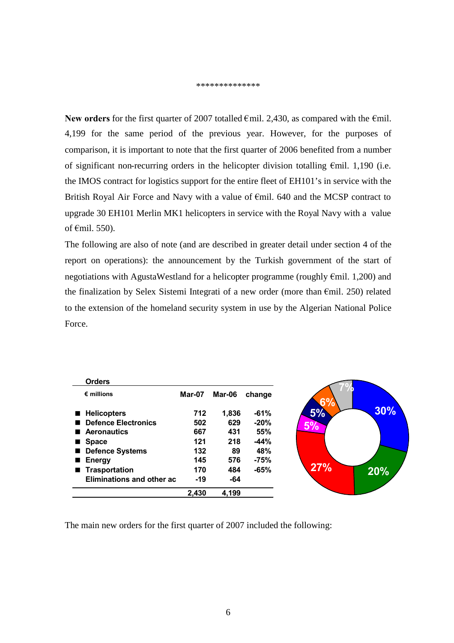#### \*\*\*\*\*\*\*\*\*\*\*\*\*\*

New orders for the first quarter of 2007 totalled €mil. 2,430, as compared with the €mil. 4,199 for the same period of the previous year. However, for the purposes of comparison, it is important to note that the first quarter of 2006 benefited from a number of significant non-recurring orders in the helicopter division totalling €mil. 1,190 (i.e. the IMOS contract for logistics support for the entire fleet of EH101's in service with the British Royal Air Force and Navy with a value of €mil. 640 and the MCSP contract to upgrade 30 EH101 Merlin MK1 helicopters in service with the Royal Navy with a value of €mil. 550).

The following are also of note (and are described in greater detail under section 4 of the report on operations): the announcement by the Turkish government of the start of negotiations with AgustaWestland for a helicopter programme (roughly €mil. 1,200) and the finalization by Selex Sistemi Integrati of a new order (more than €mil. 250) related to the extension of the homeland security system in use by the Algerian National Police Force.

| <b>Orders</b>                        |        |        |        |     |     |
|--------------------------------------|--------|--------|--------|-----|-----|
| $\epsilon$ millions                  | Mar-07 | Mar-06 | change | C0  |     |
| <b>Helicopters</b><br>$\blacksquare$ | 712    | 1,836  | $-61%$ | 5%  | 30% |
| <b>Defence Electronics</b><br>. .    | 502    | 629    | $-20%$ | 5%  |     |
| ■ Aeronautics                        | 667    | 431    | 55%    |     |     |
| <b>Space</b><br>$\blacksquare$       | 121    | 218    | $-44%$ |     |     |
| Defence Systems                      | 132    | 89     | 48%    |     |     |
| <b>Energy</b><br>$\blacksquare$      | 145    | 576    | $-75%$ |     |     |
| ■ Trasportation                      | 170    | 484    | $-65%$ | 27% | 20% |
| Eliminations and other ac            | $-19$  | -64    |        |     |     |
|                                      | 2,430  | 4,199  |        |     |     |

The main new orders for the first quarter of 2007 included the following: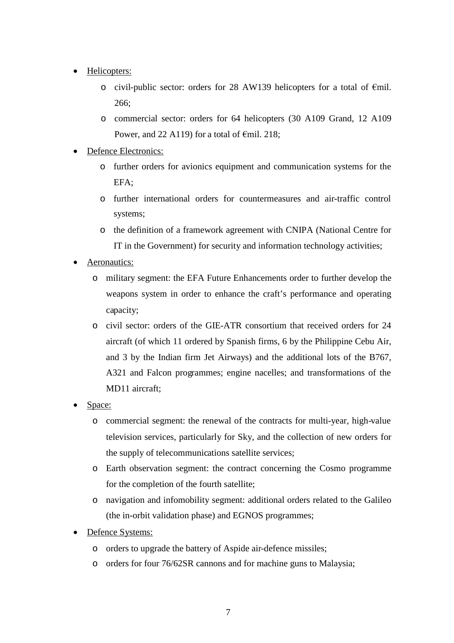- Helicopters:
	- o civil-public sector: orders for 28 AW139 helicopters for a total of €mil. 266;
	- o commercial sector: orders for 64 helicopters (30 A109 Grand, 12 A109 Power, and 22 A119) for a total of  $\epsilon$ mil. 218;
- Defence Electronics:
	- o further orders for avionics equipment and communication systems for the EFA;
	- o further international orders for countermeasures and air-traffic control systems;
	- o the definition of a framework agreement with CNIPA (National Centre for IT in the Government) for security and information technology activities;
- Aeronautics:
	- o military segment: the EFA Future Enhancements order to further develop the weapons system in order to enhance the craft's performance and operating capacity;
	- o civil sector: orders of the GIE-ATR consortium that received orders for 24 aircraft (of which 11 ordered by Spanish firms, 6 by the Philippine Cebu Air, and 3 by the Indian firm Jet Airways) and the additional lots of the B767, A321 and Falcon programmes; engine nacelles; and transformations of the MD11 aircraft;
- Space:
	- o commercial segment: the renewal of the contracts for multi-year, high-value television services, particularly for Sky, and the collection of new orders for the supply of telecommunications satellite services;
	- o Earth observation segment: the contract concerning the Cosmo programme for the completion of the fourth satellite;
	- o navigation and infomobility segment: additional orders related to the Galileo (the in-orbit validation phase) and EGNOS programmes;
- Defence Systems:
	- o orders to upgrade the battery of Aspide air-defence missiles;
	- o orders for four 76/62SR cannons and for machine guns to Malaysia;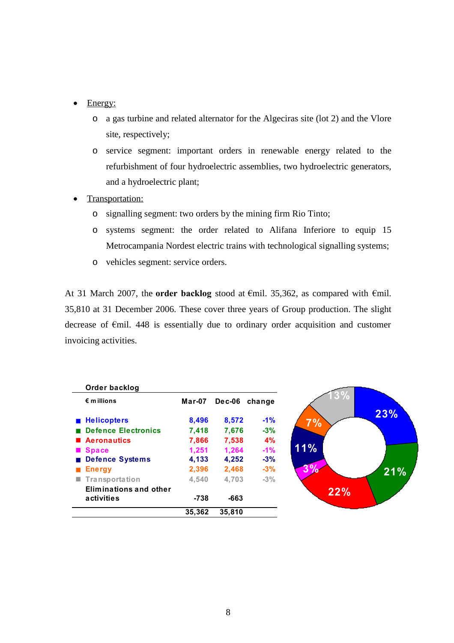- Energy:
	- o a gas turbine and related alternator for the Algeciras site (lot 2) and the Vlore site, respectively;
	- o service segment: important orders in renewable energy related to the refurbishment of four hydroelectric assemblies, two hydroelectric generators, and a hydroelectric plant;
- Transportation:
	- o signalling segment: two orders by the mining firm Rio Tinto;
	- o systems segment: the order related to Alifana Inferiore to equip 15 Metrocampania Nordest electric trains with technological signalling systems;
	- o vehicles segment: service orders.

At 31 March 2007, the **order backlog** stood at €mil. 35,362, as compared with €mil. 35,810 at 31 December 2006. These cover three years of Group production. The slight decrease of €mil. 448 is essentially due to ordinary order acquisition and customer invoicing activities.

| Order backlog                 |        |        |        |
|-------------------------------|--------|--------|--------|
| $\epsilon$ m illions          | Mar-07 | Dec-06 | change |
| <b>Helicopters</b>            | 8,496  | 8,572  | $-1\%$ |
| <b>Defence Electronics</b>    | 7,418  | 7,676  | $-3%$  |
| ■ Aeronautics                 | 7,866  | 7,538  | 4%     |
| <b>Space</b>                  | 1,251  | 1,264  | $-1%$  |
| <b>Defence Systems</b>        | 4,133  | 4,252  | $-3%$  |
| <b>Energy</b>                 | 2,396  | 2,468  | $-3%$  |
| ■ Transportation              | 4,540  | 4,703  | $-3%$  |
| <b>Eliminations and other</b> |        |        |        |
| activities                    | -738   | -663   |        |
|                               | 35,362 | 35.810 |        |

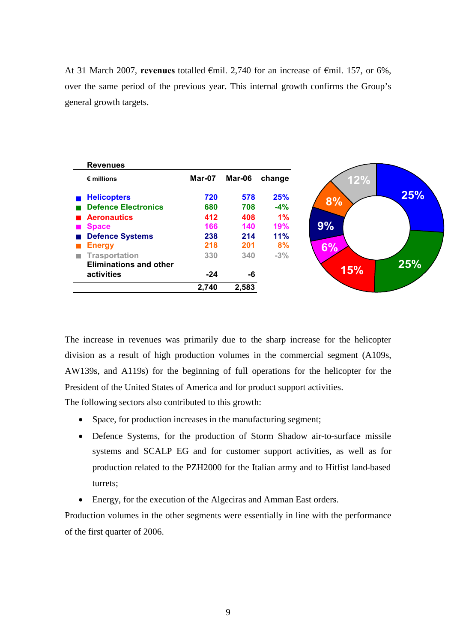At 31 March 2007, **revenues** totalled €mil. 2,740 for an increase of €mil. 157, or 6%, over the same period of the previous year. This internal growth confirms the Group's general growth targets.



The increase in revenues was primarily due to the sharp increase for the helicopter division as a result of high production volumes in the commercial segment (A109s, AW139s, and A119s) for the beginning of full operations for the helicopter for the President of the United States of America and for product support activities.

The following sectors also contributed to this growth:

- Space, for production increases in the manufacturing segment;
- Defence Systems, for the production of Storm Shadow air-to-surface missile systems and SCALP EG and for customer support activities, as well as for production related to the PZH2000 for the Italian army and to Hitfist land-based turrets;
- Energy, for the execution of the Algeciras and Amman East orders.

Production volumes in the other segments were essentially in line with the performance of the first quarter of 2006.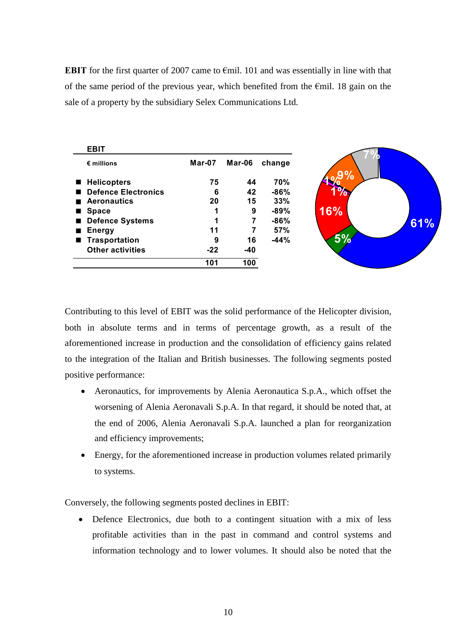**EBIT** for the first quarter of 2007 came to €mil. 101 and was essentially in line with that of the same period of the previous year, which benefited from the  $\epsilon$ mil. 18 gain on the sale of a property by the subsidiary Selex Communications Ltd.

|                | <b>EBIT</b>             |        |        |        |
|----------------|-------------------------|--------|--------|--------|
|                | $\epsilon$ millions     | Mar-07 | Mar-06 | change |
|                | ■ Helicopters           | 75     | 44     | 70%    |
|                | Defence Electronics     | 6      | 42     | $-86%$ |
|                | <b>Aeronautics</b>      | 20     | 15     | 33%    |
| $\blacksquare$ | <b>Space</b>            |        | 9      | $-89%$ |
|                | Defence Systems         |        | 7      | $-86%$ |
| $\blacksquare$ | <b>Energy</b>           | 11     |        | 57%    |
|                | ■ Trasportation         | 9      | 16     | $-44%$ |
|                | <b>Other activities</b> | $-22$  | $-40$  |        |
|                |                         | 101    | 100    |        |

Contributing to this level of EBIT was the solid performance of the Helicopter division, both in absolute terms and in terms of percentage growth, as a result of the aforementioned increase in production and the consolidation of efficiency gains related to the integration of the Italian and British businesses. The following segments posted positive performance:

- Aeronautics, for improvements by Alenia Aeronautica S.p.A., which offset the worsening of Alenia Aeronavali S.p.A. In that regard, it should be noted that, at the end of 2006, Alenia Aeronavali S.p.A. launched a plan for reorganization and efficiency improvements;
- Energy, for the aforementioned increase in production volumes related primarily to systems.

Conversely, the following segments posted declines in EBIT:

• Defence Electronics, due both to a contingent situation with a mix of less profitable activities than in the past in command and control systems and information technology and to lower volumes. It should also be noted that the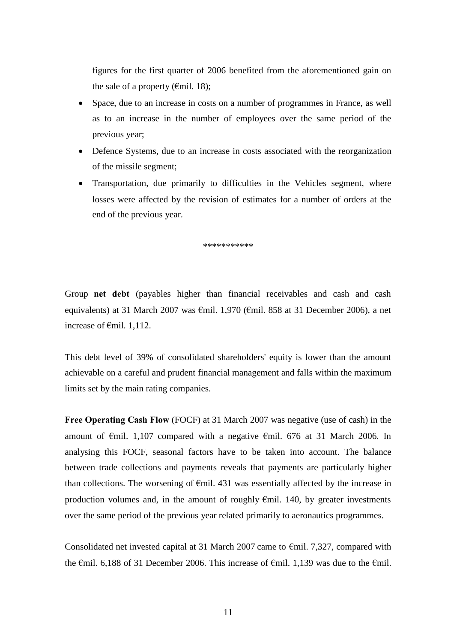figures for the first quarter of 2006 benefited from the aforementioned gain on the sale of a property ( $\epsilon$ mil. 18);

- Space, due to an increase in costs on a number of programmes in France, as well as to an increase in the number of employees over the same period of the previous year;
- Defence Systems, due to an increase in costs associated with the reorganization of the missile segment;
- Transportation, due primarily to difficulties in the Vehicles segment, where losses were affected by the revision of estimates for a number of orders at the end of the previous year.

\*\*\*\*\*\*\*\*\*\*\*

Group **net debt** (payables higher than financial receivables and cash and cash equivalents) at 31 March 2007 was €mil. 1,970 (€mil. 858 at 31 December 2006), a net increase of €mil. 1,112.

This debt level of 39% of consolidated shareholders' equity is lower than the amount achievable on a careful and prudent financial management and falls within the maximum limits set by the main rating companies.

**Free Operating Cash Flow** (FOCF) at 31 March 2007 was negative (use of cash) in the amount of €mil. 1,107 compared with a negative €mil. 676 at 31 March 2006. In analysing this FOCF, seasonal factors have to be taken into account. The balance between trade collections and payments reveals that payments are particularly higher than collections. The worsening of  $\epsilon$ mil. 431 was essentially affected by the increase in production volumes and, in the amount of roughly  $\epsilon$ mil. 140, by greater investments over the same period of the previous year related primarily to aeronautics programmes.

Consolidated net invested capital at 31 March 2007 came to  $\epsilon$ mil. 7,327, compared with the  $\epsilon$ mil. 6,188 of 31 December 2006. This increase of  $\epsilon$ mil. 1,139 was due to the  $\epsilon$ mil.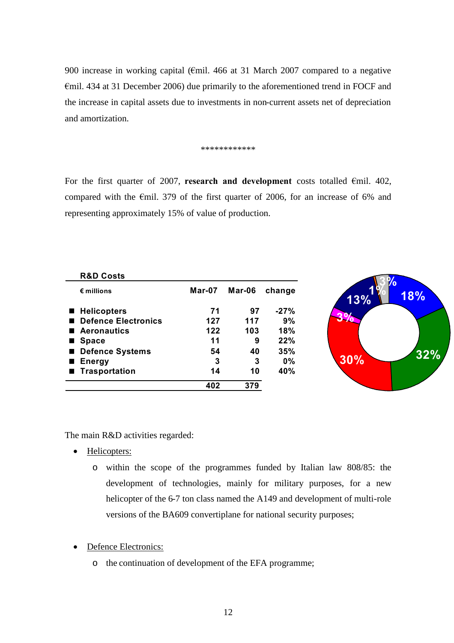900 increase in working capital (€mil. 466 at 31 March 2007 compared to a negative €mil. 434 at 31 December 2006) due primarily to the aforementioned trend in FOCF and the increase in capital assets due to investments in non-current assets net of depreciation and amortization.

#### \*\*\*\*\*\*\*\*\*\*\*\*

For the first quarter of 2007, **research and development** costs totalled  $\epsilon$ mil. 402, compared with the  $\epsilon$ mil. 379 of the first quarter of 2006, for an increase of 6% and representing approximately 15% of value of production.

| <b>R&amp;D Costs</b>       |                      |     |        |
|----------------------------|----------------------|-----|--------|
| $\epsilon$ millions        | <b>Mar-07 Mar-06</b> |     | change |
| ■ Helicopters              | 71                   | 97  | $-27%$ |
| <b>Defence Electronics</b> | 127                  | 117 | 9%     |
| <b>Aeronautics</b>         | 122                  | 103 | 18%    |
| <b>Space</b>               | 11                   | 9   | 22%    |
| <b>Defence Systems</b>     | 54                   | 40  | 35%    |
| <b>Energy</b>              | 3                    | 3   | $0\%$  |
| ■ Trasportation            | 14                   | 10  | 40%    |
|                            | 402                  | 379 |        |



The main R&D activities regarded:

- Helicopters:
	- o within the scope of the programmes funded by Italian law 808/85: the development of technologies, mainly for military purposes, for a new helicopter of the 6-7 ton class named the A149 and development of multi-role versions of the BA609 convertiplane for national security purposes;

• Defence Electronics:

o the continuation of development of the EFA programme;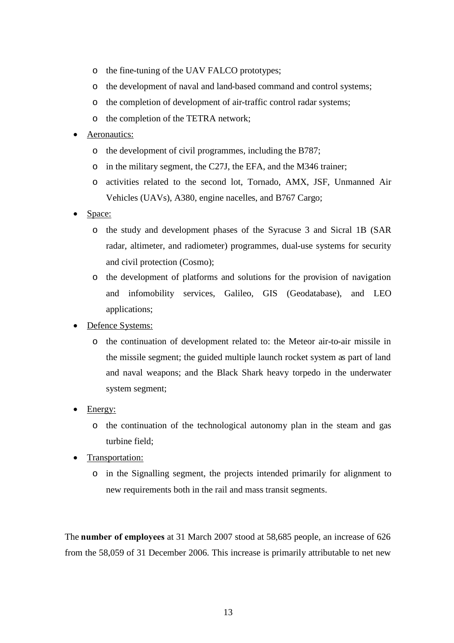- o the fine-tuning of the UAV FALCO prototypes;
- o the development of naval and land-based command and control systems;
- o the completion of development of air-traffic control radar systems;
- o the completion of the TETRA network;

#### Aeronautics:

- o the development of civil programmes, including the B787;
- o in the military segment, the C27J, the EFA, and the M346 trainer;
- o activities related to the second lot, Tornado, AMX, JSF, Unmanned Air Vehicles (UAVs), A380, engine nacelles, and B767 Cargo;
- Space:
	- o the study and development phases of the Syracuse 3 and Sicral 1B (SAR radar, altimeter, and radiometer) programmes, dual-use systems for security and civil protection (Cosmo);
	- o the development of platforms and solutions for the provision of navigation and infomobility services, Galileo, GIS (Geodatabase), and LEO applications;
- Defence Systems:
	- o the continuation of development related to: the Meteor air-to-air missile in the missile segment; the guided multiple launch rocket system as part of land and naval weapons; and the Black Shark heavy torpedo in the underwater system segment;
- Energy:
	- o the continuation of the technological autonomy plan in the steam and gas turbine field;
- Transportation:
	- o in the Signalling segment, the projects intended primarily for alignment to new requirements both in the rail and mass transit segments.

The **number of employees** at 31 March 2007 stood at 58,685 people, an increase of 626 from the 58,059 of 31 December 2006. This increase is primarily attributable to net new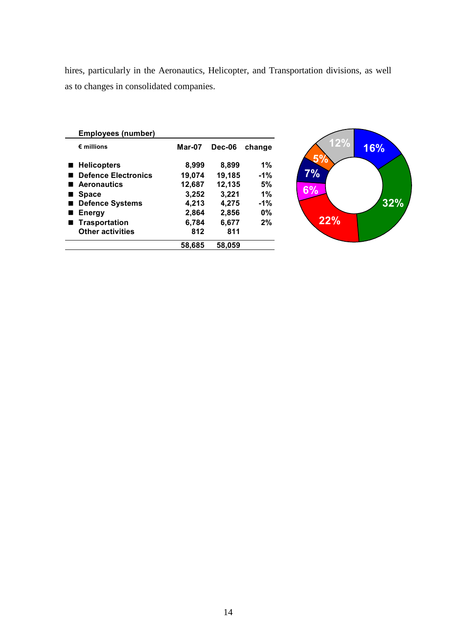hires, particularly in the Aeronautics, Helicopter, and Transportation divisions, as well as to changes in consolidated companies.

| <b>Employees (number)</b>  |          |               |        |
|----------------------------|----------|---------------|--------|
| $\epsilon$ millions        | $Mar-07$ | <b>Dec-06</b> | change |
| ■ Helicopters              | 8,999    | 8,899         | 1%     |
| <b>Defence Electronics</b> | 19,074   | 19,185        | $-1%$  |
| <b>Aeronautics</b>         | 12,687   | 12,135        | 5%     |
| <b>Space</b>               | 3,252    | 3,221         | 1%     |
| <b>Defence Systems</b>     | 4,213    | 4,275         | $-1%$  |
| <b>Energy</b>              | 2,864    | 2,856         | 0%     |
| Trasportation              | 6,784    | 6,677         | 2%     |
| <b>Other activities</b>    | 812      | 811           |        |
|                            | 58.685   | 58,059        |        |

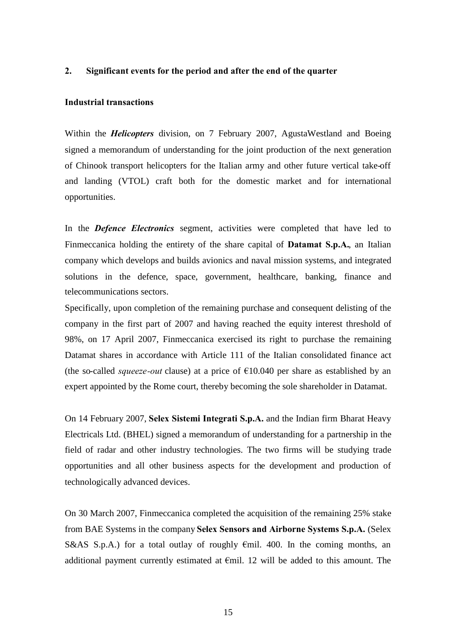#### <span id="page-14-0"></span>**2. Significant events for the period and after the end of the quarter**

#### **Industrial transactions**

Within the *Helicopters* division, on 7 February 2007, AgustaWestland and Boeing signed a memorandum of understanding for the joint production of the next generation of Chinook transport helicopters for the Italian army and other future vertical take-off and landing (VTOL) craft both for the domestic market and for international opportunities.

In the *Defence Electronics* segment, activities were completed that have led to Finmeccanica holding the entirety of the share capital of **Datamat S.p.A.**, an Italian company which develops and builds avionics and naval mission systems, and integrated solutions in the defence, space, government, healthcare, banking, finance and telecommunications sectors.

Specifically, upon completion of the remaining purchase and consequent delisting of the company in the first part of 2007 and having reached the equity interest threshold of 98%, on 17 April 2007, Finmeccanica exercised its right to purchase the remaining Datamat shares in accordance with Article 111 of the Italian consolidated finance act (the so-called *squeeze-out* clause) at a price of €10.040 per share as established by an expert appointed by the Rome court, thereby becoming the sole shareholder in Datamat.

On 14 February 2007, **Selex Sistemi Integrati S.p.A.** and the Indian firm Bharat Heavy Electricals Ltd. (BHEL) signed a memorandum of understanding for a partnership in the field of radar and other industry technologies. The two firms will be studying trade opportunities and all other business aspects for the development and production of technologically advanced devices.

On 30 March 2007, Finmeccanica completed the acquisition of the remaining 25% stake from BAE Systems in the company **Selex Sensors and Airborne Systems S.p.A.** (Selex S&AS S.p.A.) for a total outlay of roughly  $\epsilon$ mil. 400. In the coming months, an additional payment currently estimated at  $\epsilon$ mil. 12 will be added to this amount. The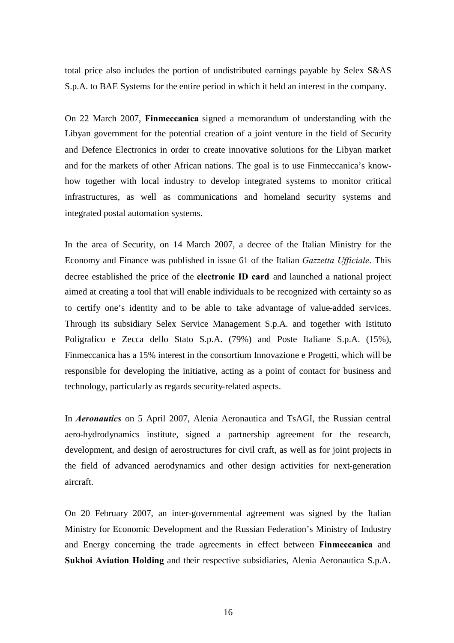total price also includes the portion of undistributed earnings payable by Selex S&AS S.p.A. to BAE Systems for the entire period in which it held an interest in the company.

On 22 March 2007, **Finmeccanica** signed a memorandum of understanding with the Libyan government for the potential creation of a joint venture in the field of Security and Defence Electronics in order to create innovative solutions for the Libyan market and for the markets of other African nations. The goal is to use Finmeccanica's knowhow together with local industry to develop integrated systems to monitor critical infrastructures, as well as communications and homeland security systems and integrated postal automation systems.

In the area of Security, on 14 March 2007, a decree of the Italian Ministry for the Economy and Finance was published in issue 61 of the Italian *Gazzetta Ufficiale*. This decree established the price of the **electronic ID card** and launched a national project aimed at creating a tool that will enable individuals to be recognized with certainty so as to certify one's identity and to be able to take advantage of value-added services. Through its subsidiary Selex Service Management S.p.A. and together with Istituto Poligrafico e Zecca dello Stato S.p.A. (79%) and Poste Italiane S.p.A. (15%), Finmeccanica has a 15% interest in the consortium Innovazione e Progetti, which will be responsible for developing the initiative, acting as a point of contact for business and technology, particularly as regards security-related aspects.

In *Aeronautics* on 5 April 2007, Alenia Aeronautica and TsAGI, the Russian central aero-hydrodynamics institute, signed a partnership agreement for the research, development, and design of aerostructures for civil craft, as well as for joint projects in the field of advanced aerodynamics and other design activities for next-generation aircraft.

On 20 February 2007, an inter-governmental agreement was signed by the Italian Ministry for Economic Development and the Russian Federation's Ministry of Industry and Energy concerning the trade agreements in effect between **Finmeccanica** and **Sukhoi Aviation Holding** and their respective subsidiaries, Alenia Aeronautica S.p.A.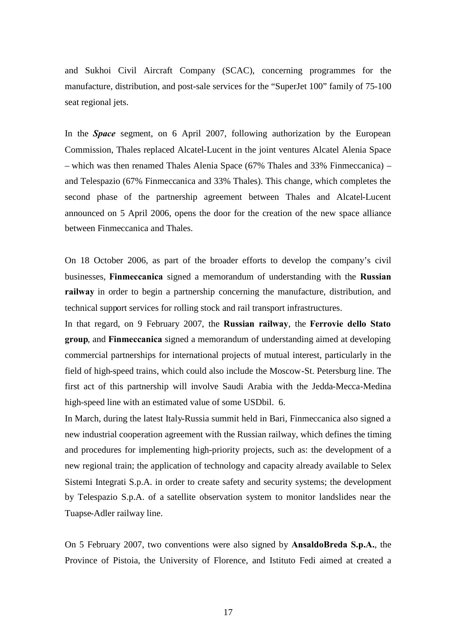and Sukhoi Civil Aircraft Company (SCAC), concerning programmes for the manufacture, distribution, and post-sale services for the "SuperJet 100" family of 75-100 seat regional jets.

In the *Space* segment, on 6 April 2007, following authorization by the European Commission, Thales replaced Alcatel-Lucent in the joint ventures Alcatel Alenia Space – which was then renamed Thales Alenia Space (67% Thales and 33% Finmeccanica) – and Telespazio (67% Finmeccanica and 33% Thales). This change, which completes the second phase of the partnership agreement between Thales and Alcatel-Lucent announced on 5 April 2006, opens the door for the creation of the new space alliance between Finmeccanica and Thales.

On 18 October 2006, as part of the broader efforts to develop the company's civil businesses, **Finmeccanica** signed a memorandum of understanding with the **Russian railway** in order to begin a partnership concerning the manufacture, distribution, and technical support services for rolling stock and rail transport infrastructures.

In that regard, on 9 February 2007, the **Russian railway**, the **Ferrovie dello Stato group**, and **Finmeccanica** signed a memorandum of understanding aimed at developing commercial partnerships for international projects of mutual interest, particularly in the field of high-speed trains, which could also include the Moscow-St. Petersburg line. The first act of this partnership will involve Saudi Arabia with the Jedda-Mecca-Medina high-speed line with an estimated value of some USD bil. 6.

In March, during the latest Italy-Russia summit held in Bari, Finmeccanica also signed a new industrial cooperation agreement with the Russian railway, which defines the timing and procedures for implementing high-priority projects, such as: the development of a new regional train; the application of technology and capacity already available to Selex Sistemi Integrati S.p.A. in order to create safety and security systems; the development by Telespazio S.p.A. of a satellite observation system to monitor landslides near the Tuapse-Adler railway line.

On 5 February 2007, two conventions were also signed by **AnsaldoBreda S.p.A.**, the Province of Pistoia, the University of Florence, and Istituto Fedi aimed at created a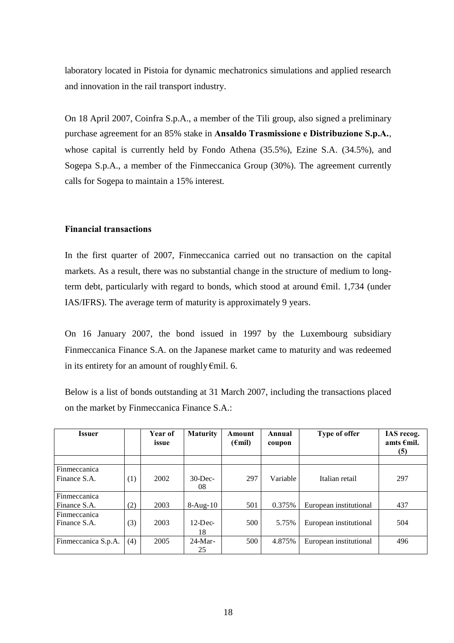laboratory located in Pistoia for dynamic mechatronics simulations and applied research and innovation in the rail transport industry.

On 18 April 2007, Coinfra S.p.A., a member of the Tili group, also signed a preliminary purchase agreement for an 85% stake in **Ansaldo Trasmissione e Distribuzione S.p.A.**, whose capital is currently held by Fondo Athena (35.5%), Ezine S.A. (34.5%), and Sogepa S.p.A., a member of the Finmeccanica Group (30%). The agreement currently calls for Sogepa to maintain a 15% interest.

#### **Financial transactions**

In the first quarter of 2007, Finmeccanica carried out no transaction on the capital markets. As a result, there was no substantial change in the structure of medium to longterm debt, particularly with regard to bonds, which stood at around €mil. 1,734 (under IAS/IFRS). The average term of maturity is approximately 9 years.

On 16 January 2007, the bond issued in 1997 by the Luxembourg subsidiary Finmeccanica Finance S.A. on the Japanese market came to maturity and was redeemed in its entirety for an amount of roughly€mil. 6.

Below is a list of bonds outstanding at 31 March 2007, including the transactions placed on the market by Finmeccanica Finance S.A.:

| <b>Issuer</b>       |     | Year of<br>issue | <b>Maturity</b>  | Amount<br>$(\epsilon$ mil) | Annual<br>coupon | Type of offer          | IAS recog.<br>amts $\epsilon$ mil.<br>(5) |
|---------------------|-----|------------------|------------------|----------------------------|------------------|------------------------|-------------------------------------------|
|                     |     |                  |                  |                            |                  |                        |                                           |
| Finmeccanica        |     |                  |                  |                            |                  |                        |                                           |
| Finance S.A.        | (1) | 2002             | $30$ -Dec-<br>08 | 297                        | Variable         | Italian retail         | 297                                       |
| Finmeccanica        |     |                  |                  |                            |                  |                        |                                           |
| Finance S.A.        | (2) | 2003             | $8-Aug-10$       | 501                        | 0.375%           | European institutional | 437                                       |
| Finmeccanica        |     |                  |                  |                            |                  |                        |                                           |
| Finance S.A.        | (3) | 2003             | $12$ -Dec-       | 500                        | 5.75%            | European institutional | 504                                       |
|                     |     |                  | 18               |                            |                  |                        |                                           |
| Finmeccanica S.p.A. | (4) | 2005             | $24-Mar-$        | 500                        | 4.875%           | European institutional | 496                                       |
|                     |     |                  | 25               |                            |                  |                        |                                           |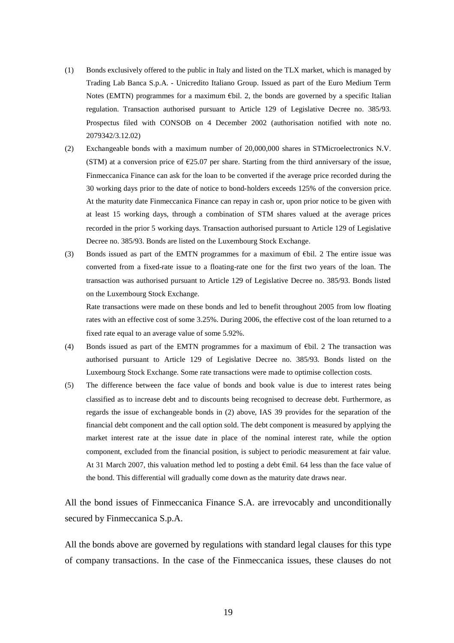- (1) Bonds exclusively offered to the public in Italy and listed on the TLX market, which is managed by Trading Lab Banca S.p.A. - Unicredito Italiano Group. Issued as part of the Euro Medium Term Notes (EMTN) programmes for a maximum €bil. 2, the bonds are governed by a specific Italian regulation. Transaction authorised pursuant to Article 129 of Legislative Decree no. 385/93. Prospectus filed with CONSOB on 4 December 2002 (authorisation notified with note no. 2079342/3.12.02)
- (2) Exchangeable bonds with a maximum number of 20,000,000 shares in STMicroelectronics N.V. (STM) at a conversion price of €25.07 per share. Starting from the third anniversary of the issue, Finmeccanica Finance can ask for the loan to be converted if the average price recorded during the 30 working days prior to the date of notice to bond-holders exceeds 125% of the conversion price. At the maturity date Finmeccanica Finance can repay in cash or, upon prior notice to be given with at least 15 working days, through a combination of STM shares valued at the average prices recorded in the prior 5 working days. Transaction authorised pursuant to Article 129 of Legislative Decree no. 385/93. Bonds are listed on the Luxembourg Stock Exchange.
- (3) Bonds issued as part of the EMTN programmes for a maximum of  $E$ bil. 2 The entire issue was converted from a fixed-rate issue to a floating-rate one for the first two years of the loan. The transaction was authorised pursuant to Article 129 of Legislative Decree no. 385/93. Bonds listed on the Luxembourg Stock Exchange.

Rate transactions were made on these bonds and led to benefit throughout 2005 from low floating rates with an effective cost of some 3.25%. During 2006, the effective cost of the loan returned to a fixed rate equal to an average value of some 5.92%.

- (4) Bonds issued as part of the EMTN programmes for a maximum of €bil. 2 The transaction was authorised pursuant to Article 129 of Legislative Decree no. 385/93. Bonds listed on the Luxembourg Stock Exchange. Some rate transactions were made to optimise collection costs.
- (5) The difference between the face value of bonds and book value is due to interest rates being classified as to increase debt and to discounts being recognised to decrease debt. Furthermore, as regards the issue of exchangeable bonds in (2) above, IAS 39 provides for the separation of the financial debt component and the call option sold. The debt component is measured by applying the market interest rate at the issue date in place of the nominal interest rate, while the option component, excluded from the financial position, is subject to periodic measurement at fair value. At 31 March 2007, this valuation method led to posting a debt €mil. 64 less than the face value of the bond. This differential will gradually come down as the maturity date draws near.

All the bond issues of Finmeccanica Finance S.A. are irrevocably and unconditionally secured by Finmeccanica S.p.A.

All the bonds above are governed by regulations with standard legal clauses for this type of company transactions. In the case of the Finmeccanica issues, these clauses do not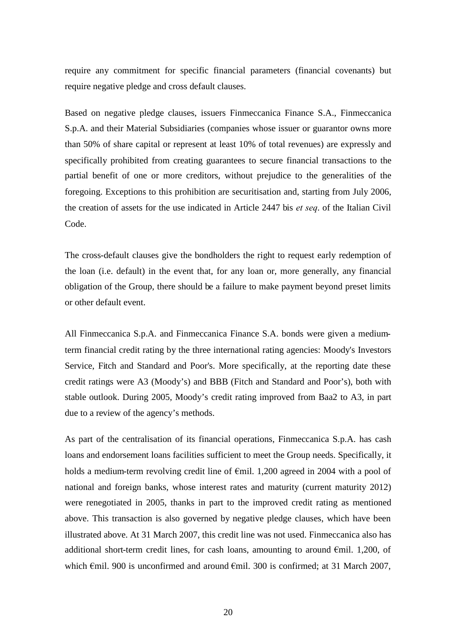require any commitment for specific financial parameters (financial covenants) but require negative pledge and cross default clauses.

Based on negative pledge clauses, issuers Finmeccanica Finance S.A., Finmeccanica S.p.A. and their Material Subsidiaries (companies whose issuer or guarantor owns more than 50% of share capital or represent at least 10% of total revenues) are expressly and specifically prohibited from creating guarantees to secure financial transactions to the partial benefit of one or more creditors, without prejudice to the generalities of the foregoing. Exceptions to this prohibition are securitisation and, starting from July 2006, the creation of assets for the use indicated in Article 2447 bis *et seq*. of the Italian Civil Code.

The cross-default clauses give the bondholders the right to request early redemption of the loan (i.e. default) in the event that, for any loan or, more generally, any financial obligation of the Group, there should be a failure to make payment beyond preset limits or other default event.

All Finmeccanica S.p.A. and Finmeccanica Finance S.A. bonds were given a mediumterm financial credit rating by the three international rating agencies: Moody's Investors Service, Fitch and Standard and Poor's. More specifically, at the reporting date these credit ratings were A3 (Moody's) and BBB (Fitch and Standard and Poor's), both with stable outlook. During 2005, Moody's credit rating improved from Baa2 to A3, in part due to a review of the agency's methods.

As part of the centralisation of its financial operations, Finmeccanica S.p.A. has cash loans and endorsement loans facilities sufficient to meet the Group needs. Specifically, it holds a medium-term revolving credit line of €mil. 1,200 agreed in 2004 with a pool of national and foreign banks, whose interest rates and maturity (current maturity 2012) were renegotiated in 2005, thanks in part to the improved credit rating as mentioned above. This transaction is also governed by negative pledge clauses, which have been illustrated above. At 31 March 2007, this credit line was not used. Finmeccanica also has additional short-term credit lines, for cash loans, amounting to around  $\epsilon$ mil. 1,200, of which  $\epsilon$ mil. 900 is unconfirmed and around  $\epsilon$ mil. 300 is confirmed; at 31 March 2007,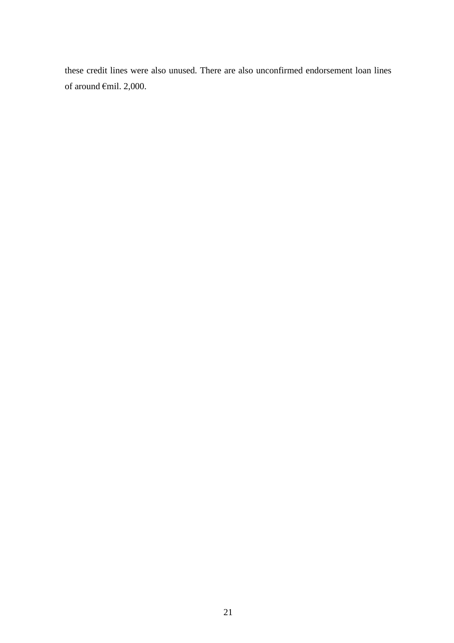these credit lines were also unused. There are also unconfirmed endorsement loan lines of around €mil. 2,000.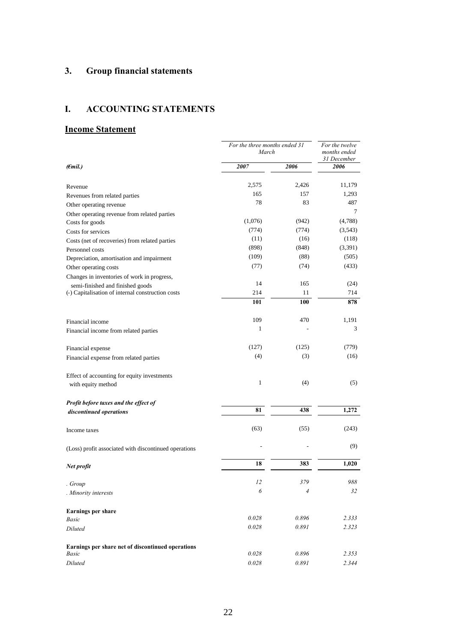## <span id="page-21-0"></span>**3. Group financial statements**

## <span id="page-21-1"></span>**I. ACCOUNTING STATEMENTS**

### **Income Statement**

|                                                       | For the three months ended 31<br>March | For the twelve<br>months ended<br>31 December |         |
|-------------------------------------------------------|----------------------------------------|-----------------------------------------------|---------|
| $(\epsilon$ mil.)                                     | 2007                                   | 2006                                          | 2006    |
|                                                       |                                        |                                               |         |
| Revenue                                               | 2,575                                  | 2,426                                         | 11,179  |
| Revenues from related parties                         | 165                                    | 157                                           | 1,293   |
| Other operating revenue                               | 78                                     | 83                                            | 487     |
| Other operating revenue from related parties          |                                        |                                               | 7       |
| Costs for goods                                       | (1,076)                                | (942)                                         | (4,788) |
| Costs for services                                    | (774)                                  | (774)                                         | (3,543) |
| Costs (net of recoveries) from related parties        | (11)                                   | (16)                                          | (118)   |
| Personnel costs                                       | (898)                                  | (848)                                         | (3,391) |
| Depreciation, amortisation and impairment             | (109)                                  | (88)                                          | (505)   |
| Other operating costs                                 | (77)                                   | (74)                                          | (433)   |
| Changes in inventories of work in progress,           |                                        |                                               |         |
| semi-finished and finished goods                      | 14                                     | 165                                           | (24)    |
| (-) Capitalisation of internal construction costs     | 214                                    | 11                                            | 714     |
|                                                       | 101                                    | 100                                           | 878     |
|                                                       |                                        |                                               |         |
| Financial income                                      | 109                                    | 470                                           | 1,191   |
| Financial income from related parties                 | 1                                      |                                               | 3       |
| Financial expense                                     | (127)                                  | (125)                                         | (779)   |
| Financial expense from related parties                | (4)                                    | (3)                                           | (16)    |
| Effect of accounting for equity investments           |                                        |                                               |         |
| with equity method                                    | $\mathbf{1}$                           | (4)                                           | (5)     |
| Profit before taxes and the effect of                 |                                        |                                               |         |
| discontinued operations                               | 81                                     | 438                                           | 1,272   |
| Income taxes                                          | (63)                                   | (55)                                          | (243)   |
| (Loss) profit associated with discontinued operations |                                        |                                               | (9)     |
| Net profit                                            | 18                                     | 383                                           | 1,020   |
| . Group                                               | 12                                     | 379                                           | 988     |
| . Minority interests                                  | 6                                      | 4                                             | 32      |
| <b>Earnings per share</b>                             |                                        |                                               |         |
| Basic                                                 | 0.028                                  | 0.896                                         | 2.333   |
| Diluted                                               | 0.028                                  | 0.891                                         | 2.323   |
| Earnings per share net of discontinued operations     |                                        |                                               |         |
| Basic                                                 | 0.028                                  | 0.896                                         | 2.353   |
| Diluted                                               | $0.028\,$                              | 0.891                                         | 2.344   |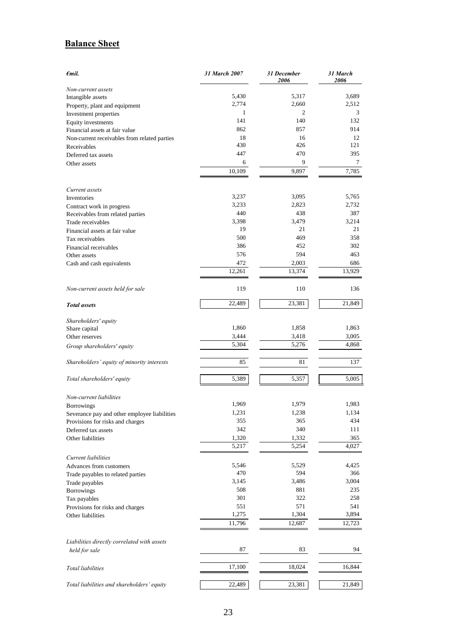### **Balance Sheet**

| $\epsilon$ mil.                              | 31 March 2007 | 31 December<br>2006 | 31 March<br>2006 |
|----------------------------------------------|---------------|---------------------|------------------|
| Non-current assets                           |               |                     |                  |
| Intangible assets                            | 5,430         | 5,317               | 3,689            |
| Property, plant and equipment                | 2,774         | 2,660               | 2,512            |
| Investment properties                        | 1             | 2                   | 3                |
| Equity investments                           | 141           | 140                 | 132              |
| Financial assets at fair value               | 862           | 857                 | 914              |
| Non-current receivables from related parties | 18            | 16                  | 12               |
| Receivables                                  | 430           | 426                 | 121              |
| Deferred tax assets                          | 447           | 470                 | 395              |
| Other assets                                 | 6             | 9                   | 7                |
|                                              | 10,109        | 9,897               | 7,785            |
| Current assets                               | 3,237         | 3,095               | 5,765            |
| Inventories                                  | 3,233         | 2,823               | 2,732            |
| Contract work in progress                    | 440           | 438                 | 387              |
| Receivables from related parties             | 3,398         | 3.479               | 3,214            |
| Trade receivables                            | 19            | 21                  | 21               |
| Financial assets at fair value               | 500           | 469                 | 358              |
| Tax receivables                              | 386           | 452                 | 302              |
| Financial receivables                        | 576           | 594                 | 463              |
| Other assets                                 | 472           | 2,003               | 686              |
| Cash and cash equivalents                    | 12,261        | 13,374              | 13,929           |
|                                              |               |                     |                  |
| Non-current assets held for sale             | 119           | 110                 | 136              |
| <b>Total</b> assets                          | 22,489        | 23,381              | 21,849           |
| Shareholders' equity                         |               |                     |                  |
| Share capital                                | 1,860         | 1,858               | 1,863            |
| Other reserves                               | 3,444         | 3,418               | 3,005            |
| Group shareholders' equity                   | 5,304         | 5,276               | 4,868            |
| Shareholders' equity of minority interests   | 85            | 81                  | 137              |
| Total shareholders' equity                   | 5,389         | 5,357               | 5,005            |
| Non-current liabilities                      |               |                     |                  |
| <b>Borrowings</b>                            | 1,969         | 1,979               | 1,983            |
| Severance pay and other employee liabilities | 1,231         | 1,238               | 1,134            |
| Provisions for risks and charges             | 355           | 365                 | 434              |
| Deferred tax assets                          | 342           | 340                 | 111              |
| Other liabilities                            | 1,320         | 1,332               | 365              |
|                                              | 5,217         | 5,254               | 4,027            |
| Current liabilities                          | 5,546         | 5,529               | 4,425            |
| Advances from customers                      | 470           | 594                 | 366              |
| Trade payables to related parties            |               |                     | 3,004            |
| Trade payables                               | 3,145<br>508  | 3,486<br>881        | 235              |
| Borrowings                                   | 301           | 322                 | 258              |
| Tax payables                                 |               |                     | 541              |
| Provisions for risks and charges             | 551<br>1,275  | 571<br>1,304        | 3,894            |
| Other liabilities                            | 11,796        | 12,687              | 12,723           |
| Liabilities directly correlated with assets  |               |                     |                  |
| held for sale                                | 87            | 83                  | 94               |
| Total liabilities                            | 17,100        | 18,024              | 16,844           |
| Total liabilities and shareholders' equity   | 22,489        | 23,381              | 21,849           |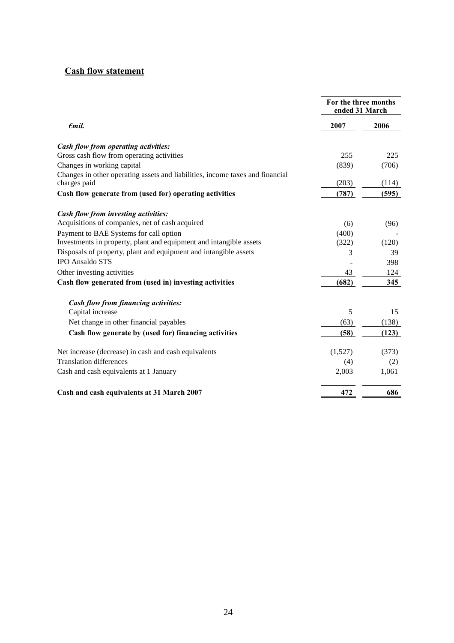### **Cash flow statement**

|                                                                                               | For the three months<br>ended 31 March |       |  |
|-----------------------------------------------------------------------------------------------|----------------------------------------|-------|--|
| $\epsilon$ mil.                                                                               | 2007                                   | 2006  |  |
| Cash flow from operating activities:                                                          |                                        |       |  |
| Gross cash flow from operating activities                                                     | 255                                    | 225   |  |
| Changes in working capital                                                                    | (839)                                  | (706) |  |
| Changes in other operating assets and liabilities, income taxes and financial<br>charges paid | (203)                                  | (114) |  |
| Cash flow generate from (used for) operating activities                                       | (787)                                  | (595) |  |
| Cash flow from investing activities:                                                          |                                        |       |  |
| Acquisitions of companies, net of cash acquired                                               | (6)                                    | (96)  |  |
| Payment to BAE Systems for call option                                                        | (400)                                  |       |  |
| Investments in property, plant and equipment and intangible assets                            | (322)                                  | (120) |  |
| Disposals of property, plant and equipment and intangible assets                              | 3                                      | 39    |  |
| <b>IPO Ansaldo STS</b>                                                                        |                                        | 398   |  |
| Other investing activities                                                                    | 43                                     | 124   |  |
| Cash flow generated from (used in) investing activities                                       | (682)                                  | 345   |  |
| <b>Cash flow from financing activities:</b>                                                   |                                        |       |  |
| Capital increase                                                                              | 5                                      | 15    |  |
| Net change in other financial payables                                                        | (63)                                   | (138) |  |
| Cash flow generate by (used for) financing activities                                         | (58)                                   | (123) |  |
| Net increase (decrease) in cash and cash equivalents                                          | (1,527)                                | (373) |  |
| <b>Translation differences</b>                                                                | (4)                                    | (2)   |  |
| Cash and cash equivalents at 1 January                                                        | 2,003                                  | 1,061 |  |
| Cash and cash equivalents at 31 March 2007                                                    | 472                                    | 686   |  |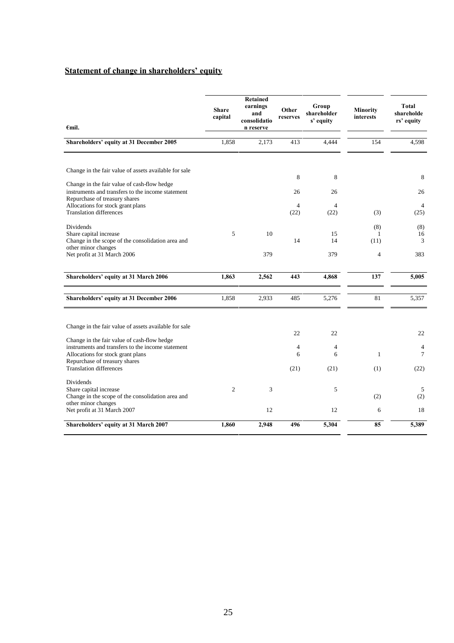### **Statement of change in shareholders' equity**

| $\epsilon$ mil.                                                                                                                                                                                                                                                   | <b>Share</b><br>capital | <b>Retained</b><br>earnings<br>and<br>consolidatio<br>n reserve | Other<br>reserves    | Group<br>shareholder<br>s' equity | <b>Minority</b><br>interests  | Total<br>shareholde<br>rs' equity |
|-------------------------------------------------------------------------------------------------------------------------------------------------------------------------------------------------------------------------------------------------------------------|-------------------------|-----------------------------------------------------------------|----------------------|-----------------------------------|-------------------------------|-----------------------------------|
| Shareholders' equity at 31 December 2005                                                                                                                                                                                                                          | 1,858                   | 2,173                                                           | 413                  | 4,444                             | 154                           | 4,598                             |
| Change in the fair value of assets available for sale<br>Change in the fair value of cash-flow hedge<br>instruments and transfers to the income statement<br>Repurchase of treasury shares<br>Allocations for stock grant plans<br><b>Translation differences</b> |                         |                                                                 | 8<br>26<br>4<br>(22) | 8<br>26<br>$\overline{4}$<br>(22) | (3)                           | 8<br>26<br>4<br>(25)              |
| Dividends<br>Share capital increase<br>Change in the scope of the consolidation area and<br>other minor changes<br>Net profit at 31 March 2006                                                                                                                    | 5                       | 10<br>379                                                       | 14                   | 15<br>14<br>379                   | (8)<br>(11)<br>$\overline{4}$ | (8)<br>16<br>3<br>383             |
| Shareholders' equity at 31 March 2006                                                                                                                                                                                                                             | 1,863                   | 2,562                                                           | 443                  | 4,868                             | 137                           | 5,005                             |
| Shareholders' equity at 31 December 2006                                                                                                                                                                                                                          | 1,858                   | 2,933                                                           | 485                  | 5,276                             | 81                            | 5,357                             |
| Change in the fair value of assets available for sale<br>Change in the fair value of cash-flow hedge<br>instruments and transfers to the income statement<br>Allocations for stock grant plans<br>Repurchase of treasury shares<br><b>Translation differences</b> |                         |                                                                 | 22<br>4<br>6<br>(21) | 22<br>4<br>6<br>(21)              | $\mathbf{1}$<br>(1)           | 22<br>4<br>$\tau$<br>(22)         |
| Dividends<br>Share capital increase<br>Change in the scope of the consolidation area and<br>other minor changes<br>Net profit at 31 March 2007                                                                                                                    | 2                       | 3<br>12                                                         |                      | 5<br>12                           | (2)<br>6                      | 5<br>(2)<br>18                    |
| Shareholders' equity at 31 March 2007                                                                                                                                                                                                                             | 1,860                   | 2,948                                                           | 496                  | 5,304                             | 85                            | 5,389                             |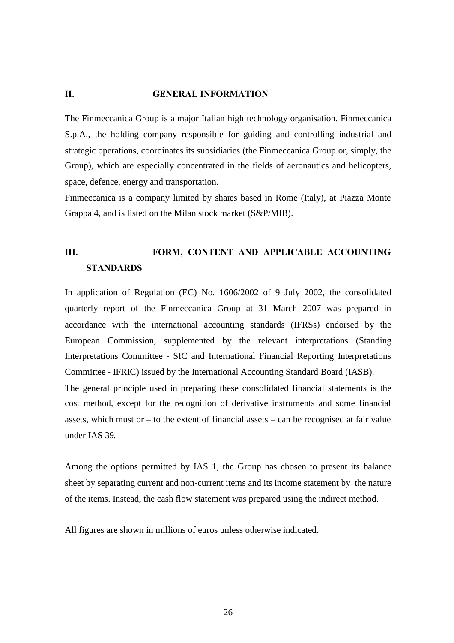### <span id="page-25-0"></span>**II. GENERAL INFORMATION**

The Finmeccanica Group is a major Italian high technology organisation. Finmeccanica S.p.A., the holding company responsible for guiding and controlling industrial and strategic operations, coordinates its subsidiaries (the Finmeccanica Group or, simply, the Group), which are especially concentrated in the fields of aeronautics and helicopters, space, defence, energy and transportation.

Finmeccanica is a company limited by shares based in Rome (Italy), at Piazza Monte Grappa 4, and is listed on the Milan stock market (S&P/MIB).

# <span id="page-25-1"></span>**III. FORM, CONTENT AND APPLICABLE ACCOUNTING STANDARDS**

In application of Regulation (EC) No. 1606/2002 of 9 July 2002, the consolidated quarterly report of the Finmeccanica Group at 31 March 2007 was prepared in accordance with the international accounting standards (IFRSs) endorsed by the European Commission, supplemented by the relevant interpretations (Standing Interpretations Committee - SIC and International Financial Reporting Interpretations Committee - IFRIC) issued by the International Accounting Standard Board (IASB). The general principle used in preparing these consolidated financial statements is the cost method, except for the recognition of derivative instruments and some financial assets, which must or – to the extent of financial assets – can be recognised at fair value under IAS 39.

Among the options permitted by IAS 1, the Group has chosen to present its balance sheet by separating current and non-current items and its income statement by the nature of the items. Instead, the cash flow statement was prepared using the indirect method.

All figures are shown in millions of euros unless otherwise indicated.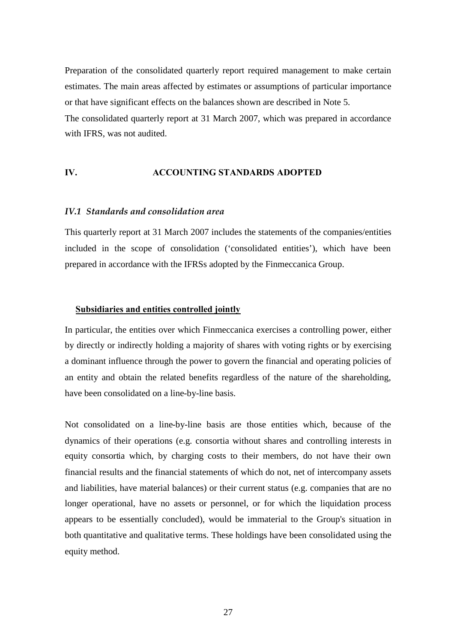Preparation of the consolidated quarterly report required management to make certain estimates. The main areas affected by estimates or assumptions of particular importance or that have significant effects on the balances shown are described in Note 5. The consolidated quarterly report at 31 March 2007, which was prepared in accordance with IFRS, was not audited.

### <span id="page-26-0"></span>**IV. ACCOUNTING STANDARDS ADOPTED**

#### *IV.1 Standards and consolidation area*

This quarterly report at 31 March 2007 includes the statements of the companies/entities included in the scope of consolidation ('consolidated entities'), which have been prepared in accordance with the IFRSs adopted by the Finmeccanica Group.

#### **Subsidiaries and entities controlled jointly**

In particular, the entities over which Finmeccanica exercises a controlling power, either by directly or indirectly holding a majority of shares with voting rights or by exercising a dominant influence through the power to govern the financial and operating policies of an entity and obtain the related benefits regardless of the nature of the shareholding, have been consolidated on a line-by-line basis.

Not consolidated on a line-by-line basis are those entities which, because of the dynamics of their operations (e.g. consortia without shares and controlling interests in equity consortia which, by charging costs to their members, do not have their own financial results and the financial statements of which do not, net of intercompany assets and liabilities, have material balances) or their current status (e.g. companies that are no longer operational, have no assets or personnel, or for which the liquidation process appears to be essentially concluded), would be immaterial to the Group's situation in both quantitative and qualitative terms. These holdings have been consolidated using the equity method.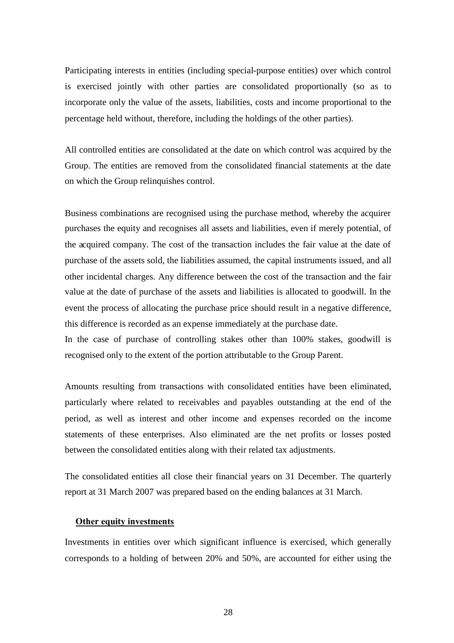Participating interests in entities (including special-purpose entities) over which control is exercised jointly with other parties are consolidated proportionally (so as to incorporate only the value of the assets, liabilities, costs and income proportional to the percentage held without, therefore, including the holdings of the other parties).

All controlled entities are consolidated at the date on which control was acquired by the Group. The entities are removed from the consolidated financial statements at the date on which the Group relinquishes control.

Business combinations are recognised using the purchase method, whereby the acquirer purchases the equity and recognises all assets and liabilities, even if merely potential, of the acquired company. The cost of the transaction includes the fair value at the date of purchase of the assets sold, the liabilities assumed, the capital instruments issued, and all other incidental charges. Any difference between the cost of the transaction and the fair value at the date of purchase of the assets and liabilities is allocated to goodwill. In the event the process of allocating the purchase price should result in a negative difference, this difference is recorded as an expense immediately at the purchase date.

In the case of purchase of controlling stakes other than 100% stakes, goodwill is recognised only to the extent of the portion attributable to the Group Parent.

Amounts resulting from transactions with consolidated entities have been eliminated, particularly where related to receivables and payables outstanding at the end of the period, as well as interest and other income and expenses recorded on the income statements of these enterprises. Also eliminated are the net profits or losses posted between the consolidated entities along with their related tax adjustments.

The consolidated entities all close their financial years on 31 December. The quarterly report at 31 March 2007 was prepared based on the ending balances at 31 March.

#### **Other equity investments**

Investments in entities over which significant influence is exercised, which generally corresponds to a holding of between 20% and 50%, are accounted for either using the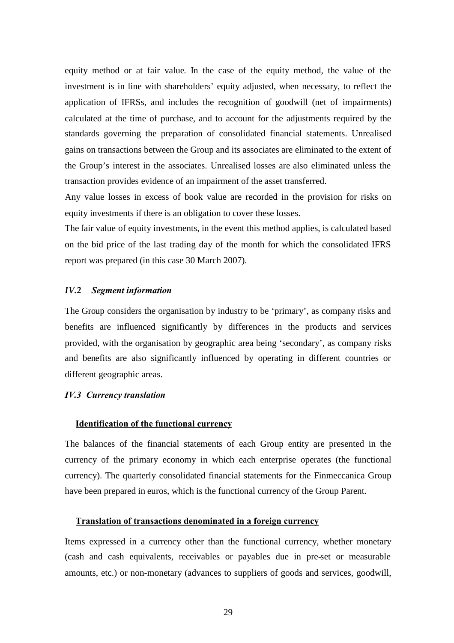equity method or at fair value. In the case of the equity method, the value of the investment is in line with shareholders' equity adjusted, when necessary, to reflect the application of IFRSs, and includes the recognition of goodwill (net of impairments) calculated at the time of purchase, and to account for the adjustments required by the standards governing the preparation of consolidated financial statements. Unrealised gains on transactions between the Group and its associates are eliminated to the extent of the Group's interest in the associates. Unrealised losses are also eliminated unless the transaction provides evidence of an impairment of the asset transferred.

Any value losses in excess of book value are recorded in the provision for risks on equity investments if there is an obligation to cover these losses.

The fair value of equity investments, in the event this method applies, is calculated based on the bid price of the last trading day of the month for which the consolidated IFRS report was prepared (in this case 30 March 2007).

#### *IV.2 Segment information*

The Group considers the organisation by industry to be 'primary', as company risks and benefits are influenced significantly by differences in the products and services provided, with the organisation by geographic area being 'secondary', as company risks and benefits are also significantly influenced by operating in different countries or different geographic areas.

#### *IV.3 Currency translation*

#### **Identification of the functional currency**

The balances of the financial statements of each Group entity are presented in the currency of the primary economy in which each enterprise operates (the functional currency). The quarterly consolidated financial statements for the Finmeccanica Group have been prepared in euros, which is the functional currency of the Group Parent.

### **Translation of transactions denominated in a foreign currency**

Items expressed in a currency other than the functional currency, whether monetary (cash and cash equivalents, receivables or payables due in pre-set or measurable amounts, etc.) or non-monetary (advances to suppliers of goods and services, goodwill,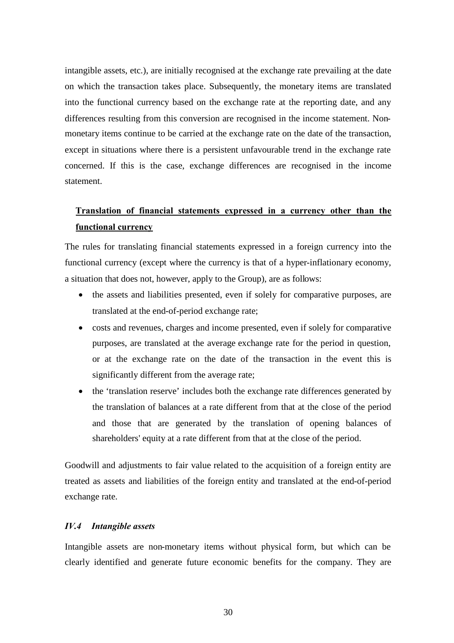intangible assets, etc.), are initially recognised at the exchange rate prevailing at the date on which the transaction takes place. Subsequently, the monetary items are translated into the functional currency based on the exchange rate at the reporting date, and any differences resulting from this conversion are recognised in the income statement. Nonmonetary items continue to be carried at the exchange rate on the date of the transaction, except in situations where there is a persistent unfavourable trend in the exchange rate concerned. If this is the case, exchange differences are recognised in the income statement.

# **Translation of financial statements expressed in a currency other than the functional currency**

The rules for translating financial statements expressed in a foreign currency into the functional currency (except where the currency is that of a hyper-inflationary economy, a situation that does not, however, apply to the Group), are as follows:

- the assets and liabilities presented, even if solely for comparative purposes, are translated at the end-of-period exchange rate;
- costs and revenues, charges and income presented, even if solely for comparative purposes, are translated at the average exchange rate for the period in question, or at the exchange rate on the date of the transaction in the event this is significantly different from the average rate;
- the 'translation reserve' includes both the exchange rate differences generated by the translation of balances at a rate different from that at the close of the period and those that are generated by the translation of opening balances of shareholders' equity at a rate different from that at the close of the period.

Goodwill and adjustments to fair value related to the acquisition of a foreign entity are treated as assets and liabilities of the foreign entity and translated at the end-of-period exchange rate.

#### *IV.4 Intangible assets*

Intangible assets are non-monetary items without physical form, but which can be clearly identified and generate future economic benefits for the company. They are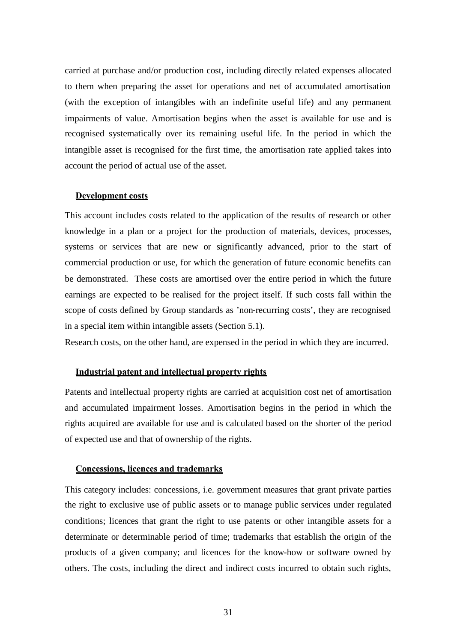carried at purchase and/or production cost, including directly related expenses allocated to them when preparing the asset for operations and net of accumulated amortisation (with the exception of intangibles with an indefinite useful life) and any permanent impairments of value. Amortisation begins when the asset is available for use and is recognised systematically over its remaining useful life. In the period in which the intangible asset is recognised for the first time, the amortisation rate applied takes into account the period of actual use of the asset.

#### **Development costs**

This account includes costs related to the application of the results of research or other knowledge in a plan or a project for the production of materials, devices, processes, systems or services that are new or significantly advanced, prior to the start of commercial production or use, for which the generation of future economic benefits can be demonstrated. These costs are amortised over the entire period in which the future earnings are expected to be realised for the project itself. If such costs fall within the scope of costs defined by Group standards as 'non-recurring costs', they are recognised in a special item within intangible assets (Section 5.1).

Research costs, on the other hand, are expensed in the period in which they are incurred.

#### **Industrial patent and intellectual property rights**

Patents and intellectual property rights are carried at acquisition cost net of amortisation and accumulated impairment losses. Amortisation begins in the period in which the rights acquired are available for use and is calculated based on the shorter of the period of expected use and that of ownership of the rights.

#### **Concessions, licences and trademarks**

This category includes: concessions, i.e. government measures that grant private parties the right to exclusive use of public assets or to manage public services under regulated conditions; licences that grant the right to use patents or other intangible assets for a determinate or determinable period of time; trademarks that establish the origin of the products of a given company; and licences for the know-how or software owned by others. The costs, including the direct and indirect costs incurred to obtain such rights,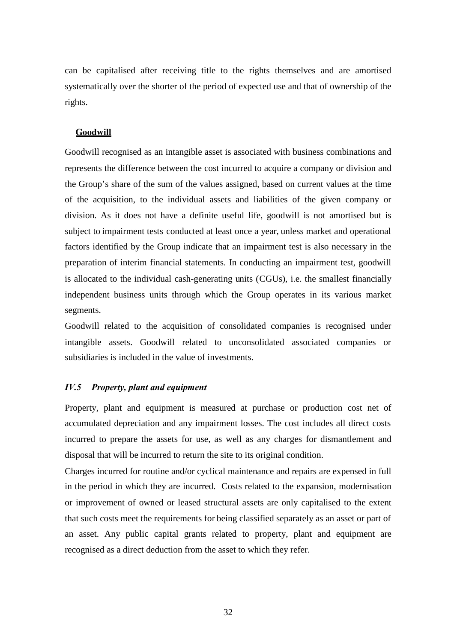can be capitalised after receiving title to the rights themselves and are amortised systematically over the shorter of the period of expected use and that of ownership of the rights.

#### **Goodwill**

Goodwill recognised as an intangible asset is associated with business combinations and represents the difference between the cost incurred to acquire a company or division and the Group's share of the sum of the values assigned, based on current values at the time of the acquisition, to the individual assets and liabilities of the given company or division. As it does not have a definite useful life, goodwill is not amortised but is subject to impairment tests conducted at least once a year, unless market and operational factors identified by the Group indicate that an impairment test is also necessary in the preparation of interim financial statements. In conducting an impairment test, goodwill is allocated to the individual cash-generating units (CGUs), i.e. the smallest financially independent business units through which the Group operates in its various market segments.

Goodwill related to the acquisition of consolidated companies is recognised under intangible assets. Goodwill related to unconsolidated associated companies or subsidiaries is included in the value of investments.

#### *IV.5 Property, plant and equipment*

Property, plant and equipment is measured at purchase or production cost net of accumulated depreciation and any impairment losses. The cost includes all direct costs incurred to prepare the assets for use, as well as any charges for dismantlement and disposal that will be incurred to return the site to its original condition.

Charges incurred for routine and/or cyclical maintenance and repairs are expensed in full in the period in which they are incurred. Costs related to the expansion, modernisation or improvement of owned or leased structural assets are only capitalised to the extent that such costs meet the requirements for being classified separately as an asset or part of an asset. Any public capital grants related to property, plant and equipment are recognised as a direct deduction from the asset to which they refer.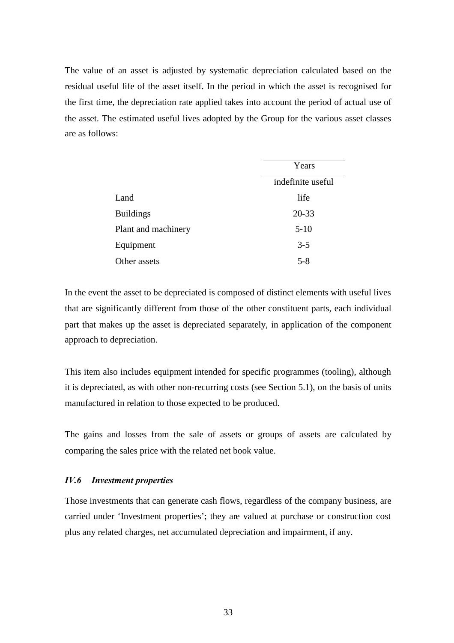The value of an asset is adjusted by systematic depreciation calculated based on the residual useful life of the asset itself. In the period in which the asset is recognised for the first time, the depreciation rate applied takes into account the period of actual use of the asset. The estimated useful lives adopted by the Group for the various asset classes are as follows:

|                     | Years             |  |
|---------------------|-------------------|--|
|                     | indefinite useful |  |
| Land                | life              |  |
| <b>Buildings</b>    | $20 - 33$         |  |
| Plant and machinery | $5 - 10$          |  |
| Equipment           | $3 - 5$           |  |
| Other assets        | $5 - 8$           |  |

In the event the asset to be depreciated is composed of distinct elements with useful lives that are significantly different from those of the other constituent parts, each individual part that makes up the asset is depreciated separately, in application of the component approach to depreciation.

This item also includes equipment intended for specific programmes (tooling), although it is depreciated, as with other non-recurring costs (see Section 5.1), on the basis of units manufactured in relation to those expected to be produced.

The gains and losses from the sale of assets or groups of assets are calculated by comparing the sales price with the related net book value.

#### *IV.6 Investment properties*

Those investments that can generate cash flows, regardless of the company business, are carried under 'Investment properties'; they are valued at purchase or construction cost plus any related charges, net accumulated depreciation and impairment, if any.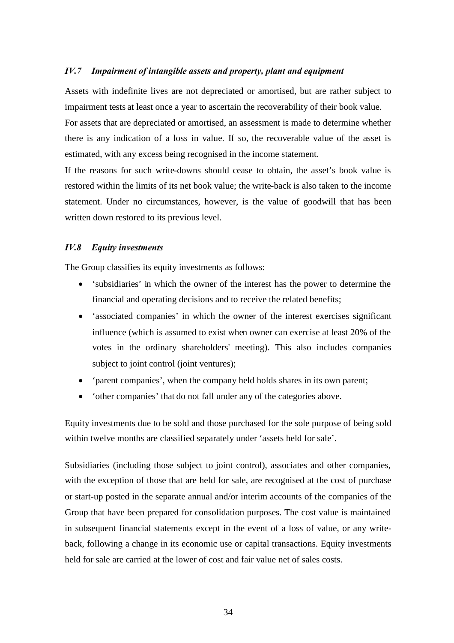#### *IV.7 Impairment of intangible assets and property, plant and equipment*

Assets with indefinite lives are not depreciated or amortised, but are rather subject to impairment tests at least once a year to ascertain the recoverability of their book value.

For assets that are depreciated or amortised, an assessment is made to determine whether there is any indication of a loss in value. If so, the recoverable value of the asset is estimated, with any excess being recognised in the income statement.

If the reasons for such write-downs should cease to obtain, the asset's book value is restored within the limits of its net book value; the write-back is also taken to the income statement. Under no circumstances, however, is the value of goodwill that has been written down restored to its previous level.

#### *IV.8 Equity investments*

The Group classifies its equity investments as follows:

- 'subsidiaries' in which the owner of the interest has the power to determine the financial and operating decisions and to receive the related benefits;
- 'associated companies' in which the owner of the interest exercises significant influence (which is assumed to exist when owner can exercise at least 20% of the votes in the ordinary shareholders' meeting). This also includes companies subject to joint control (joint ventures);
- 'parent companies', when the company held holds shares in its own parent;
- 'other companies' that do not fall under any of the categories above.

Equity investments due to be sold and those purchased for the sole purpose of being sold within twelve months are classified separately under 'assets held for sale'.

Subsidiaries (including those subject to joint control), associates and other companies, with the exception of those that are held for sale, are recognised at the cost of purchase or start-up posted in the separate annual and/or interim accounts of the companies of the Group that have been prepared for consolidation purposes. The cost value is maintained in subsequent financial statements except in the event of a loss of value, or any writeback, following a change in its economic use or capital transactions. Equity investments held for sale are carried at the lower of cost and fair value net of sales costs.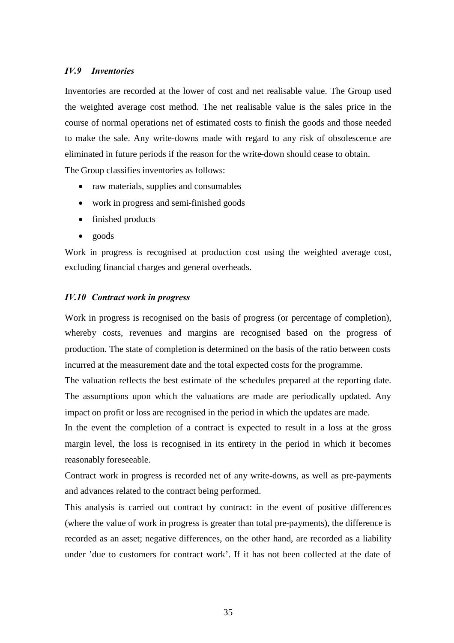#### *IV.9 Inventories*

Inventories are recorded at the lower of cost and net realisable value. The Group used the weighted average cost method. The net realisable value is the sales price in the course of normal operations net of estimated costs to finish the goods and those needed to make the sale. Any write-downs made with regard to any risk of obsolescence are eliminated in future periods if the reason for the write-down should cease to obtain. The Group classifies inventories as follows:

- raw materials, supplies and consumables
	- work in progress and semi-finished goods
	- finished products
	- $\bullet$  goods

Work in progress is recognised at production cost using the weighted average cost, excluding financial charges and general overheads.

#### *IV.10 Contract work in progress*

Work in progress is recognised on the basis of progress (or percentage of completion), whereby costs, revenues and margins are recognised based on the progress of production. The state of completion is determined on the basis of the ratio between costs incurred at the measurement date and the total expected costs for the programme.

The valuation reflects the best estimate of the schedules prepared at the reporting date. The assumptions upon which the valuations are made are periodically updated. Any impact on profit or loss are recognised in the period in which the updates are made.

In the event the completion of a contract is expected to result in a loss at the gross margin level, the loss is recognised in its entirety in the period in which it becomes reasonably foreseeable.

Contract work in progress is recorded net of any write-downs, as well as pre-payments and advances related to the contract being performed.

This analysis is carried out contract by contract: in the event of positive differences (where the value of work in progress is greater than total pre-payments), the difference is recorded as an asset; negative differences, on the other hand, are recorded as a liability under 'due to customers for contract work'. If it has not been collected at the date of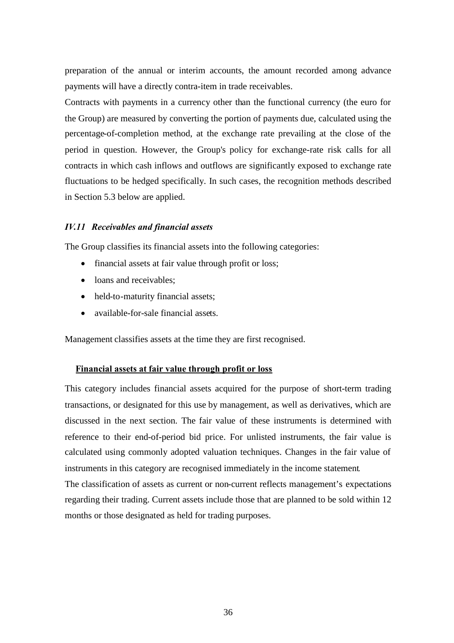preparation of the annual or interim accounts, the amount recorded among advance payments will have a directly contra-item in trade receivables.

Contracts with payments in a currency other than the functional currency (the euro for the Group) are measured by converting the portion of payments due, calculated using the percentage-of-completion method, at the exchange rate prevailing at the close of the period in question. However, the Group's policy for exchange-rate risk calls for all contracts in which cash inflows and outflows are significantly exposed to exchange rate fluctuations to be hedged specifically. In such cases, the recognition methods described in Section 5.3 below are applied.

### *IV.11 Receivables and financial assets*

The Group classifies its financial assets into the following categories:

- financial assets at fair value through profit or loss;
- loans and receivables:
- held-to-maturity financial assets;
- available-for-sale financial assets.

Management classifies assets at the time they are first recognised.

#### **Financial assets at fair value through profit or loss**

This category includes financial assets acquired for the purpose of short-term trading transactions, or designated for this use by management, as well as derivatives, which are discussed in the next section. The fair value of these instruments is determined with reference to their end-of-period bid price. For unlisted instruments, the fair value is calculated using commonly adopted valuation techniques. Changes in the fair value of instruments in this category are recognised immediately in the income statement*.*

The classification of assets as current or non-current reflects management's expectations regarding their trading. Current assets include those that are planned to be sold within 12 months or those designated as held for trading purposes.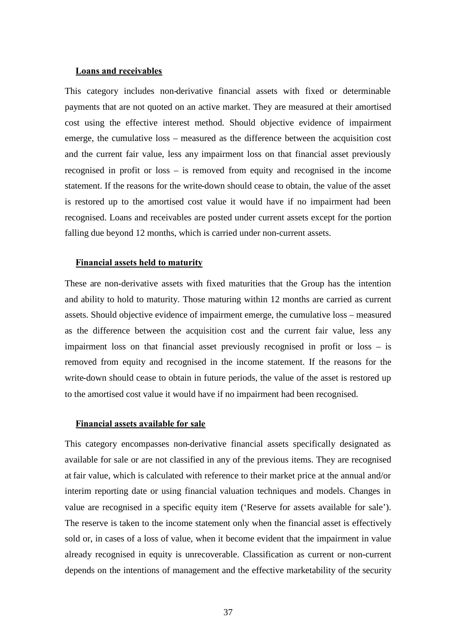#### **Loans and receivables**

This category includes non-derivative financial assets with fixed or determinable payments that are not quoted on an active market. They are measured at their amortised cost using the effective interest method. Should objective evidence of impairment emerge, the cumulative loss – measured as the difference between the acquisition cost and the current fair value, less any impairment loss on that financial asset previously recognised in profit or loss – is removed from equity and recognised in the income statement. If the reasons for the write-down should cease to obtain, the value of the asset is restored up to the amortised cost value it would have if no impairment had been recognised. Loans and receivables are posted under current assets except for the portion falling due beyond 12 months, which is carried under non-current assets.

#### **Financial assets held to maturity**

These are non-derivative assets with fixed maturities that the Group has the intention and ability to hold to maturity. Those maturing within 12 months are carried as current assets. Should objective evidence of impairment emerge, the cumulative loss – measured as the difference between the acquisition cost and the current fair value, less any impairment loss on that financial asset previously recognised in profit or loss – is removed from equity and recognised in the income statement. If the reasons for the write-down should cease to obtain in future periods, the value of the asset is restored up to the amortised cost value it would have if no impairment had been recognised.

#### **Financial assets available for sale**

This category encompasses non-derivative financial assets specifically designated as available for sale or are not classified in any of the previous items. They are recognised at fair value, which is calculated with reference to their market price at the annual and/or interim reporting date or using financial valuation techniques and models. Changes in value are recognised in a specific equity item ('Reserve for assets available for sale'). The reserve is taken to the income statement only when the financial asset is effectively sold or, in cases of a loss of value, when it become evident that the impairment in value already recognised in equity is unrecoverable. Classification as current or non-current depends on the intentions of management and the effective marketability of the security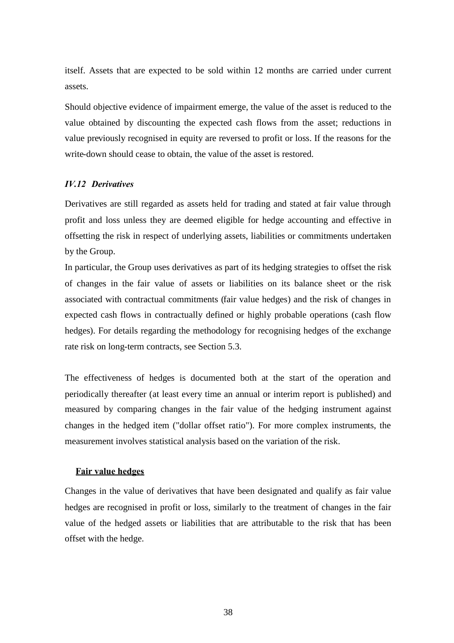itself. Assets that are expected to be sold within 12 months are carried under current assets.

Should objective evidence of impairment emerge, the value of the asset is reduced to the value obtained by discounting the expected cash flows from the asset; reductions in value previously recognised in equity are reversed to profit or loss. If the reasons for the write-down should cease to obtain, the value of the asset is restored.

## *IV.12 Derivatives*

Derivatives are still regarded as assets held for trading and stated at fair value through profit and loss unless they are deemed eligible for hedge accounting and effective in offsetting the risk in respect of underlying assets, liabilities or commitments undertaken by the Group.

In particular, the Group uses derivatives as part of its hedging strategies to offset the risk of changes in the fair value of assets or liabilities on its balance sheet or the risk associated with contractual commitments (fair value hedges) and the risk of changes in expected cash flows in contractually defined or highly probable operations (cash flow hedges). For details regarding the methodology for recognising hedges of the exchange rate risk on long-term contracts, see Section 5.3.

The effectiveness of hedges is documented both at the start of the operation and periodically thereafter (at least every time an annual or interim report is published) and measured by comparing changes in the fair value of the hedging instrument against changes in the hedged item ("dollar offset ratio"). For more complex instruments, the measurement involves statistical analysis based on the variation of the risk.

## **Fair value hedges**

Changes in the value of derivatives that have been designated and qualify as fair value hedges are recognised in profit or loss, similarly to the treatment of changes in the fair value of the hedged assets or liabilities that are attributable to the risk that has been offset with the hedge.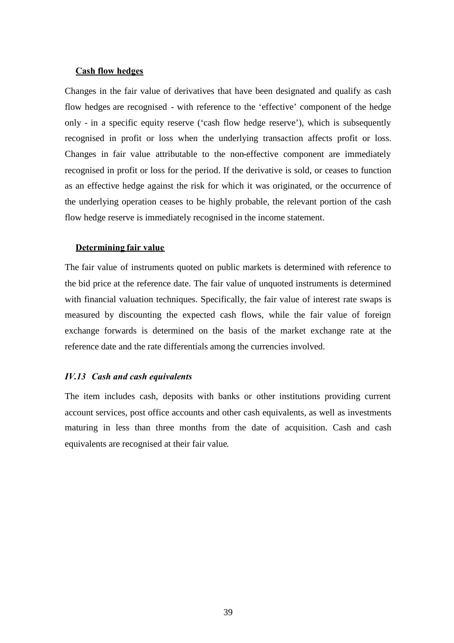#### **Cash flow hedges**

Changes in the fair value of derivatives that have been designated and qualify as cash flow hedges are recognised - with reference to the 'effective' component of the hedge only - in a specific equity reserve ('cash flow hedge reserve'), which is subsequently recognised in profit or loss when the underlying transaction affects profit or loss. Changes in fair value attributable to the non-effective component are immediately recognised in profit or loss for the period. If the derivative is sold, or ceases to function as an effective hedge against the risk for which it was originated, or the occurrence of the underlying operation ceases to be highly probable, the relevant portion of the cash flow hedge reserve is immediately recognised in the income statement.

## **Determining fair value**

The fair value of instruments quoted on public markets is determined with reference to the bid price at the reference date. The fair value of unquoted instruments is determined with financial valuation techniques. Specifically, the fair value of interest rate swaps is measured by discounting the expected cash flows, while the fair value of foreign exchange forwards is determined on the basis of the market exchange rate at the reference date and the rate differentials among the currencies involved.

#### *IV.13 Cash and cash equivalents*

The item includes cash, deposits with banks or other institutions providing current account services, post office accounts and other cash equivalents, as well as investments maturing in less than three months from the date of acquisition. Cash and cash equivalents are recognised at their fair value.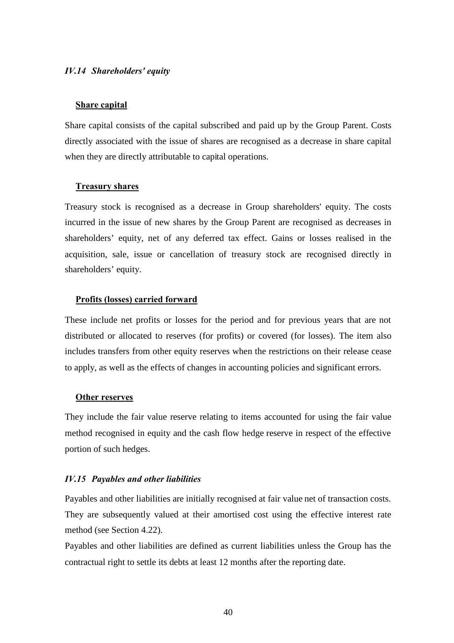#### *IV.14 Shareholders' equity*

#### **Share capital**

Share capital consists of the capital subscribed and paid up by the Group Parent. Costs directly associated with the issue of shares are recognised as a decrease in share capital when they are directly attributable to capital operations.

#### **Treasury shares**

Treasury stock is recognised as a decrease in Group shareholders' equity. The costs incurred in the issue of new shares by the Group Parent are recognised as decreases in shareholders' equity, net of any deferred tax effect. Gains or losses realised in the acquisition, sale, issue or cancellation of treasury stock are recognised directly in shareholders' equity.

#### **Profits (losses) carried forward**

These include net profits or losses for the period and for previous years that are not distributed or allocated to reserves (for profits) or covered (for losses). The item also includes transfers from other equity reserves when the restrictions on their release cease to apply, as well as the effects of changes in accounting policies and significant errors.

#### **Other reserves**

They include the fair value reserve relating to items accounted for using the fair value method recognised in equity and the cash flow hedge reserve in respect of the effective portion of such hedges.

#### *IV.15 Payables and other liabilities*

Payables and other liabilities are initially recognised at fair value net of transaction costs. They are subsequently valued at their amortised cost using the effective interest rate method (see Section 4.22).

Payables and other liabilities are defined as current liabilities unless the Group has the contractual right to settle its debts at least 12 months after the reporting date.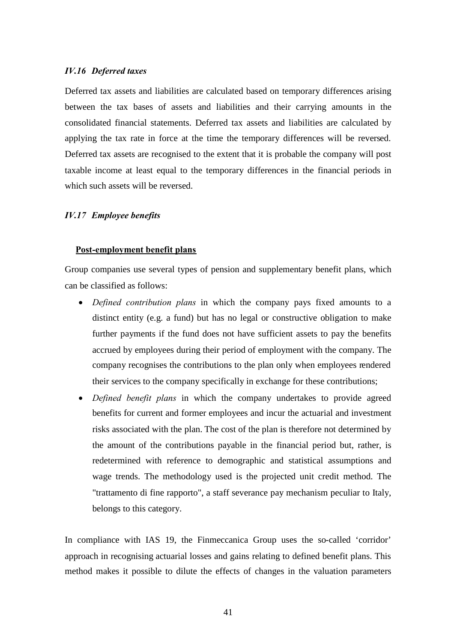#### *IV.16 Deferred taxes*

Deferred tax assets and liabilities are calculated based on temporary differences arising between the tax bases of assets and liabilities and their carrying amounts in the consolidated financial statements. Deferred tax assets and liabilities are calculated by applying the tax rate in force at the time the temporary differences will be reversed. Deferred tax assets are recognised to the extent that it is probable the company will post taxable income at least equal to the temporary differences in the financial periods in which such assets will be reversed.

## *IV.17 Employee benefits*

#### **Post-employment benefit plans**

Group companies use several types of pension and supplementary benefit plans, which can be classified as follows:

- *Defined contribution plans* in which the company pays fixed amounts to a distinct entity (e.g. a fund) but has no legal or constructive obligation to make further payments if the fund does not have sufficient assets to pay the benefits accrued by employees during their period of employment with the company. The company recognises the contributions to the plan only when employees rendered their services to the company specifically in exchange for these contributions;
- *Defined benefit plans* in which the company undertakes to provide agreed benefits for current and former employees and incur the actuarial and investment risks associated with the plan. The cost of the plan is therefore not determined by the amount of the contributions payable in the financial period but, rather, is redetermined with reference to demographic and statistical assumptions and wage trends. The methodology used is the projected unit credit method. The "trattamento di fine rapporto", a staff severance pay mechanism peculiar to Italy, belongs to this category.

In compliance with IAS 19, the Finmeccanica Group uses the so-called 'corridor' approach in recognising actuarial losses and gains relating to defined benefit plans. This method makes it possible to dilute the effects of changes in the valuation parameters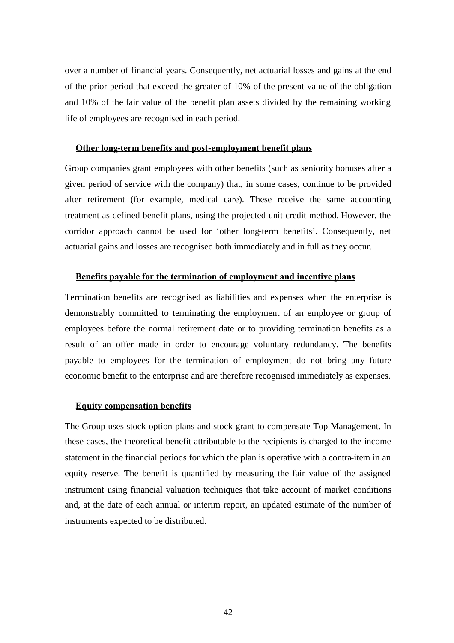over a number of financial years. Consequently, net actuarial losses and gains at the end of the prior period that exceed the greater of 10% of the present value of the obligation and 10% of the fair value of the benefit plan assets divided by the remaining working life of employees are recognised in each period.

#### **Other long-term benefits and post-employment benefit plans**

Group companies grant employees with other benefits (such as seniority bonuses after a given period of service with the company) that, in some cases, continue to be provided after retirement (for example, medical care). These receive the same accounting treatment as defined benefit plans, using the projected unit credit method. However, the corridor approach cannot be used for 'other long-term benefits'. Consequently, net actuarial gains and losses are recognised both immediately and in full as they occur.

## **Benefits payable for the termination of employment and incentive plans**

Termination benefits are recognised as liabilities and expenses when the enterprise is demonstrably committed to terminating the employment of an employee or group of employees before the normal retirement date or to providing termination benefits as a result of an offer made in order to encourage voluntary redundancy. The benefits payable to employees for the termination of employment do not bring any future economic benefit to the enterprise and are therefore recognised immediately as expenses.

#### **Equity compensation benefits**

The Group uses stock option plans and stock grant to compensate Top Management. In these cases, the theoretical benefit attributable to the recipients is charged to the income statement in the financial periods for which the plan is operative with a contra-item in an equity reserve. The benefit is quantified by measuring the fair value of the assigned instrument using financial valuation techniques that take account of market conditions and, at the date of each annual or interim report, an updated estimate of the number of instruments expected to be distributed.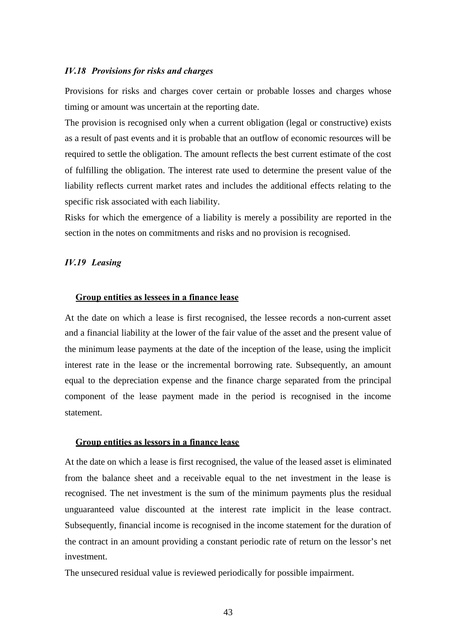#### *IV.18 Provisions for risks and charges*

Provisions for risks and charges cover certain or probable losses and charges whose timing or amount was uncertain at the reporting date.

The provision is recognised only when a current obligation (legal or constructive) exists as a result of past events and it is probable that an outflow of economic resources will be required to settle the obligation. The amount reflects the best current estimate of the cost of fulfilling the obligation. The interest rate used to determine the present value of the liability reflects current market rates and includes the additional effects relating to the specific risk associated with each liability.

Risks for which the emergence of a liability is merely a possibility are reported in the section in the notes on commitments and risks and no provision is recognised.

## *IV.19 Leasing*

#### **Group entities as lessees in a finance lease**

At the date on which a lease is first recognised, the lessee records a non-current asset and a financial liability at the lower of the fair value of the asset and the present value of the minimum lease payments at the date of the inception of the lease, using the implicit interest rate in the lease or the incremental borrowing rate. Subsequently, an amount equal to the depreciation expense and the finance charge separated from the principal component of the lease payment made in the period is recognised in the income statement.

#### **Group entities as lessors in a finance lease**

At the date on which a lease is first recognised, the value of the leased asset is eliminated from the balance sheet and a receivable equal to the net investment in the lease is recognised. The net investment is the sum of the minimum payments plus the residual unguaranteed value discounted at the interest rate implicit in the lease contract. Subsequently, financial income is recognised in the income statement for the duration of the contract in an amount providing a constant periodic rate of return on the lessor's net investment.

The unsecured residual value is reviewed periodically for possible impairment.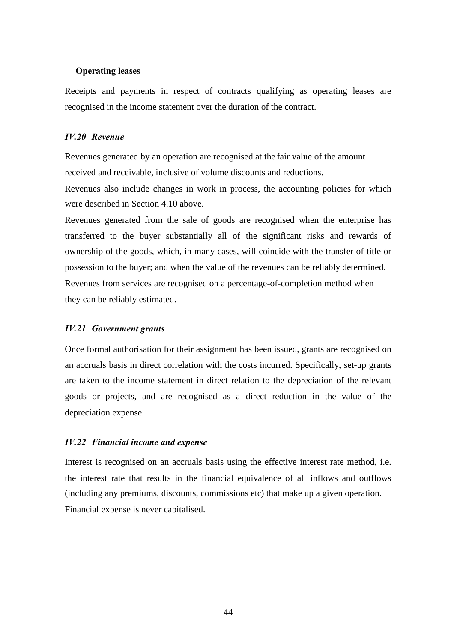#### **Operating leases**

Receipts and payments in respect of contracts qualifying as operating leases are recognised in the income statement over the duration of the contract.

#### *IV.20 Revenue*

Revenues generated by an operation are recognised at the fair value of the amount received and receivable, inclusive of volume discounts and reductions.

Revenues also include changes in work in process, the accounting policies for which were described in Section 4.10 above.

Revenues generated from the sale of goods are recognised when the enterprise has transferred to the buyer substantially all of the significant risks and rewards of ownership of the goods, which, in many cases, will coincide with the transfer of title or possession to the buyer; and when the value of the revenues can be reliably determined. Revenues from services are recognised on a percentage-of-completion method when they can be reliably estimated.

#### *IV.21 Government grants*

Once formal authorisation for their assignment has been issued, grants are recognised on an accruals basis in direct correlation with the costs incurred. Specifically, set-up grants are taken to the income statement in direct relation to the depreciation of the relevant goods or projects, and are recognised as a direct reduction in the value of the depreciation expense.

#### *IV.22 Financial income and expense*

Interest is recognised on an accruals basis using the effective interest rate method, i.e. the interest rate that results in the financial equivalence of all inflows and outflows (including any premiums, discounts, commissions etc) that make up a given operation. Financial expense is never capitalised.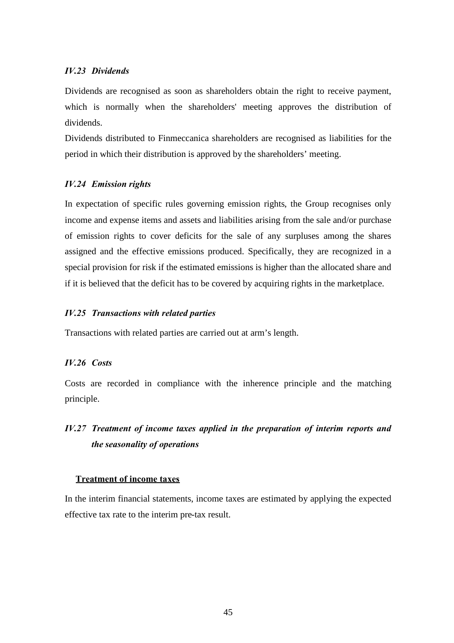## *IV.23 Dividends*

Dividends are recognised as soon as shareholders obtain the right to receive payment, which is normally when the shareholders' meeting approves the distribution of dividends.

Dividends distributed to Finmeccanica shareholders are recognised as liabilities for the period in which their distribution is approved by the shareholders' meeting.

## *IV.24 Emission rights*

In expectation of specific rules governing emission rights, the Group recognises only income and expense items and assets and liabilities arising from the sale and/or purchase of emission rights to cover deficits for the sale of any surpluses among the shares assigned and the effective emissions produced. Specifically, they are recognized in a special provision for risk if the estimated emissions is higher than the allocated share and if it is believed that the deficit has to be covered by acquiring rights in the marketplace.

## *IV.25 Transactions with related parties*

Transactions with related parties are carried out at arm's length.

#### *IV.26 Costs*

Costs are recorded in compliance with the inherence principle and the matching principle.

# *IV.27 Treatment of income taxes applied in the preparation of interim reports and the seasonality of operations*

#### **Treatment of income taxes**

In the interim financial statements, income taxes are estimated by applying the expected effective tax rate to the interim pre-tax result.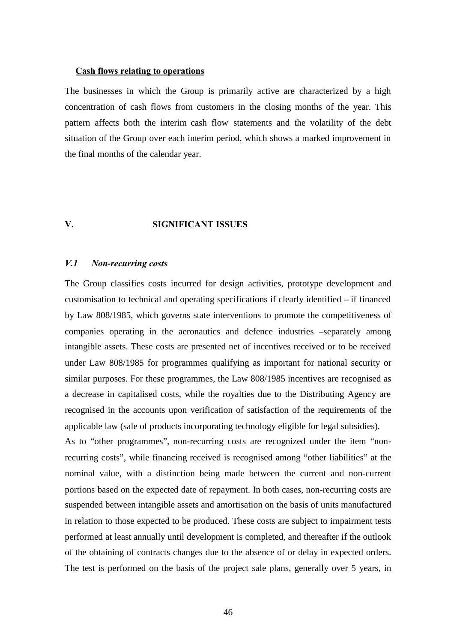#### **Cash flows relating to operations**

The businesses in which the Group is primarily active are characterized by a high concentration of cash flows from customers in the closing months of the year. This pattern affects both the interim cash flow statements and the volatility of the debt situation of the Group over each interim period, which shows a marked improvement in the final months of the calendar year.

## **V. SIGNIFICANT ISSUES**

#### *V.1 Non-recurring costs*

The Group classifies costs incurred for design activities, prototype development and customisation to technical and operating specifications if clearly identified – if financed by Law 808/1985, which governs state interventions to promote the competitiveness of companies operating in the aeronautics and defence industries –separately among intangible assets. These costs are presented net of incentives received or to be received under Law 808/1985 for programmes qualifying as important for national security or similar purposes. For these programmes, the Law 808/1985 incentives are recognised as a decrease in capitalised costs, while the royalties due to the Distributing Agency are recognised in the accounts upon verification of satisfaction of the requirements of the applicable law (sale of products incorporating technology eligible for legal subsidies).

As to "other programmes", non-recurring costs are recognized under the item "nonrecurring costs", while financing received is recognised among "other liabilities" at the nominal value, with a distinction being made between the current and non-current portions based on the expected date of repayment. In both cases, non-recurring costs are suspended between intangible assets and amortisation on the basis of units manufactured in relation to those expected to be produced. These costs are subject to impairment tests performed at least annually until development is completed, and thereafter if the outlook of the obtaining of contracts changes due to the absence of or delay in expected orders. The test is performed on the basis of the project sale plans, generally over 5 years, in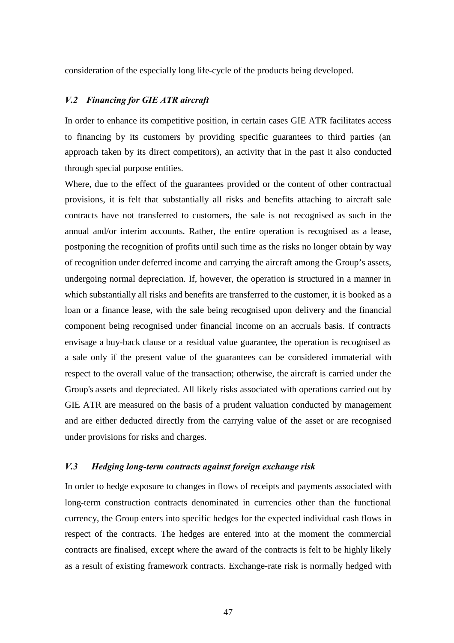consideration of the especially long life-cycle of the products being developed.

## *V.2 Financing for GIE ATR aircraft*

In order to enhance its competitive position, in certain cases GIE ATR facilitates access to financing by its customers by providing specific guarantees to third parties (an approach taken by its direct competitors), an activity that in the past it also conducted through special purpose entities.

Where, due to the effect of the guarantees provided or the content of other contractual provisions, it is felt that substantially all risks and benefits attaching to aircraft sale contracts have not transferred to customers, the sale is not recognised as such in the annual and/or interim accounts. Rather, the entire operation is recognised as a lease, postponing the recognition of profits until such time as the risks no longer obtain by way of recognition under deferred income and carrying the aircraft among the Group's assets, undergoing normal depreciation. If, however, the operation is structured in a manner in which substantially all risks and benefits are transferred to the customer, it is booked as a loan or a finance lease, with the sale being recognised upon delivery and the financial component being recognised under financial income on an accruals basis. If contracts envisage a buy-back clause or a residual value guarantee, the operation is recognised as a sale only if the present value of the guarantees can be considered immaterial with respect to the overall value of the transaction; otherwise, the aircraft is carried under the Group's assets and depreciated. All likely risks associated with operations carried out by GIE ATR are measured on the basis of a prudent valuation conducted by management and are either deducted directly from the carrying value of the asset or are recognised under provisions for risks and charges.

## *V.3 Hedging long-term contracts against foreign exchange risk*

In order to hedge exposure to changes in flows of receipts and payments associated with long-term construction contracts denominated in currencies other than the functional currency, the Group enters into specific hedges for the expected individual cash flows in respect of the contracts. The hedges are entered into at the moment the commercial contracts are finalised, except where the award of the contracts is felt to be highly likely as a result of existing framework contracts. Exchange-rate risk is normally hedged with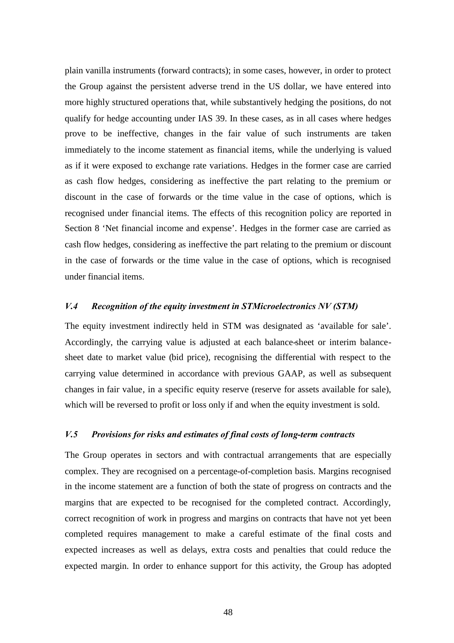plain vanilla instruments (forward contracts); in some cases, however, in order to protect the Group against the persistent adverse trend in the US dollar, we have entered into more highly structured operations that, while substantively hedging the positions, do not qualify for hedge accounting under IAS 39. In these cases, as in all cases where hedges prove to be ineffective, changes in the fair value of such instruments are taken immediately to the income statement as financial items, while the underlying is valued as if it were exposed to exchange rate variations. Hedges in the former case are carried as cash flow hedges, considering as ineffective the part relating to the premium or discount in the case of forwards or the time value in the case of options, which is recognised under financial items. The effects of this recognition policy are reported in Section 8 'Net financial income and expense'. Hedges in the former case are carried as cash flow hedges, considering as ineffective the part relating to the premium or discount in the case of forwards or the time value in the case of options, which is recognised under financial items.

## *V.4 Recognition of the equity investment in STMicroelectronics NV (STM)*

The equity investment indirectly held in STM was designated as 'available for sale'. Accordingly, the carrying value is adjusted at each balance-sheet or interim balancesheet date to market value (bid price), recognising the differential with respect to the carrying value determined in accordance with previous GAAP, as well as subsequent changes in fair value, in a specific equity reserve (reserve for assets available for sale), which will be reversed to profit or loss only if and when the equity investment is sold.

## *V.5 Provisions for risks and estimates of final costs of long-term contracts*

The Group operates in sectors and with contractual arrangements that are especially complex. They are recognised on a percentage-of-completion basis. Margins recognised in the income statement are a function of both the state of progress on contracts and the margins that are expected to be recognised for the completed contract. Accordingly, correct recognition of work in progress and margins on contracts that have not yet been completed requires management to make a careful estimate of the final costs and expected increases as well as delays, extra costs and penalties that could reduce the expected margin. In order to enhance support for this activity, the Group has adopted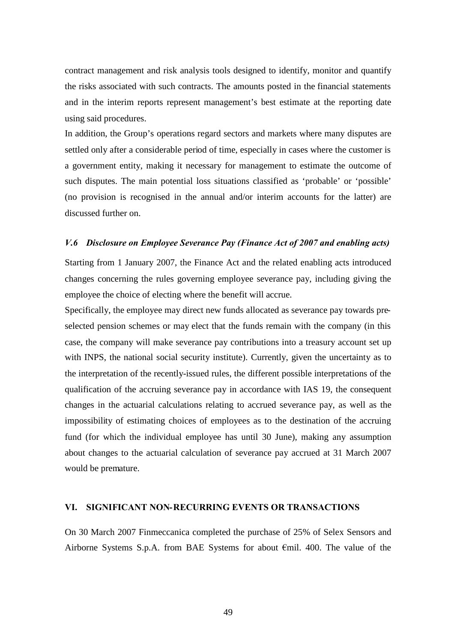contract management and risk analysis tools designed to identify, monitor and quantify the risks associated with such contracts. The amounts posted in the financial statements and in the interim reports represent management's best estimate at the reporting date using said procedures.

In addition, the Group's operations regard sectors and markets where many disputes are settled only after a considerable period of time, especially in cases where the customer is a government entity, making it necessary for management to estimate the outcome of such disputes. The main potential loss situations classified as 'probable' or 'possible' (no provision is recognised in the annual and/or interim accounts for the latter) are discussed further on.

#### *V.6 Disclosure on Employee Severance Pay (Finance Act of 2007 and enabling acts)*

Starting from 1 January 2007, the Finance Act and the related enabling acts introduced changes concerning the rules governing employee severance pay, including giving the employee the choice of electing where the benefit will accrue.

Specifically, the employee may direct new funds allocated as severance pay towards preselected pension schemes or may elect that the funds remain with the company (in this case, the company will make severance pay contributions into a treasury account set up with INPS, the national social security institute). Currently, given the uncertainty as to the interpretation of the recently-issued rules, the different possible interpretations of the qualification of the accruing severance pay in accordance with IAS 19, the consequent changes in the actuarial calculations relating to accrued severance pay, as well as the impossibility of estimating choices of employees as to the destination of the accruing fund (for which the individual employee has until 30 June), making any assumption about changes to the actuarial calculation of severance pay accrued at 31 March 2007 would be premature.

## **VI. SIGNIFICANT NON-RECURRING EVENTS OR TRANSACTIONS**

On 30 March 2007 Finmeccanica completed the purchase of 25% of Selex Sensors and Airborne Systems S.p.A. from BAE Systems for about €mil. 400. The value of the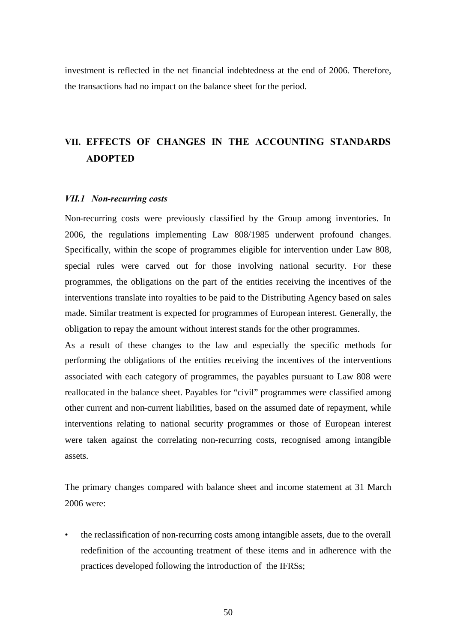investment is reflected in the net financial indebtedness at the end of 2006. Therefore, the transactions had no impact on the balance sheet for the period.

# **VII. EFFECTS OF CHANGES IN THE ACCOUNTING STANDARDS ADOPTED**

## *VII.1 Non-recurring costs*

Non-recurring costs were previously classified by the Group among inventories. In 2006, the regulations implementing Law 808/1985 underwent profound changes. Specifically, within the scope of programmes eligible for intervention under Law 808, special rules were carved out for those involving national security. For these programmes, the obligations on the part of the entities receiving the incentives of the interventions translate into royalties to be paid to the Distributing Agency based on sales made. Similar treatment is expected for programmes of European interest. Generally, the obligation to repay the amount without interest stands for the other programmes.

As a result of these changes to the law and especially the specific methods for performing the obligations of the entities receiving the incentives of the interventions associated with each category of programmes, the payables pursuant to Law 808 were reallocated in the balance sheet. Payables for "civil" programmes were classified among other current and non-current liabilities, based on the assumed date of repayment, while interventions relating to national security programmes or those of European interest were taken against the correlating non-recurring costs, recognised among intangible assets.

The primary changes compared with balance sheet and income statement at 31 March 2006 were:

• the reclassification of non-recurring costs among intangible assets, due to the overall redefinition of the accounting treatment of these items and in adherence with the practices developed following the introduction of the IFRSs;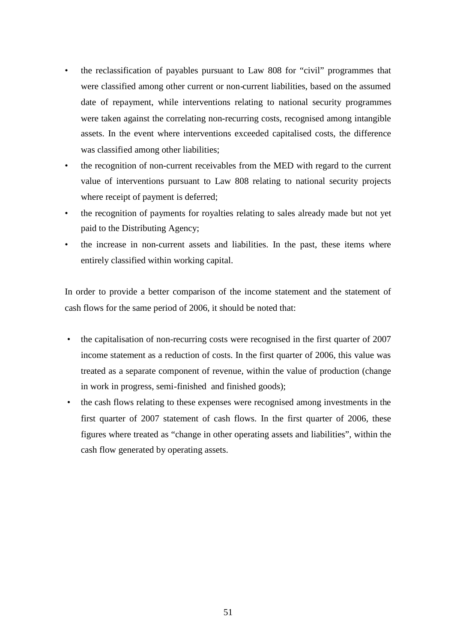- the reclassification of payables pursuant to Law 808 for "civil" programmes that were classified among other current or non-current liabilities, based on the assumed date of repayment, while interventions relating to national security programmes were taken against the correlating non-recurring costs, recognised among intangible assets. In the event where interventions exceeded capitalised costs, the difference was classified among other liabilities;
- the recognition of non-current receivables from the MED with regard to the current value of interventions pursuant to Law 808 relating to national security projects where receipt of payment is deferred;
- the recognition of payments for royalties relating to sales already made but not yet paid to the Distributing Agency;
- the increase in non-current assets and liabilities. In the past, these items where entirely classified within working capital.

In order to provide a better comparison of the income statement and the statement of cash flows for the same period of 2006, it should be noted that:

- the capitalisation of non-recurring costs were recognised in the first quarter of 2007 income statement as a reduction of costs. In the first quarter of 2006, this value was treated as a separate component of revenue, within the value of production (change in work in progress, semi-finished and finished goods);
- the cash flows relating to these expenses were recognised among investments in the first quarter of 2007 statement of cash flows. In the first quarter of 2006, these figures where treated as "change in other operating assets and liabilities", within the cash flow generated by operating assets.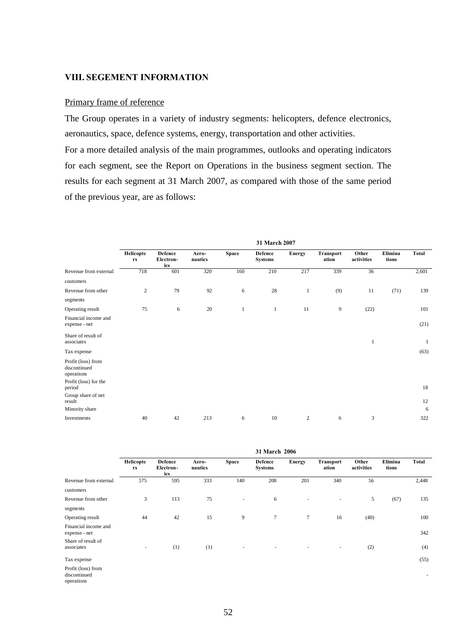## **VIII. SEGEMENT INFORMATION**

## Primary frame of reference

The Group operates in a variety of industry segments: helicopters, defence electronics, aeronautics, space, defence systems, energy, transportation and other activities.

For a more detailed analysis of the main programmes, outlooks and operating indicators for each segment, see the Report on Operations in the business segment section. The results for each segment at 31 March 2007, as compared with those of the same period of the previous year, are as follows:

|                                                                           | 31 March 2007   |                                    |                  |              |                           |                |                    |                     |                  |              |
|---------------------------------------------------------------------------|-----------------|------------------------------------|------------------|--------------|---------------------------|----------------|--------------------|---------------------|------------------|--------------|
|                                                                           | Helicopte<br>rs | <b>Defence</b><br>Electron-<br>ics | Aero-<br>nautics | <b>Space</b> | Defence<br><b>Systems</b> | <b>Energy</b>  | Transport<br>ation | Other<br>activities | Elimina<br>tions | Total        |
| Revenue from external                                                     | 718             | 601                                | 320              | 160          | 210                       | 217            | 339                | 36                  |                  | 2,601        |
| customers                                                                 |                 |                                    |                  |              |                           |                |                    |                     |                  |              |
| Revenue from other                                                        | $\sqrt{2}$      | 79                                 | 92               | 6            | 28                        | $\mathbf{1}$   | (9)                | 11                  | (71)             | 139          |
| segments                                                                  |                 |                                    |                  |              |                           |                |                    |                     |                  |              |
| Operating result                                                          | 75              | 6                                  | 20               | $\mathbf{1}$ | $\mathbf{1}$              | 11             | 9                  | (22)                |                  | 101          |
| Financial income and<br>expense - net                                     |                 |                                    |                  |              |                           |                |                    |                     |                  | (21)         |
| Share of result of<br>associates                                          |                 |                                    |                  |              |                           |                |                    | $\mathbf{1}$        |                  | $\mathbf{1}$ |
| Tax expense                                                               |                 |                                    |                  |              |                           |                |                    |                     |                  | (63)         |
| Profit (loss) from<br>discontinued<br>operations<br>Profit (loss) for the |                 |                                    |                  |              |                           |                |                    |                     |                  |              |
| period                                                                    |                 |                                    |                  |              |                           |                |                    |                     |                  | 18           |
| Group share of net<br>result                                              |                 |                                    |                  |              |                           |                |                    |                     |                  | 12           |
| Minority share                                                            |                 |                                    |                  |              |                           |                |                    |                     |                  | 6            |
| Investments                                                               | 40              | 42                                 | 213              | 6            | 10                        | $\overline{c}$ | 6                  | 3                   |                  | 322          |

|                                                  | 31 March 2006   |                                    |                  |                          |                                  |                          |                    |                     |                  |                          |
|--------------------------------------------------|-----------------|------------------------------------|------------------|--------------------------|----------------------------------|--------------------------|--------------------|---------------------|------------------|--------------------------|
|                                                  | Helicopte<br>rs | <b>Defence</b><br>Electron-<br>ics | Aero-<br>nautics | <b>Space</b>             | <b>Defence</b><br><b>Systems</b> | Energy                   | Transport<br>ation | Other<br>activities | Elimina<br>tions | <b>Total</b>             |
| Revenue from external                            | 575             | 595                                | 333              | 140                      | 208                              | 201                      | 340                | 56                  |                  | 2,448                    |
| customers                                        |                 |                                    |                  |                          |                                  |                          |                    |                     |                  |                          |
| Revenue from other                               | 3               | 113                                | 75               | $\overline{\phantom{a}}$ | 6                                | ٠                        | ٠                  | 5                   | (67)             | 135                      |
| segments                                         |                 |                                    |                  |                          |                                  |                          |                    |                     |                  |                          |
| Operating result                                 | 44              | 42                                 | 15               | 9                        | $\tau$                           | 7                        | 16                 | (40)                |                  | 100                      |
| Financial income and<br>expense - net            |                 |                                    |                  |                          |                                  |                          |                    |                     |                  | 342                      |
| Share of result of<br>associates                 | ٠               | (1)                                | (1)              | $\overline{\phantom{a}}$ | ٠                                | $\overline{\phantom{a}}$ | ٠                  | (2)                 |                  | (4)                      |
| Tax expense                                      |                 |                                    |                  |                          |                                  |                          |                    |                     |                  | (55)                     |
| Profit (loss) from<br>discontinued<br>operations |                 |                                    |                  |                          |                                  |                          |                    |                     |                  | $\overline{\phantom{a}}$ |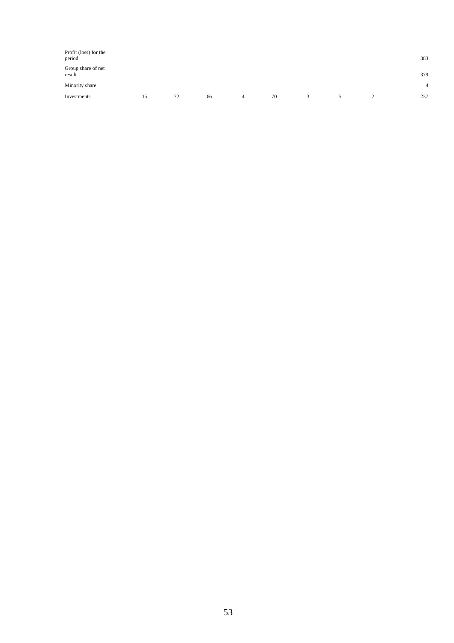| Profit (loss) for the<br>period |    |    |    |   |    |   |  | 383            |
|---------------------------------|----|----|----|---|----|---|--|----------------|
| Group share of net<br>result    |    |    |    |   |    |   |  | 379            |
| Minority share                  |    |    |    |   |    |   |  | $\overline{4}$ |
| Investments                     | 15 | 72 | 66 | 4 | 70 | 3 |  | 237            |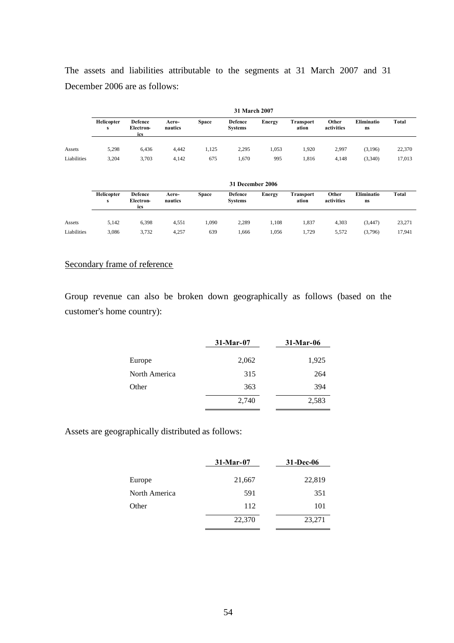The assets and liabilities attributable to the segments at 31 March 2007 and 31 December 2006 are as follows:

|             | <b>31 March 2007</b> |                                    |                  |              |                           |        |                           |                     |                  |        |
|-------------|----------------------|------------------------------------|------------------|--------------|---------------------------|--------|---------------------------|---------------------|------------------|--------|
|             | Helicopter<br>s      | <b>Defence</b><br>Electron-<br>ics | Aero-<br>nautics | <b>Space</b> | Defence<br><b>Systems</b> | Energy | <b>Transport</b><br>ation | Other<br>activities | Eliminatio<br>ns | Total  |
| Assets      | 5,298                | 6.436                              | 4.442            | 1,125        | 2,295                     | 1,053  | 1,920                     | 2,997               | (3,196)          | 22,370 |
| Liabilities | 3,204                | 3,703                              | 4,142            | 675          | 1,670                     | 995    | 1,816                     | 4,148               | (3,340)          | 17,013 |

|             | 31 December 2006 |                                    |                  |              |                                  |        |                    |                     |                  |        |
|-------------|------------------|------------------------------------|------------------|--------------|----------------------------------|--------|--------------------|---------------------|------------------|--------|
|             | Helicopter<br>s  | <b>Defence</b><br>Electron-<br>ics | Aero-<br>nautics | <b>Space</b> | <b>Defence</b><br><b>Systems</b> | Energy | Transport<br>ation | Other<br>activities | Eliminatio<br>ns | Total  |
| Assets      | 5,142            | 6,398                              | 4.551            | 1,090        | 2,289                            | 1.108  | 1.837              | 4,303               | (3, 447)         | 23,271 |
| Liabilities | 3,086            | 3,732                              | 4.257            | 639          | .666                             | 1,056  | 1,729              | 5,572               | (3,796)          | 17,941 |

## Secondary frame of reference

Group revenue can also be broken down geographically as follows (based on the customer's home country):

|               | $31-Mar-07$ | $31-Mar-06$ |
|---------------|-------------|-------------|
| Europe        | 2,062       | 1,925       |
| North America | 315         | 264         |
| Other         | 363         | 394         |
|               | 2,740       | 2,583       |

Assets are geographically distributed as follows:

|               | $31-Mar-07$ | 31-Dec-06 |
|---------------|-------------|-----------|
| Europe        | 21,667      | 22,819    |
| North America | 591         | 351       |
| Other         | 112         | 101       |
|               | 22,370      | 23,271    |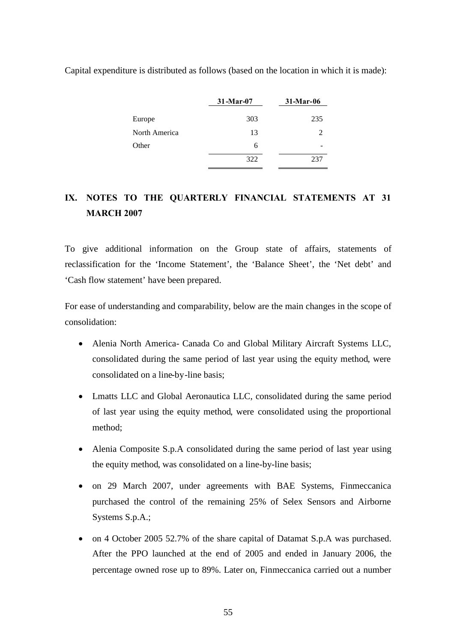|               | 31-Mar-07 | 31-Mar-06                   |
|---------------|-----------|-----------------------------|
| Europe        | 303       | 235                         |
| North America | 13        | $\mathcal{D}_{\mathcal{L}}$ |
| Other         | 6         |                             |
|               | 322       | 237                         |

Capital expenditure is distributed as follows (based on the location in which it is made):

# **IX. NOTES TO THE QUARTERLY FINANCIAL STATEMENTS AT 31 MARCH 2007**

To give additional information on the Group state of affairs, statements of reclassification for the 'Income Statement', the 'Balance Sheet', the 'Net debt' and 'Cash flow statement' have been prepared.

For ease of understanding and comparability, below are the main changes in the scope of consolidation:

- Alenia North America- Canada Co and Global Military Aircraft Systems LLC, consolidated during the same period of last year using the equity method, were consolidated on a line-by-line basis;
- Lmatts LLC and Global Aeronautica LLC, consolidated during the same period of last year using the equity method, were consolidated using the proportional method;
- Alenia Composite S.p.A consolidated during the same period of last year using the equity method, was consolidated on a line-by-line basis;
- on 29 March 2007, under agreements with BAE Systems, Finmeccanica purchased the control of the remaining 25% of Selex Sensors and Airborne Systems S.p.A.;
- on 4 October 2005 52.7% of the share capital of Datamat S.p.A was purchased. After the PPO launched at the end of 2005 and ended in January 2006, the percentage owned rose up to 89%. Later on, Finmeccanica carried out a number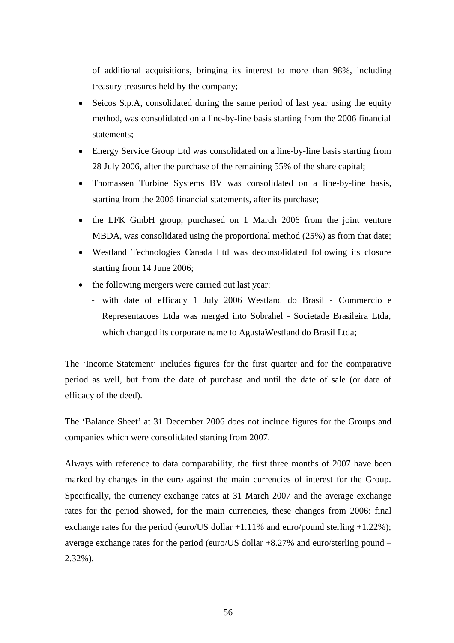of additional acquisitions, bringing its interest to more than 98%, including treasury treasures held by the company;

- Seicos S.p.A, consolidated during the same period of last year using the equity method, was consolidated on a line-by-line basis starting from the 2006 financial statements;
- Energy Service Group Ltd was consolidated on a line-by-line basis starting from 28 July 2006, after the purchase of the remaining 55% of the share capital;
- Thomassen Turbine Systems BV was consolidated on a line-by-line basis, starting from the 2006 financial statements, after its purchase;
- the LFK GmbH group, purchased on 1 March 2006 from the joint venture MBDA, was consolidated using the proportional method (25%) as from that date;
- Westland Technologies Canada Ltd was deconsolidated following its closure starting from 14 June 2006;
- the following mergers were carried out last year:
	- with date of efficacy 1 July 2006 Westland do Brasil Commercio e Representacoes Ltda was merged into Sobrahel - Societade Brasileira Ltda, which changed its corporate name to AgustaWestland do Brasil Ltda;

The 'Income Statement' includes figures for the first quarter and for the comparative period as well, but from the date of purchase and until the date of sale (or date of efficacy of the deed).

The 'Balance Sheet' at 31 December 2006 does not include figures for the Groups and companies which were consolidated starting from 2007.

Always with reference to data comparability, the first three months of 2007 have been marked by changes in the euro against the main currencies of interest for the Group. Specifically, the currency exchange rates at 31 March 2007 and the average exchange rates for the period showed, for the main currencies, these changes from 2006: final exchange rates for the period (euro/US dollar  $+1.11\%$  and euro/pound sterling  $+1.22\%$ ); average exchange rates for the period (euro/US dollar +8.27% and euro/sterling pound – 2.32%).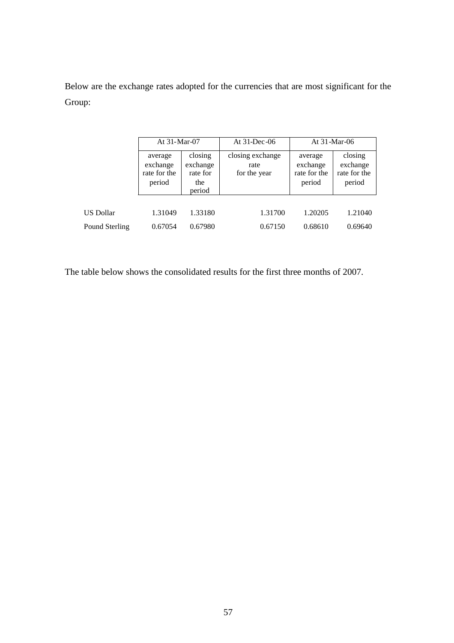Below are the exchange rates adopted for the currencies that are most significant for the Group:

|                  | At 31-Mar-07                                  |                                                  | At 31-Dec-06                             | At 31-Mar-06                                  |                                               |  |
|------------------|-----------------------------------------------|--------------------------------------------------|------------------------------------------|-----------------------------------------------|-----------------------------------------------|--|
|                  | average<br>exchange<br>rate for the<br>period | closing<br>exchange<br>rate for<br>the<br>period | closing exchange<br>rate<br>for the year | average<br>exchange<br>rate for the<br>period | closing<br>exchange<br>rate for the<br>period |  |
| <b>US Dollar</b> | 1.31049                                       | 1.33180                                          | 1.31700                                  | 1.20205                                       | 1.21040                                       |  |
| Pound Sterling   | 0.67054                                       | 0.67980                                          | 0.67150                                  | 0.68610                                       | 0.69640                                       |  |

The table below shows the consolidated results for the first three months of 2007.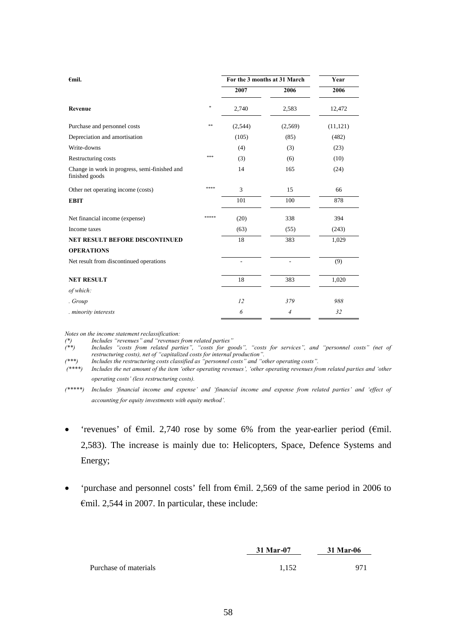| $\epsilon$ mil.                                                 |       |                | For the 3 months at 31 March | Year      |
|-----------------------------------------------------------------|-------|----------------|------------------------------|-----------|
|                                                                 |       | 2007           | 2006                         | 2006      |
| Revenue                                                         | *     | 2,740          | 2,583                        | 12,472    |
| Purchase and personnel costs                                    | $* *$ | (2,544)        | (2,569)                      | (11, 121) |
| Depreciation and amortisation                                   |       | (105)          | (85)                         | (482)     |
| Write-downs                                                     |       | (4)            | (3)                          | (23)      |
| Restructuring costs                                             | ***   | (3)            | (6)                          | (10)      |
| Change in work in progress, semi-finished and<br>finished goods |       | 14             | 165                          | (24)      |
| Other net operating income (costs)                              | ****  | 3              | 15                           | 66        |
| <b>EBIT</b>                                                     |       | 101            | 100                          | 878       |
| Net financial income (expense)                                  | ***** | (20)           | 338                          | 394       |
| Income taxes                                                    |       | (63)           | (55)                         | (243)     |
| <b>NET RESULT BEFORE DISCONTINUED</b>                           |       | 18             | 383                          | 1,029     |
| <b>OPERATIONS</b>                                               |       |                |                              |           |
| Net result from discontinued operations                         |       | $\overline{a}$ | ÷,                           | (9)       |
| <b>NET RESULT</b>                                               |       | 18             | 383                          | 1,020     |
| of which:                                                       |       |                |                              |           |
| . Group                                                         |       | 12             | 379                          | 988       |
| . minority interests                                            |       | 6              | $\overline{4}$               | 32        |

*Notes on the income statement reclassification:*

*(\*) Includes "revenues" and "revenues from related parties" (\*\*) Includes "costs from related parties", "costs for goods", "costs for services", and "personnel costs" (net of restructuring costs), net of "capitalized costs for internal production".*

*(\*\*\*) Includes the restructuring costs classified as "personnel costs" and "other operating costs".*

*(\*\*\*\*) Includes the net amount of the item 'other operating revenues', 'other operating revenues from related parties and 'other operating costs' (less restructuring costs).*

*(\*\*\*\*\*) Includes 'financial income and expense' and 'financial income and expense from related parties' and 'effect of accounting for equity investments with equity method'.*

- 'revenues' of €mil. 2,740 rose by some 6% from the year-earlier period (€mil. 2,583). The increase is mainly due to: Helicopters, Space, Defence Systems and Energy;
- 'purchase and personnel costs' fell from €mil. 2,569 of the same period in 2006 to €mil. 2,544 in 2007. In particular, these include:

|                       | 31 Mar-07 | 31 Mar-06 |  |
|-----------------------|-----------|-----------|--|
| Purchase of materials | 1.152     | 971       |  |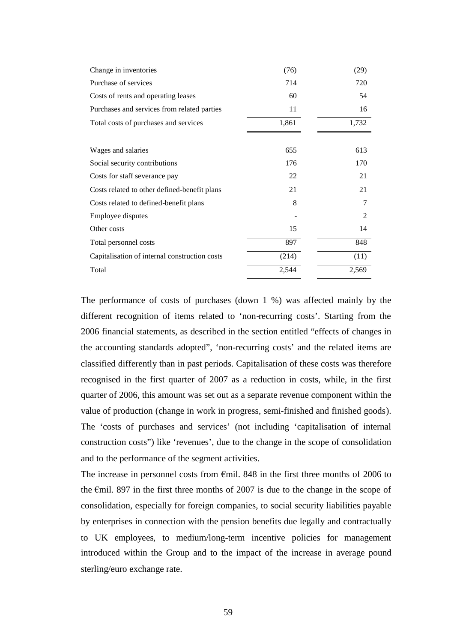| Change in inventories                         | (76)  | (29)  |
|-----------------------------------------------|-------|-------|
| Purchase of services                          | 714   | 720   |
| Costs of rents and operating leases           | 60    | 54    |
| Purchases and services from related parties   | 11    | 16    |
| Total costs of purchases and services         | 1,861 | 1,732 |
|                                               |       |       |
| Wages and salaries                            | 655   | 613   |
| Social security contributions                 | 176   | 170   |
| Costs for staff severance pay                 | 22    | 21    |
| Costs related to other defined-benefit plans  | 21    | 21    |
| Costs related to defined-benefit plans        | 8     | 7     |
| Employee disputes                             |       | 2     |
| Other costs                                   | 15    | 14    |
| Total personnel costs                         | 897   | 848   |
| Capitalisation of internal construction costs | (214) | (11)  |
| Total                                         | 2,544 | 2,569 |

The performance of costs of purchases (down 1 %) was affected mainly by the different recognition of items related to 'non-recurring costs'. Starting from the 2006 financial statements, as described in the section entitled "effects of changes in the accounting standards adopted", 'non-recurring costs' and the related items are classified differently than in past periods. Capitalisation of these costs was therefore recognised in the first quarter of 2007 as a reduction in costs, while, in the first quarter of 2006, this amount was set out as a separate revenue component within the value of production (change in work in progress, semi-finished and finished goods). The 'costs of purchases and services' (not including 'capitalisation of internal construction costs") like 'revenues', due to the change in the scope of consolidation and to the performance of the segment activities.

The increase in personnel costs from  $\epsilon$ mil. 848 in the first three months of 2006 to the €mil. 897 in the first three months of 2007 is due to the change in the scope of consolidation, especially for foreign companies, to social security liabilities payable by enterprises in connection with the pension benefits due legally and contractually to UK employees, to medium/long-term incentive policies for management introduced within the Group and to the impact of the increase in average pound sterling/euro exchange rate.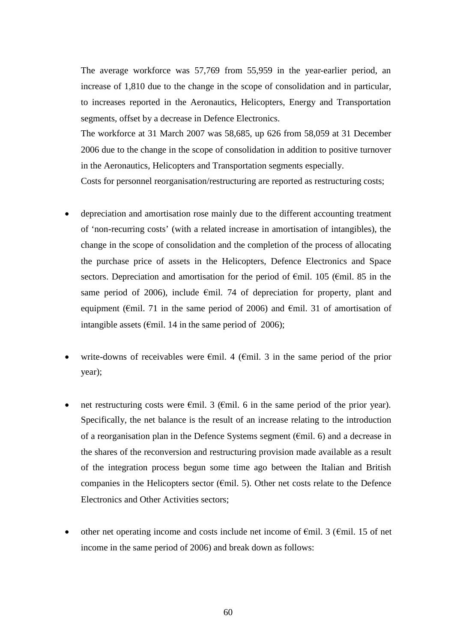The average workforce was 57,769 from 55,959 in the year-earlier period, an increase of 1,810 due to the change in the scope of consolidation and in particular, to increases reported in the Aeronautics, Helicopters, Energy and Transportation segments, offset by a decrease in Defence Electronics.

The workforce at 31 March 2007 was 58,685, up 626 from 58,059 at 31 December 2006 due to the change in the scope of consolidation in addition to positive turnover in the Aeronautics, Helicopters and Transportation segments especially.

Costs for personnel reorganisation/restructuring are reported as restructuring costs;

- depreciation and amortisation rose mainly due to the different accounting treatment of 'non-recurring costs' (with a related increase in amortisation of intangibles), the change in the scope of consolidation and the completion of the process of allocating the purchase price of assets in the Helicopters, Defence Electronics and Space sectors. Depreciation and amortisation for the period of  $\epsilon$ mil. 105 ( $\epsilon$ mil. 85 in the same period of 2006), include  $\epsilon$ mil. 74 of depreciation for property, plant and equipment ( $\epsilon$ mil. 71 in the same period of 2006) and  $\epsilon$ mil. 31 of amortisation of intangible assets ( $\epsilon$ mil. 14 in the same period of 2006);
- write-downs of receivables were  $\epsilon$ mil. 4 ( $\epsilon$ mil. 3 in the same period of the prior year);
- net restructuring costs were €mil. 3 (€mil. 6 in the same period of the prior year). Specifically, the net balance is the result of an increase relating to the introduction of a reorganisation plan in the Defence Systems segment ( $\epsilon$ mil. 6) and a decrease in the shares of the reconversion and restructuring provision made available as a result of the integration process begun some time ago between the Italian and British companies in the Helicopters sector ( $\epsilon$ mil. 5). Other net costs relate to the Defence Electronics and Other Activities sectors;
- other net operating income and costs include net income of  $\epsilon$ mil. 3 ( $\epsilon$ mil. 15 of net income in the same period of 2006) and break down as follows: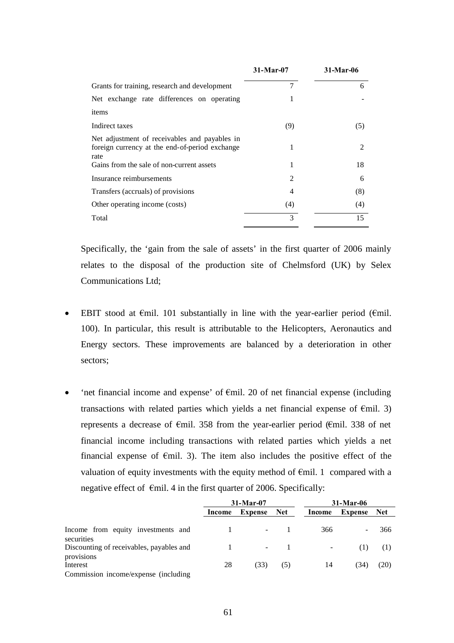|                                                                                                         | $31-Mar-07$    | 31-Mar-06 |
|---------------------------------------------------------------------------------------------------------|----------------|-----------|
| Grants for training, research and development                                                           | 7              | 6         |
| Net exchange rate differences on operating                                                              | 1              |           |
| items                                                                                                   |                |           |
| Indirect taxes                                                                                          | (9)            | (5)       |
| Net adjustment of receivables and payables in<br>foreign currency at the end-of-period exchange<br>rate | 1              | 2         |
| Gains from the sale of non-current assets                                                               | 1              | 18        |
| Insurance reimbursements                                                                                | $\overline{2}$ | 6         |
| Transfers (accruals) of provisions                                                                      | 4              | (8)       |
| Other operating income (costs)                                                                          | (4)            | (4)       |
| Total                                                                                                   | 3              | 15        |

Specifically, the 'gain from the sale of assets' in the first quarter of 2006 mainly relates to the disposal of the production site of Chelmsford (UK) by Selex Communications Ltd;

- EBIT stood at  $\epsilon$ mil. 101 substantially in line with the year-earlier period ( $\epsilon$ mil. 100). In particular, this result is attributable to the Helicopters, Aeronautics and Energy sectors. These improvements are balanced by a deterioration in other sectors;
- 'net financial income and expense' of €mil. 20 of net financial expense (including transactions with related parties which yields a net financial expense of  $\epsilon$ mil. 3) represents a decrease of €mil. 358 from the year-earlier period (€mil. 338 of net financial income including transactions with related parties which yields a net financial expense of  $\epsilon$ mil. 3). The item also includes the positive effect of the valuation of equity investments with the equity method of €mil. 1 compared with a negative effect of  $\epsilon$ mil. 4 in the first quarter of 2006. Specifically:

|                                                                 | $31-Mar-07$ |         | 31-Mar-06 |                          |                |      |
|-----------------------------------------------------------------|-------------|---------|-----------|--------------------------|----------------|------|
|                                                                 | Income      | Expense | Net       | Income                   | <b>Expense</b> | Net  |
| Income from equity investments and<br>securities                |             |         |           | 366                      | ۰              | 366  |
| Discounting of receivables, payables and                        |             | ٠.      |           | $\overline{\phantom{a}}$ | (1)            | (1)  |
| provisions<br>Interest<br>Commission income/expense (including) | 28          | (33)    | (5)       | 14                       | (34)           | (20) |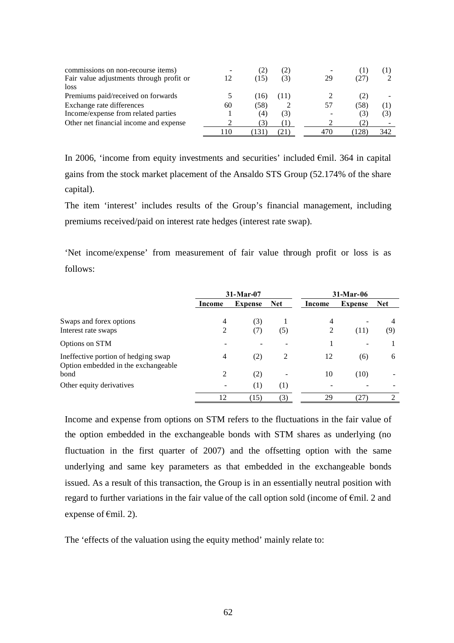| commissions on non-recourse items)<br>Fair value adjustments through profit or<br>loss |      | (15              | (2)<br>(3) | -<br>29 | (27) |     |
|----------------------------------------------------------------------------------------|------|------------------|------------|---------|------|-----|
| Premiums paid/received on forwards                                                     |      | (16)             |            |         | (2)  |     |
| Exchange rate differences                                                              | 60   | (58)             |            | 57      | (58) |     |
| Income/expense from related parties                                                    |      | $\left(4\right)$ | (3)        |         | (3)  | (3) |
| Other net financial income and expense                                                 |      |                  |            |         |      |     |
|                                                                                        | l 10 | 1.5 I            |            | 470     | 128  | 342 |

In 2006, 'income from equity investments and securities' included €mil. 364 in capital gains from the stock market placement of the Ansaldo STS Group (52.174% of the share capital).

The item 'interest' includes results of the Group's financial management, including premiums received/paid on interest rate hedges (interest rate swap).

'Net income/expense' from measurement of fair value through profit or loss is as follows:

|                                                                            | $31-Mar-07$ |                | $31-Mar-06$ |        |                |            |
|----------------------------------------------------------------------------|-------------|----------------|-------------|--------|----------------|------------|
|                                                                            | Income      | <b>Expense</b> | <b>Net</b>  | Income | <b>Expense</b> | <b>Net</b> |
| Swaps and forex options                                                    | 4           | (3)            |             | 4      |                |            |
| Interest rate swaps                                                        | 2           | (7)            | (5)         | 2      | (11)           | (9)        |
| Options on STM                                                             |             |                |             |        |                |            |
| Ineffective portion of hedging swap<br>Option embedded in the exchangeable | 4           | (2)            | 2           | 12     | (6)            | 6          |
| bond                                                                       | 2           | (2)            |             | 10     | (10)           |            |
| Other equity derivatives                                                   |             | (1)            | (1)         |        |                |            |
|                                                                            | 12          | (15)           | (3)         | 29     | (27)           | ∍          |

Income and expense from options on STM refers to the fluctuations in the fair value of the option embedded in the exchangeable bonds with STM shares as underlying (no fluctuation in the first quarter of 2007) and the offsetting option with the same underlying and same key parameters as that embedded in the exchangeable bonds issued. As a result of this transaction, the Group is in an essentially neutral position with regard to further variations in the fair value of the call option sold (income of €mil. 2 and expense of  $\epsilon$ mil. 2).

The 'effects of the valuation using the equity method' mainly relate to: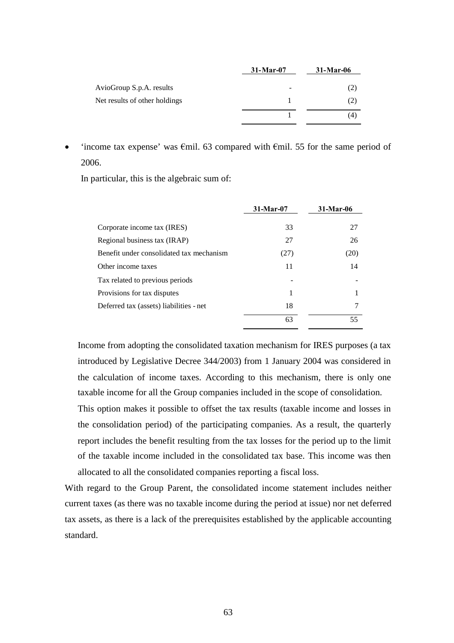|                                                           | $31-Mar-07$ | $31-Mar-06$ |
|-----------------------------------------------------------|-------------|-------------|
| AvioGroup S.p.A. results<br>Net results of other holdings | -           | (2)<br>(2)  |
|                                                           |             | (4)         |

'income tax expense' was  $\epsilon$ mil. 63 compared with  $\epsilon$ mil. 55 for the same period of 2006.

In particular, this is the algebraic sum of:

|                                          | $31-Mar-07$ | 31-Mar-06 |
|------------------------------------------|-------------|-----------|
| Corporate income tax (IRES)              | 33          | 27        |
| Regional business tax (IRAP)             | 27          | 26        |
| Benefit under consolidated tax mechanism | (27)        | (20)      |
| Other income taxes                       | 11          | 14        |
| Tax related to previous periods          |             |           |
| Provisions for tax disputes              |             |           |
| Deferred tax (assets) liabilities - net  | 18          |           |
|                                          | 63          | 55        |

Income from adopting the consolidated taxation mechanism for IRES purposes (a tax introduced by Legislative Decree 344/2003) from 1 January 2004 was considered in the calculation of income taxes. According to this mechanism, there is only one taxable income for all the Group companies included in the scope of consolidation.

This option makes it possible to offset the tax results (taxable income and losses in the consolidation period) of the participating companies. As a result, the quarterly report includes the benefit resulting from the tax losses for the period up to the limit of the taxable income included in the consolidated tax base. This income was then allocated to all the consolidated companies reporting a fiscal loss.

With regard to the Group Parent, the consolidated income statement includes neither current taxes (as there was no taxable income during the period at issue) nor net deferred tax assets, as there is a lack of the prerequisites established by the applicable accounting standard.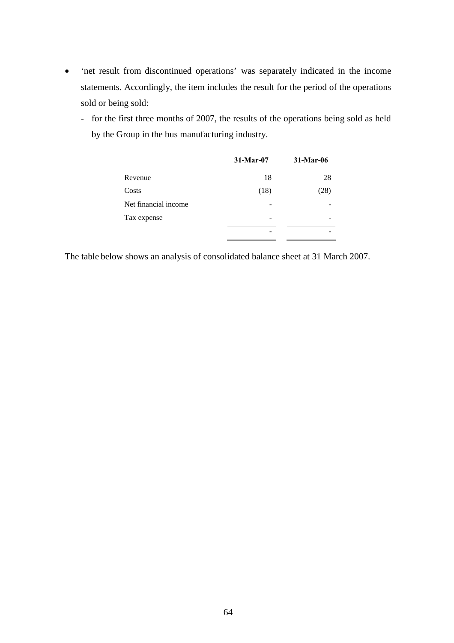- 'net result from discontinued operations' was separately indicated in the income statements. Accordingly, the item includes the result for the period of the operations sold or being sold:
	- for the first three months of 2007, the results of the operations being sold as held by the Group in the bus manufacturing industry.

|                      | 31-Mar-07 | 31-Mar-06 |
|----------------------|-----------|-----------|
| Revenue              | 18        | 28        |
| Costs                | (18)      | (28)      |
| Net financial income |           |           |
| Tax expense          |           |           |
|                      |           |           |

The table below shows an analysis of consolidated balance sheet at 31 March 2007.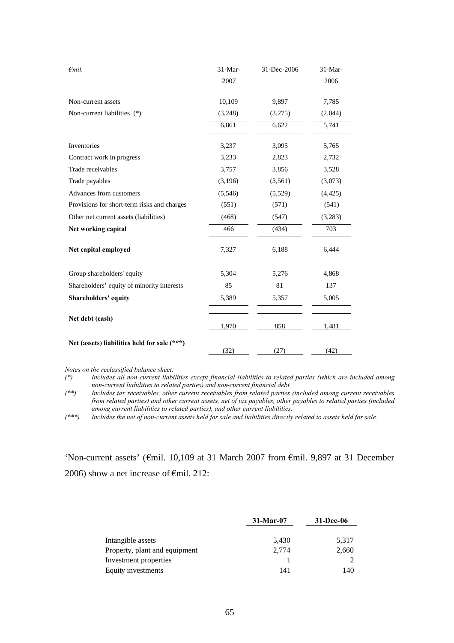| $\epsilon$ mil.                              | $31-Mar-$ | 31-Dec-2006 | $31-Mar-$ |
|----------------------------------------------|-----------|-------------|-----------|
|                                              | 2007      |             | 2006      |
| Non-current assets                           | 10,109    | 9,897       | 7,785     |
| Non-current liabilities (*)                  | (3,248)   | (3,275)     | (2,044)   |
|                                              | 6,861     | 6,622       | 5,741     |
| Inventories                                  | 3,237     | 3,095       | 5,765     |
| Contract work in progress                    | 3,233     | 2,823       | 2,732     |
| Trade receivables                            | 3,757     | 3,856       | 3,528     |
| Trade payables                               | (3,196)   | (3,561)     | (3,073)   |
| Advances from customers                      | (5,546)   | (5,529)     | (4, 425)  |
| Provisions for short-term risks and charges  | (551)     | (571)       | (541)     |
| Other net current assets (liabilities)       | (468)     | (547)       | (3,283)   |
| Net working capital                          | 466       | (434)       | 703       |
| Net capital employed                         | 7,327     | 6,188       | 6,444     |
| Group shareholders' equity                   | 5,304     | 5,276       | 4,868     |
| Shareholders' equity of minority interests   | 85        | 81          | 137       |
| Shareholders' equity                         | 5,389     | 5,357       | 5,005     |
| Net debt (cash)                              | 1,970     | 858         | 1,481     |
| Net (assets) liabilities held for sale (***) | (32)      | (27)        | (42)      |

*Notes on the reclassified balance sheet:*

*(\*) Includes all non-current liabilities except financial liabilities to related parties (which are included among non-current liabilities to related parties) and non-current financial debt.*

*(\*\*) Includes tax receivables, other current receivables from related parties (included among current receivables from related parties) and other current assets, net of tax payables, other payables to related parties (included among current liabilities to related parties), and other current liabilities.*

*(\*\*\*) Includes the net of non-current assets held for sale and liabilities directly related to assets held for sale.*

'Non-current assets' (€mil. 10,109 at 31 March 2007 from €mil. 9,897 at 31 December 2006) show a net increase of  $\epsilon$ mil. 212:

|                               | $31-Mar-07$ | 31-Dec-06 |
|-------------------------------|-------------|-----------|
|                               |             |           |
| Intangible assets             | 5,430       | 5,317     |
| Property, plant and equipment | 2.774       | 2,660     |
| Investment properties         |             |           |
| Equity investments            | 141         | 140       |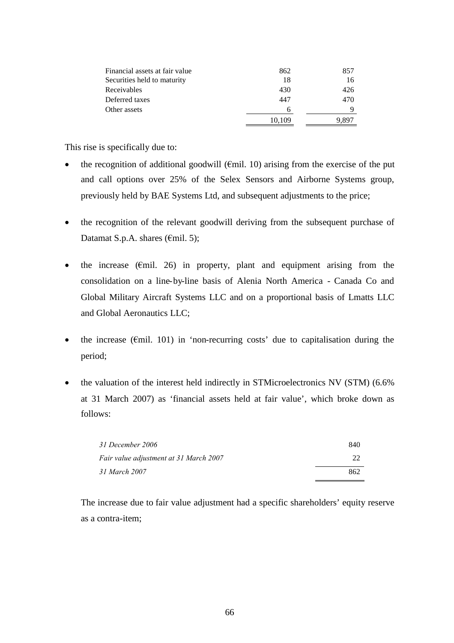| Financial assets at fair value | 862    | 857 |
|--------------------------------|--------|-----|
| Securities held to maturity    | 18     | 16  |
| Receivables                    | 430    | 426 |
| Deferred taxes                 | 447    | 470 |
| Other assets                   | 6      |     |
|                                | 10,109 |     |

This rise is specifically due to:

- the recognition of additional goodwill ( $\epsilon$ mil. 10) arising from the exercise of the put and call options over 25% of the Selex Sensors and Airborne Systems group, previously held by BAE Systems Ltd, and subsequent adjustments to the price;
- the recognition of the relevant goodwill deriving from the subsequent purchase of Datamat S.p.A. shares ( $\epsilon$ mil. 5);
- the increase ( $\epsilon$ mil. 26) in property, plant and equipment arising from the consolidation on a line-by-line basis of Alenia North America - Canada Co and Global Military Aircraft Systems LLC and on a proportional basis of Lmatts LLC and Global Aeronautics LLC;
- the increase ( $\epsilon$ mil. 101) in 'non-recurring costs' due to capitalisation during the period;
- the valuation of the interest held indirectly in STMicroelectronics NV (STM) (6.6% at 31 March 2007) as 'financial assets held at fair value', which broke down as follows:

| 31 December 2006                       | 840 |
|----------------------------------------|-----|
| Fair value adjustment at 31 March 2007 | 22  |
| 31 March 2007                          | 862 |

The increase due to fair value adjustment had a specific shareholders' equity reserve as a contra-item;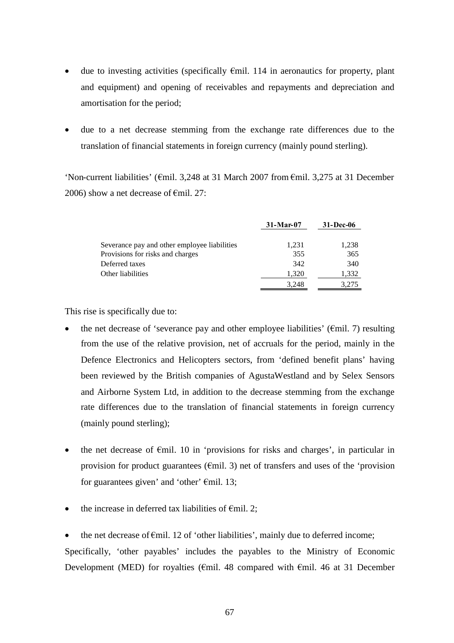- due to investing activities (specifically €mil. 114 in aeronautics for property, plant and equipment) and opening of receivables and repayments and depreciation and amortisation for the period;
- due to a net decrease stemming from the exchange rate differences due to the translation of financial statements in foreign currency (mainly pound sterling).

'Non-current liabilities' (€mil. 3,248 at 31 March 2007 from €mil. 3,275 at 31 December 2006) show a net decrease of  $\epsilon$ mil. 27:

|                                              | $31-Mar-07$ | $31 - Dec-06$ |
|----------------------------------------------|-------------|---------------|
| Severance pay and other employee liabilities | 1,231       | 1,238         |
| Provisions for risks and charges             | 355         | 365           |
| Deferred taxes                               | 342         | 340           |
| Other liabilities                            | 1,320       | 1,332         |
|                                              | 3.248       | 3.275         |

This rise is specifically due to:

- the net decrease of 'severance pay and other employee liabilities' ( $\epsilon$ mil. 7) resulting from the use of the relative provision, net of accruals for the period, mainly in the Defence Electronics and Helicopters sectors, from 'defined benefit plans' having been reviewed by the British companies of AgustaWestland and by Selex Sensors and Airborne System Ltd, in addition to the decrease stemming from the exchange rate differences due to the translation of financial statements in foreign currency (mainly pound sterling);
- the net decrease of €mil. 10 in 'provisions for risks and charges', in particular in provision for product guarantees ( $\epsilon$ mil. 3) net of transfers and uses of the 'provision for guarantees given' and 'other'  $\epsilon$ mil. 13;
- the increase in deferred tax liabilities of  $\epsilon$ mil. 2;

the net decrease of  $\epsilon$ mil. 12 of 'other liabilities', mainly due to deferred income; Specifically, 'other payables' includes the payables to the Ministry of Economic Development (MED) for royalties ( $\epsilon$ mil. 48 compared with  $\epsilon$ mil. 46 at 31 December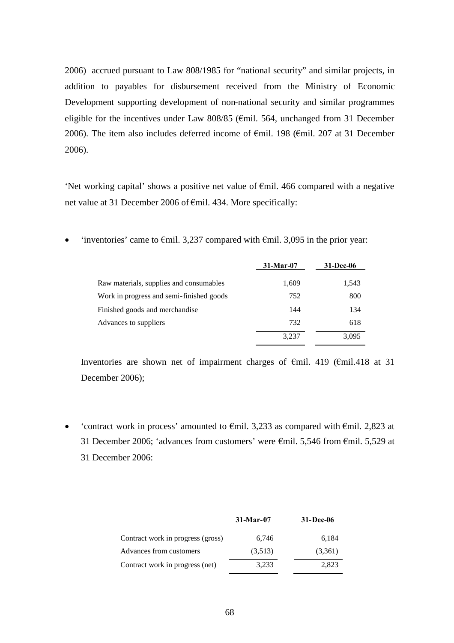2006) accrued pursuant to Law 808/1985 for "national security" and similar projects, in addition to payables for disbursement received from the Ministry of Economic Development supporting development of non-national security and similar programmes eligible for the incentives under Law 808/85 ( $\epsilon$ mil. 564, unchanged from 31 December 2006). The item also includes deferred income of €mil. 198 (€mil. 207 at 31 December 2006).

'Net working capital' shows a positive net value of €mil. 466 compared with a negative net value at 31 December 2006 of €mil. 434. More specifically:

'inventories' came to  $\epsilon$ mil. 3,237 compared with  $\epsilon$ mil. 3,095 in the prior year:

|                                          | $31-Mar-07$ |       |
|------------------------------------------|-------------|-------|
| Raw materials, supplies and consumables  | 1,609       | 1,543 |
| Work in progress and semi-finished goods | 752         | 800   |
| Finished goods and merchandise           | 144         | 134   |
| Advances to suppliers                    | 732         | 618   |
|                                          | 3.237       | 3.095 |

Inventories are shown net of impairment charges of €mil. 419 (€mil.418 at 31 December 2006);

• 'contract work in process' amounted to  $\epsilon$ mil. 3,233 as compared with  $\epsilon$ mil. 2,823 at 31 December 2006; 'advances from customers' were €mil. 5,546 from €mil. 5,529 at 31 December 2006:

|                                   | $31-Mar-07$ | 31-Dec-06 |  |
|-----------------------------------|-------------|-----------|--|
| Contract work in progress (gross) | 6.746       | 6,184     |  |
| Advances from customers           | (3,513)     | (3,361)   |  |
| Contract work in progress (net)   | 3.233       | 2,823     |  |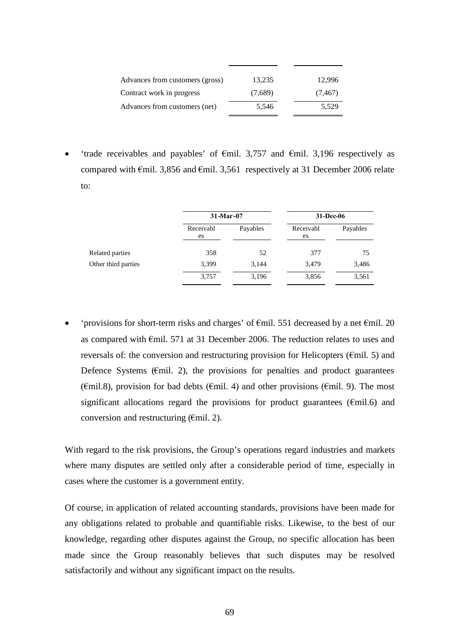| Advances from customers (gross) | 13,235  | 12.996   |
|---------------------------------|---------|----------|
| Contract work in progress       | (7,689) | (7, 467) |
| Advances from customers (net)   | 5,546   | 5,529    |

'trade receivables and payables' of  $\epsilon$ mil. 3,757 and  $\epsilon$ mil. 3,196 respectively as compared with  $\epsilon$ mil. 3,856 and  $\epsilon$ mil. 3,561 respectively at 31 December 2006 relate to:

|                     |                 | 31-Mar-07 |                 | 31-Dec-06 |  |
|---------------------|-----------------|-----------|-----------------|-----------|--|
|                     | Receivabl<br>es | Payables  | Receivabl<br>es | Payables  |  |
| Related parties     | 358             | 52        | 377             | 75        |  |
| Other third parties | 3,399           | 3,144     | 3,479           | 3,486     |  |
|                     | 3,757           | 3,196     | 3,856           | 3,561     |  |

 'provisions for short-term risks and charges' of €mil. 551 decreased by a net €mil. 20 as compared with €mil. 571 at 31 December 2006. The reduction relates to uses and reversals of: the conversion and restructuring provision for Helicopters ( $\epsilon$ mil. 5) and Defence Systems ( $\epsilon$ mil. 2), the provisions for penalties and product guarantees ( $\epsilon$ mil.8), provision for bad debts ( $\epsilon$ mil. 4) and other provisions ( $\epsilon$ mil. 9). The most significant allocations regard the provisions for product guarantees ( $\epsilon$ mil.6) and conversion and restructuring ( $\epsilon$ mil. 2).

With regard to the risk provisions, the Group's operations regard industries and markets where many disputes are settled only after a considerable period of time, especially in cases where the customer is a government entity.

Of course, in application of related accounting standards, provisions have been made for any obligations related to probable and quantifiable risks. Likewise, to the best of our knowledge, regarding other disputes against the Group, no specific allocation has been made since the Group reasonably believes that such disputes may be resolved satisfactorily and without any significant impact on the results.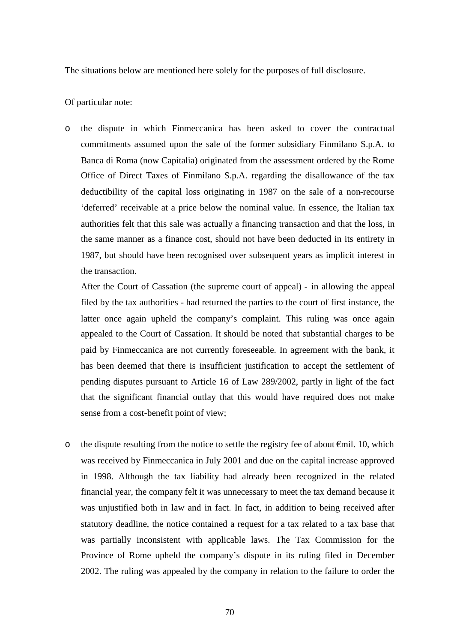The situations below are mentioned here solely for the purposes of full disclosure.

## Of particular note:

o the dispute in which Finmeccanica has been asked to cover the contractual commitments assumed upon the sale of the former subsidiary Finmilano S.p.A. to Banca di Roma (now Capitalia) originated from the assessment ordered by the Rome Office of Direct Taxes of Finmilano S.p.A. regarding the disallowance of the tax deductibility of the capital loss originating in 1987 on the sale of a non-recourse 'deferred' receivable at a price below the nominal value. In essence, the Italian tax authorities felt that this sale was actually a financing transaction and that the loss, in the same manner as a finance cost, should not have been deducted in its entirety in 1987, but should have been recognised over subsequent years as implicit interest in the transaction.

After the Court of Cassation (the supreme court of appeal) - in allowing the appeal filed by the tax authorities - had returned the parties to the court of first instance, the latter once again upheld the company's complaint. This ruling was once again appealed to the Court of Cassation. It should be noted that substantial charges to be paid by Finmeccanica are not currently foreseeable. In agreement with the bank, it has been deemed that there is insufficient justification to accept the settlement of pending disputes pursuant to Article 16 of Law 289/2002, partly in light of the fact that the significant financial outlay that this would have required does not make sense from a cost-benefit point of view;

o the dispute resulting from the notice to settle the registry fee of about €mil. 10, which was received by Finmeccanica in July 2001 and due on the capital increase approved in 1998. Although the tax liability had already been recognized in the related financial year, the company felt it was unnecessary to meet the tax demand because it was unjustified both in law and in fact. In fact, in addition to being received after statutory deadline, the notice contained a request for a tax related to a tax base that was partially inconsistent with applicable laws. The Tax Commission for the Province of Rome upheld the company's dispute in its ruling filed in December 2002. The ruling was appealed by the company in relation to the failure to order the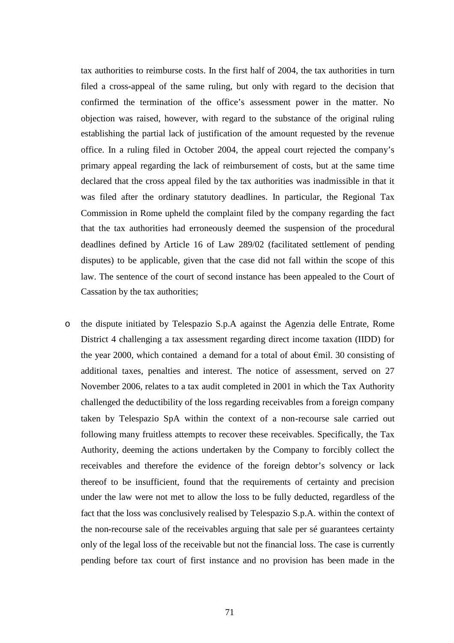tax authorities to reimburse costs. In the first half of 2004, the tax authorities in turn filed a cross-appeal of the same ruling, but only with regard to the decision that confirmed the termination of the office's assessment power in the matter. No objection was raised, however, with regard to the substance of the original ruling establishing the partial lack of justification of the amount requested by the revenue office. In a ruling filed in October 2004, the appeal court rejected the company's primary appeal regarding the lack of reimbursement of costs, but at the same time declared that the cross appeal filed by the tax authorities was inadmissible in that it was filed after the ordinary statutory deadlines. In particular, the Regional Tax Commission in Rome upheld the complaint filed by the company regarding the fact that the tax authorities had erroneously deemed the suspension of the procedural deadlines defined by Article 16 of Law 289/02 (facilitated settlement of pending disputes) to be applicable, given that the case did not fall within the scope of this law. The sentence of the court of second instance has been appealed to the Court of Cassation by the tax authorities;

o the dispute initiated by Telespazio S.p.A against the Agenzia delle Entrate, Rome District 4 challenging a tax assessment regarding direct income taxation (IIDD) for the year 2000, which contained a demand for a total of about  $\epsilon$ mil. 30 consisting of additional taxes, penalties and interest. The notice of assessment, served on 27 November 2006, relates to a tax audit completed in 2001 in which the Tax Authority challenged the deductibility of the loss regarding receivables from a foreign company taken by Telespazio SpA within the context of a non-recourse sale carried out following many fruitless attempts to recover these receivables. Specifically, the Tax Authority, deeming the actions undertaken by the Company to forcibly collect the receivables and therefore the evidence of the foreign debtor's solvency or lack thereof to be insufficient, found that the requirements of certainty and precision under the law were not met to allow the loss to be fully deducted, regardless of the fact that the loss was conclusively realised by Telespazio S.p.A. within the context of the non-recourse sale of the receivables arguing that sale per sé guarantees certainty only of the legal loss of the receivable but not the financial loss. The case is currently pending before tax court of first instance and no provision has been made in the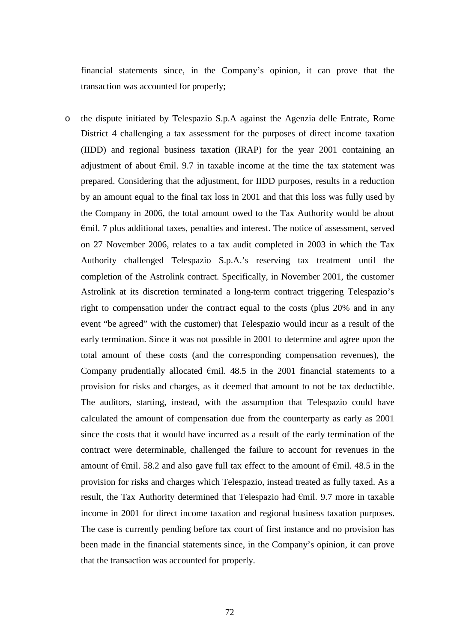financial statements since, in the Company's opinion, it can prove that the transaction was accounted for properly;

o the dispute initiated by Telespazio S.p.A against the Agenzia delle Entrate, Rome District 4 challenging a tax assessment for the purposes of direct income taxation (IIDD) and regional business taxation (IRAP) for the year 2001 containing an adjustment of about  $\epsilon$ mil. 9.7 in taxable income at the time the tax statement was prepared. Considering that the adjustment, for IIDD purposes, results in a reduction by an amount equal to the final tax loss in 2001 and that this loss was fully used by the Company in 2006, the total amount owed to the Tax Authority would be about €mil. 7 plus additional taxes, penalties and interest. The notice of assessment, served on 27 November 2006, relates to a tax audit completed in 2003 in which the Tax Authority challenged Telespazio S.p.A.'s reserving tax treatment until the completion of the Astrolink contract. Specifically, in November 2001, the customer Astrolink at its discretion terminated a long-term contract triggering Telespazio's right to compensation under the contract equal to the costs (plus 20% and in any event "be agreed" with the customer) that Telespazio would incur as a result of the early termination. Since it was not possible in 2001 to determine and agree upon the total amount of these costs (and the corresponding compensation revenues), the Company prudentially allocated  $\epsilon$ mil. 48.5 in the 2001 financial statements to a provision for risks and charges, as it deemed that amount to not be tax deductible. The auditors, starting, instead, with the assumption that Telespazio could have calculated the amount of compensation due from the counterparty as early as 2001 since the costs that it would have incurred as a result of the early termination of the contract were determinable, challenged the failure to account for revenues in the amount of  $\epsilon$ mil. 58.2 and also gave full tax effect to the amount of  $\epsilon$ mil. 48.5 in the provision for risks and charges which Telespazio, instead treated as fully taxed. As a result, the Tax Authority determined that Telespazio had  $\epsilon$ mil. 9.7 more in taxable income in 2001 for direct income taxation and regional business taxation purposes. The case is currently pending before tax court of first instance and no provision has been made in the financial statements since, in the Company's opinion, it can prove that the transaction was accounted for properly.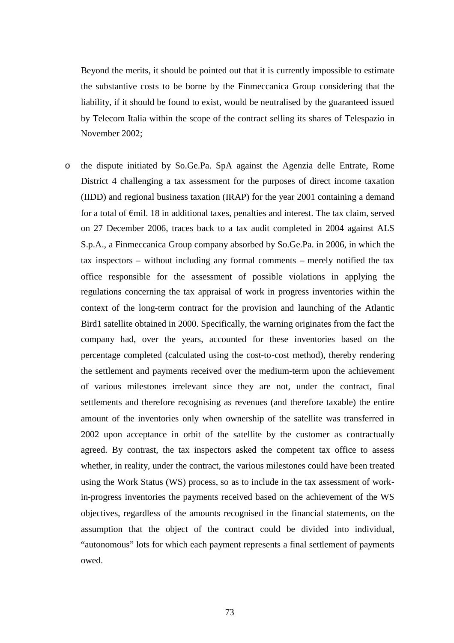Beyond the merits, it should be pointed out that it is currently impossible to estimate the substantive costs to be borne by the Finmeccanica Group considering that the liability, if it should be found to exist, would be neutralised by the guaranteed issued by Telecom Italia within the scope of the contract selling its shares of Telespazio in November 2002;

o the dispute initiated by So.Ge.Pa. SpA against the Agenzia delle Entrate, Rome District 4 challenging a tax assessment for the purposes of direct income taxation (IIDD) and regional business taxation (IRAP) for the year 2001 containing a demand for a total of €mil. 18 in additional taxes, penalties and interest. The tax claim, served on 27 December 2006, traces back to a tax audit completed in 2004 against ALS S.p.A., a Finmeccanica Group company absorbed by So.Ge.Pa. in 2006, in which the tax inspectors – without including any formal comments – merely notified the tax office responsible for the assessment of possible violations in applying the regulations concerning the tax appraisal of work in progress inventories within the context of the long-term contract for the provision and launching of the Atlantic Bird1 satellite obtained in 2000. Specifically, the warning originates from the fact the company had, over the years, accounted for these inventories based on the percentage completed (calculated using the cost-to-cost method), thereby rendering the settlement and payments received over the medium-term upon the achievement of various milestones irrelevant since they are not, under the contract, final settlements and therefore recognising as revenues (and therefore taxable) the entire amount of the inventories only when ownership of the satellite was transferred in 2002 upon acceptance in orbit of the satellite by the customer as contractually agreed. By contrast, the tax inspectors asked the competent tax office to assess whether, in reality, under the contract, the various milestones could have been treated using the Work Status (WS) process, so as to include in the tax assessment of workin-progress inventories the payments received based on the achievement of the WS objectives, regardless of the amounts recognised in the financial statements, on the assumption that the object of the contract could be divided into individual, "autonomous" lots for which each payment represents a final settlement of payments owed.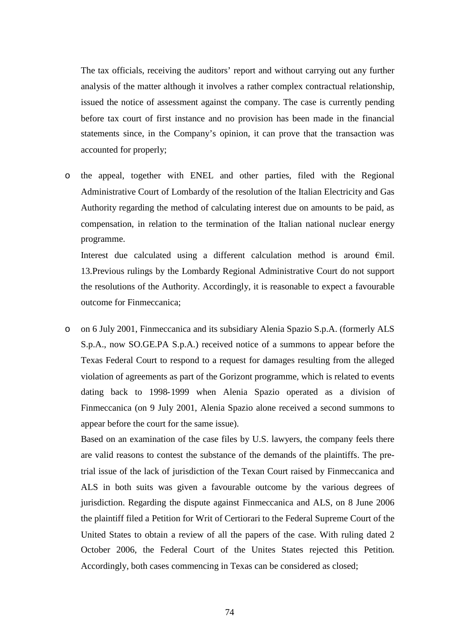The tax officials, receiving the auditors' report and without carrying out any further analysis of the matter although it involves a rather complex contractual relationship, issued the notice of assessment against the company. The case is currently pending before tax court of first instance and no provision has been made in the financial statements since, in the Company's opinion, it can prove that the transaction was accounted for properly;

o the appeal, together with ENEL and other parties, filed with the Regional Administrative Court of Lombardy of the resolution of the Italian Electricity and Gas Authority regarding the method of calculating interest due on amounts to be paid, as compensation, in relation to the termination of the Italian national nuclear energy programme.

Interest due calculated using a different calculation method is around  $\epsilon$ mil. 13.Previous rulings by the Lombardy Regional Administrative Court do not support the resolutions of the Authority. Accordingly, it is reasonable to expect a favourable outcome for Finmeccanica;

o on 6 July 2001, Finmeccanica and its subsidiary Alenia Spazio S.p.A. (formerly ALS S.p.A., now SO.GE.PA S.p.A.) received notice of a summons to appear before the Texas Federal Court to respond to a request for damages resulting from the alleged violation of agreements as part of the Gorizont programme, which is related to events dating back to 1998-1999 when Alenia Spazio operated as a division of Finmeccanica (on 9 July 2001, Alenia Spazio alone received a second summons to appear before the court for the same issue).

Based on an examination of the case files by U.S. lawyers, the company feels there are valid reasons to contest the substance of the demands of the plaintiffs. The pretrial issue of the lack of jurisdiction of the Texan Court raised by Finmeccanica and ALS in both suits was given a favourable outcome by the various degrees of jurisdiction. Regarding the dispute against Finmeccanica and ALS, on 8 June 2006 the plaintiff filed a Petition for Writ of Certiorari to the Federal Supreme Court of the United States to obtain a review of all the papers of the case. With ruling dated 2 October 2006, the Federal Court of the Unites States rejected this Petition. Accordingly, both cases commencing in Texas can be considered as closed;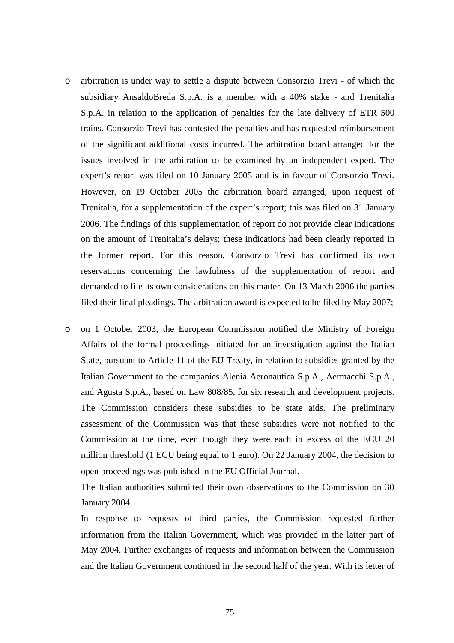- o arbitration is under way to settle a dispute between Consorzio Trevi of which the subsidiary AnsaldoBreda S.p.A. is a member with a 40% stake - and Trenitalia S.p.A. in relation to the application of penalties for the late delivery of ETR 500 trains. Consorzio Trevi has contested the penalties and has requested reimbursement of the significant additional costs incurred. The arbitration board arranged for the issues involved in the arbitration to be examined by an independent expert. The expert's report was filed on 10 January 2005 and is in favour of Consorzio Trevi. However, on 19 October 2005 the arbitration board arranged, upon request of Trenitalia, for a supplementation of the expert's report; this was filed on 31 January 2006. The findings of this supplementation of report do not provide clear indications on the amount of Trenitalia's delays; these indications had been clearly reported in the former report. For this reason, Consorzio Trevi has confirmed its own reservations concerning the lawfulness of the supplementation of report and demanded to file its own considerations on this matter. On 13 March 2006 the parties filed their final pleadings. The arbitration award is expected to be filed by May 2007;
- o on 1 October 2003, the European Commission notified the Ministry of Foreign Affairs of the formal proceedings initiated for an investigation against the Italian State, pursuant to Article 11 of the EU Treaty, in relation to subsidies granted by the Italian Government to the companies Alenia Aeronautica S.p.A., Aermacchi S.p.A., and Agusta S.p.A., based on Law 808/85, for six research and development projects. The Commission considers these subsidies to be state aids. The preliminary assessment of the Commission was that these subsidies were not notified to the Commission at the time, even though they were each in excess of the ECU 20 million threshold (1 ECU being equal to 1 euro). On 22 January 2004, the decision to open proceedings was published in the EU Official Journal.

The Italian authorities submitted their own observations to the Commission on 30 January 2004.

In response to requests of third parties, the Commission requested further information from the Italian Government, which was provided in the latter part of May 2004. Further exchanges of requests and information between the Commission and the Italian Government continued in the second half of the year. With its letter of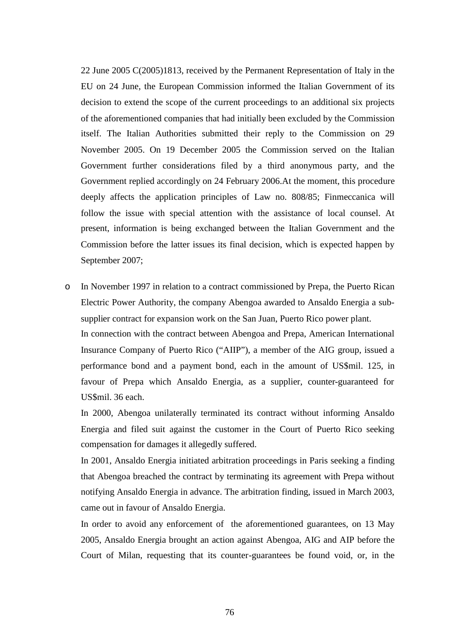22 June 2005 C(2005)1813, received by the Permanent Representation of Italy in the EU on 24 June, the European Commission informed the Italian Government of its decision to extend the scope of the current proceedings to an additional six projects of the aforementioned companies that had initially been excluded by the Commission itself. The Italian Authorities submitted their reply to the Commission on 29 November 2005. On 19 December 2005 the Commission served on the Italian Government further considerations filed by a third anonymous party, and the Government replied accordingly on 24 February 2006.At the moment, this procedure deeply affects the application principles of Law no. 808/85; Finmeccanica will follow the issue with special attention with the assistance of local counsel. At present, information is being exchanged between the Italian Government and the Commission before the latter issues its final decision, which is expected happen by September 2007;

o In November 1997 in relation to a contract commissioned by Prepa, the Puerto Rican Electric Power Authority, the company Abengoa awarded to Ansaldo Energia a subsupplier contract for expansion work on the San Juan, Puerto Rico power plant.

In connection with the contract between Abengoa and Prepa, American International Insurance Company of Puerto Rico ("AIIP"), a member of the AIG group, issued a performance bond and a payment bond, each in the amount of US\$mil. 125, in favour of Prepa which Ansaldo Energia, as a supplier, counter-guaranteed for US\$mil. 36 each.

In 2000, Abengoa unilaterally terminated its contract without informing Ansaldo Energia and filed suit against the customer in the Court of Puerto Rico seeking compensation for damages it allegedly suffered.

In 2001, Ansaldo Energia initiated arbitration proceedings in Paris seeking a finding that Abengoa breached the contract by terminating its agreement with Prepa without notifying Ansaldo Energia in advance. The arbitration finding, issued in March 2003, came out in favour of Ansaldo Energia.

In order to avoid any enforcement of the aforementioned guarantees, on 13 May 2005, Ansaldo Energia brought an action against Abengoa, AIG and AIP before the Court of Milan, requesting that its counter-guarantees be found void, or, in the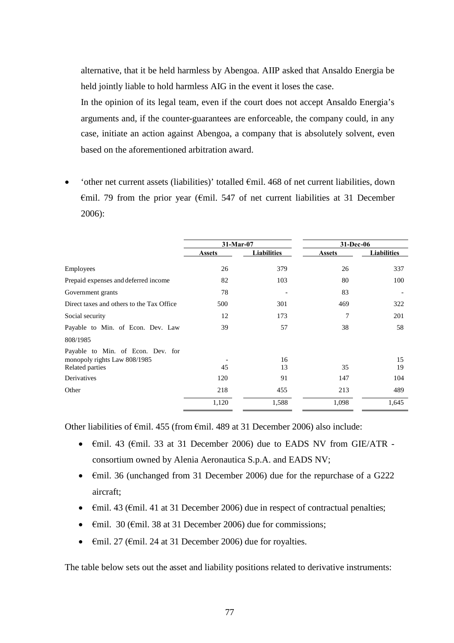alternative, that it be held harmless by Abengoa. AIIP asked that Ansaldo Energia be held jointly liable to hold harmless AIG in the event it loses the case.

In the opinion of its legal team, even if the court does not accept Ansaldo Energia's arguments and, if the counter-guarantees are enforceable, the company could, in any case, initiate an action against Abengoa, a company that is absolutely solvent, even based on the aforementioned arbitration award.

'other net current assets (liabilities)' totalled  $\epsilon$ mil. 468 of net current liabilities, down  $\epsilon$ mil. 79 from the prior year ( $\epsilon$ mil. 547 of net current liabilities at 31 December 2006):

|                                                                                      | 31-Mar-07     |                    | 31-Dec-06     |                    |  |
|--------------------------------------------------------------------------------------|---------------|--------------------|---------------|--------------------|--|
|                                                                                      | <b>Assets</b> | <b>Liabilities</b> | <b>Assets</b> | <b>Liabilities</b> |  |
| Employees                                                                            | 26            | 379                | 26            | 337                |  |
| Prepaid expenses and deferred income                                                 | 82            | 103                | 80            | 100                |  |
| Government grants                                                                    | 78            |                    | 83            |                    |  |
| Direct taxes and others to the Tax Office                                            | 500           | 301                | 469           | 322                |  |
| Social security                                                                      | 12            | 173                | 7             | 201                |  |
| Payable to Min. of Econ. Dev. Law                                                    | 39            | 57                 | 38            | 58                 |  |
| 808/1985                                                                             |               |                    |               |                    |  |
| Payable to Min. of Econ. Dev. for<br>monopoly rights Law 808/1985<br>Related parties | 45            | 16<br>13           | 35            | 15<br>19           |  |
| Derivatives                                                                          | 120           | 91                 | 147           | 104                |  |
| Other                                                                                | 218           | 455                | 213           | 489                |  |
|                                                                                      | 1,120         | 1,588              | 1,098         | 1,645              |  |

Other liabilities of  $\epsilon$ mil. 455 (from  $\epsilon$ mil. 489 at 31 December 2006) also include:

- €mil. 43 (€mil. 33 at 31 December 2006) due to EADS NV from GIE/ATR consortium owned by Alenia Aeronautica S.p.A. and EADS NV;
- $\epsilon$ mil. 36 (unchanged from 31 December 2006) due for the repurchase of a G222 aircraft;
- $\epsilon$ mil. 43 ( $\epsilon$ mil. 41 at 31 December 2006) due in respect of contractual penalties;
- $\epsilon$ mil. 30 ( $\epsilon$ mil. 38 at 31 December 2006) due for commissions;
- $\epsilon$ mil. 27 ( $\epsilon$ mil. 24 at 31 December 2006) due for royalties.

The table below sets out the asset and liability positions related to derivative instruments: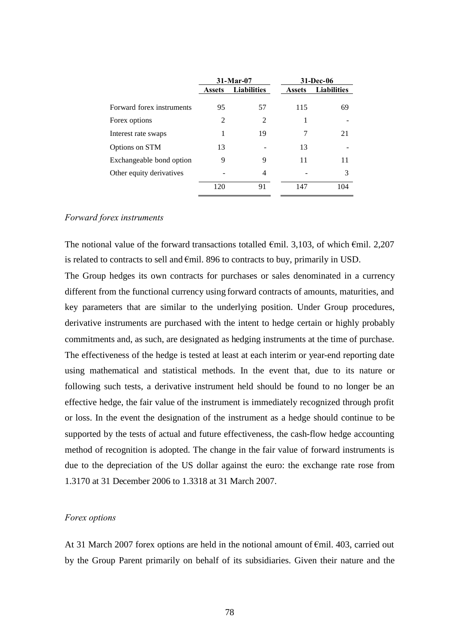|                           |               | $31-Mar-07$        |               | 31-Dec-06          |
|---------------------------|---------------|--------------------|---------------|--------------------|
|                           | <b>Assets</b> | <b>Liabilities</b> | <b>Assets</b> | <b>Liabilities</b> |
| Forward forex instruments | 95            | 57                 | 115           | 69                 |
| Forex options             | 2             | $\mathfrak{D}$     | 1             |                    |
| Interest rate swaps       | 1             | 19                 | 7             | 21                 |
| Options on STM            | 13            |                    | 13            |                    |
| Exchangeable bond option  | 9             | 9                  | 11            | 11                 |
| Other equity derivatives  |               | 4                  |               | 3                  |
|                           | 120           | 91                 | 147           | 104                |

#### *Forward forex instruments*

The notional value of the forward transactions totalled  $\epsilon$ mil. 3,103, of which  $\epsilon$ mil. 2,207 is related to contracts to sell and €mil. 896 to contracts to buy, primarily in USD. The Group hedges its own contracts for purchases or sales denominated in a currency different from the functional currency using forward contracts of amounts, maturities, and key parameters that are similar to the underlying position. Under Group procedures, derivative instruments are purchased with the intent to hedge certain or highly probably commitments and, as such, are designated as hedging instruments at the time of purchase. The effectiveness of the hedge is tested at least at each interim or year-end reporting date using mathematical and statistical methods. In the event that, due to its nature or following such tests, a derivative instrument held should be found to no longer be an effective hedge, the fair value of the instrument is immediately recognized through profit or loss. In the event the designation of the instrument as a hedge should continue to be supported by the tests of actual and future effectiveness, the cash-flow hedge accounting method of recognition is adopted. The change in the fair value of forward instruments is due to the depreciation of the US dollar against the euro: the exchange rate rose from 1.3170 at 31 December 2006 to 1.3318 at 31 March 2007.

#### *Forex options*

At 31 March 2007 forex options are held in the notional amount of  $\epsilon$ mil. 403, carried out by the Group Parent primarily on behalf of its subsidiaries. Given their nature and the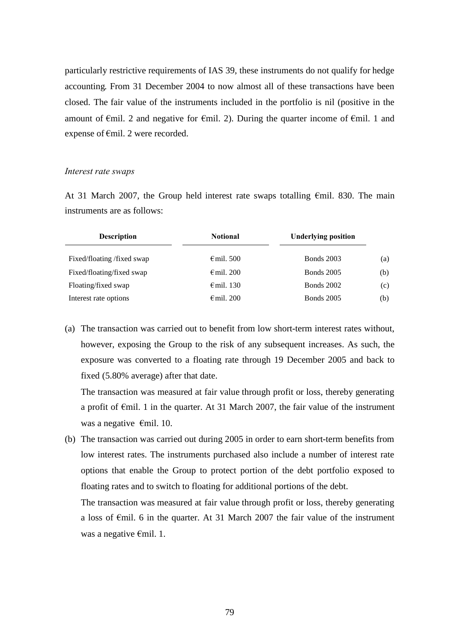particularly restrictive requirements of IAS 39, these instruments do not qualify for hedge accounting. From 31 December 2004 to now almost all of these transactions have been closed. The fair value of the instruments included in the portfolio is nil (positive in the amount of  $\epsilon$ mil. 2 and negative for  $\epsilon$ mil. 2). During the quarter income of  $\epsilon$ mil. 1 and expense of €mil. 2 were recorded.

#### *Interest rate swaps*

At 31 March 2007, the Group held interest rate swaps totalling  $\epsilon$ mil. 830. The main instruments are as follows:

| <b>Notional</b>     | <b>Underlying position</b> |     |
|---------------------|----------------------------|-----|
| $\epsilon$ mil. 500 | <b>Bonds</b> 2003          | (a) |
| $\epsilon$ mil. 200 | <b>Bonds</b> 2005          | (b) |
| $\epsilon$ mil. 130 | <b>Bonds</b> 2002          | (c) |
| $\epsilon$ mil. 200 | <b>Bonds</b> 2005          | (b) |
|                     |                            |     |

(a) The transaction was carried out to benefit from low short-term interest rates without, however, exposing the Group to the risk of any subsequent increases. As such, the exposure was converted to a floating rate through 19 December 2005 and back to fixed (5.80% average) after that date.

The transaction was measured at fair value through profit or loss, thereby generating a profit of  $\epsilon$ mil. 1 in the quarter. At 31 March 2007, the fair value of the instrument was a negative €mil. 10.

(b) The transaction was carried out during 2005 in order to earn short-term benefits from low interest rates. The instruments purchased also include a number of interest rate options that enable the Group to protect portion of the debt portfolio exposed to floating rates and to switch to floating for additional portions of the debt.

The transaction was measured at fair value through profit or loss, thereby generating a loss of €mil. 6 in the quarter. At 31 March 2007 the fair value of the instrument was a negative €mil. 1.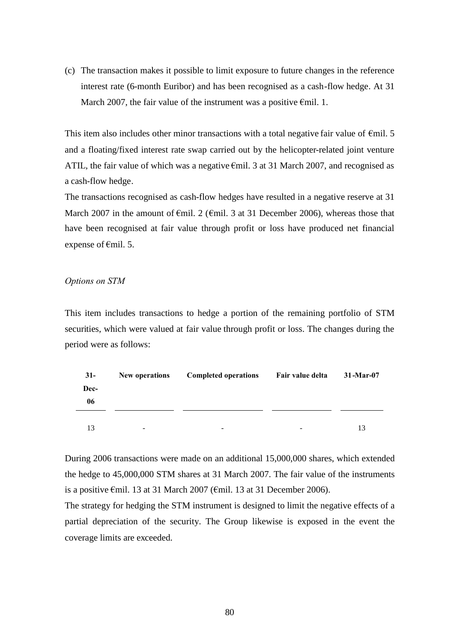(c) The transaction makes it possible to limit exposure to future changes in the reference interest rate (6-month Euribor) and has been recognised as a cash-flow hedge. At 31 March 2007, the fair value of the instrument was a positive  $\epsilon$ mil. 1.

This item also includes other minor transactions with a total negative fair value of  $\epsilon$ mil. 5 and a floating/fixed interest rate swap carried out by the helicopter-related joint venture ATIL, the fair value of which was a negative  $\epsilon$ mil. 3 at 31 March 2007, and recognised as a cash-flow hedge.

The transactions recognised as cash-flow hedges have resulted in a negative reserve at 31 March 2007 in the amount of  $\epsilon$ mil. 2 ( $\epsilon$ mil. 3 at 31 December 2006), whereas those that have been recognised at fair value through profit or loss have produced net financial expense of  $\epsilon$ mil. 5.

#### *Options on STM*

This item includes transactions to hedge a portion of the remaining portfolio of STM securities, which were valued at fair value through profit or loss. The changes during the period were as follows:

| $31-$ | New operations           | <b>Completed operations</b> | Fair value delta         | $31$ -Mar-07 |
|-------|--------------------------|-----------------------------|--------------------------|--------------|
| Dec-  |                          |                             |                          |              |
| 06    |                          |                             |                          |              |
|       |                          |                             |                          |              |
| 13    | $\overline{\phantom{a}}$ | ۰                           | $\overline{\phantom{a}}$ | 13           |

During 2006 transactions were made on an additional 15,000,000 shares, which extended the hedge to 45,000,000 STM shares at 31 March 2007. The fair value of the instruments is a positive €mil. 13 at 31 March 2007 (€mil. 13 at 31 December 2006).

The strategy for hedging the STM instrument is designed to limit the negative effects of a partial depreciation of the security. The Group likewise is exposed in the event the coverage limits are exceeded.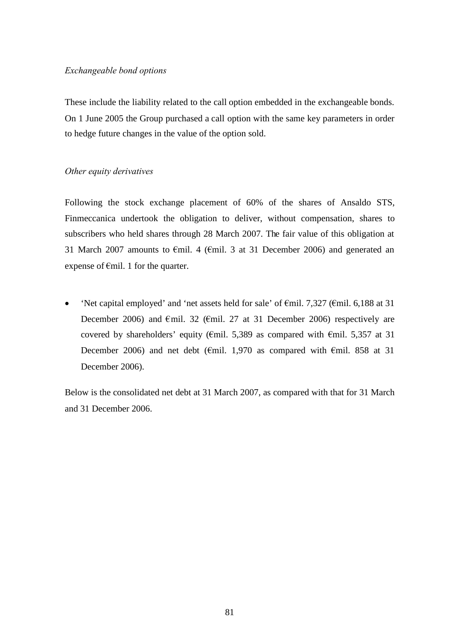### *Exchangeable bond options*

These include the liability related to the call option embedded in the exchangeable bonds. On 1 June 2005 the Group purchased a call option with the same key parameters in order to hedge future changes in the value of the option sold.

# *Other equity derivatives*

Following the stock exchange placement of 60% of the shares of Ansaldo STS, Finmeccanica undertook the obligation to deliver, without compensation, shares to subscribers who held shares through 28 March 2007. The fair value of this obligation at 31 March 2007 amounts to  $\epsilon$ mil. 4 ( $\epsilon$ mil. 3 at 31 December 2006) and generated an expense of  $\epsilon$ mil. 1 for the quarter.

• 'Net capital employed' and 'net assets held for sale' of  $\epsilon$ mil. 7,327 ( $\epsilon$ mil. 6,188 at 31 December 2006) and  $\epsilon$ mil. 32 ( $\epsilon$ mil. 27 at 31 December 2006) respectively are covered by shareholders' equity ( $\epsilon$ mil. 5,389 as compared with  $\epsilon$ mil. 5,357 at 31 December 2006) and net debt ( $\epsilon$ mil. 1,970 as compared with  $\epsilon$ mil. 858 at 31 December 2006).

Below is the consolidated net debt at 31 March 2007, as compared with that for 31 March and 31 December 2006.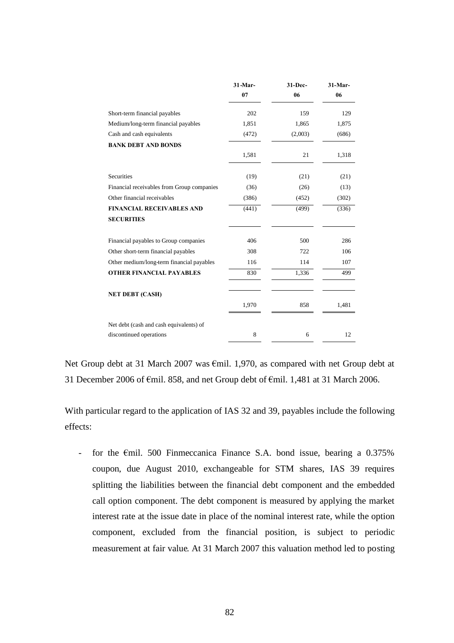|                                            | 31-Mar- | 31-Dec- | $31-Mar-$ |
|--------------------------------------------|---------|---------|-----------|
|                                            | 07      | 06      | 06        |
| Short-term financial payables              | 202     | 159     | 129       |
| Medium/long-term financial payables        | 1,851   | 1,865   | 1,875     |
| Cash and cash equivalents                  | (472)   | (2,003) | (686)     |
| <b>BANK DEBT AND BONDS</b>                 |         |         |           |
|                                            | 1,581   | 21      | 1,318     |
| Securities                                 | (19)    | (21)    | (21)      |
| Financial receivables from Group companies | (36)    | (26)    | (13)      |
| Other financial receivables                | (386)   | (452)   | (302)     |
| <b>FINANCIAL RECEIVABLES AND</b>           | (441)   | (499)   | (336)     |
| <b>SECURITIES</b>                          |         |         |           |
| Financial payables to Group companies      | 406     | 500     | 286       |
| Other short-term financial payables        | 308     | 722     | 106       |
| Other medium/long-term financial payables  | 116     | 114     | 107       |
| <b>OTHER FINANCIAL PAYABLES</b>            | 830     | 1,336   | 499       |
| <b>NET DEBT (CASH)</b>                     |         |         |           |
|                                            | 1,970   | 858     | 1,481     |
| Net debt (cash and cash equivalents) of    |         |         |           |
| discontinued operations                    | 8       | 6       | 12        |

Net Group debt at 31 March 2007 was €mil. 1,970, as compared with net Group debt at 31 December 2006 of €mil. 858, and net Group debt of €mil. 1,481 at 31 March 2006.

With particular regard to the application of IAS 32 and 39, payables include the following effects:

- for the  $\epsilon$ mil. 500 Finmeccanica Finance S.A. bond issue, bearing a 0.375% coupon, due August 2010, exchangeable for STM shares, IAS 39 requires splitting the liabilities between the financial debt component and the embedded call option component. The debt component is measured by applying the market interest rate at the issue date in place of the nominal interest rate, while the option component, excluded from the financial position, is subject to periodic measurement at fair value. At 31 March 2007 this valuation method led to posting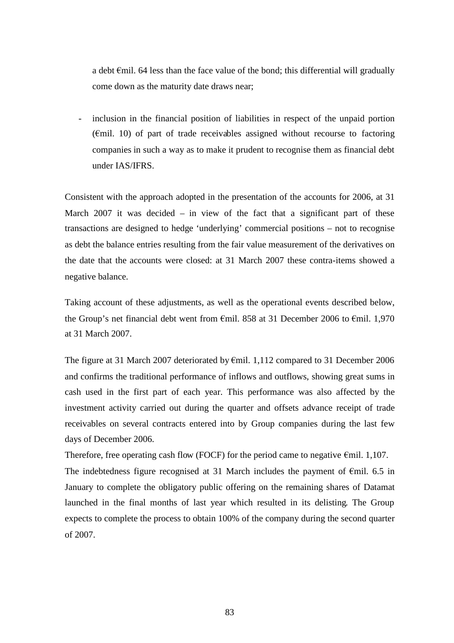a debt €mil. 64 less than the face value of the bond; this differential will gradually come down as the maturity date draws near;

inclusion in the financial position of liabilities in respect of the unpaid portion ( $\epsilon$ mil. 10) of part of trade receivables assigned without recourse to factoring companies in such a way as to make it prudent to recognise them as financial debt under IAS/IFRS.

Consistent with the approach adopted in the presentation of the accounts for 2006, at 31 March 2007 it was decided  $-$  in view of the fact that a significant part of these transactions are designed to hedge 'underlying' commercial positions – not to recognise as debt the balance entries resulting from the fair value measurement of the derivatives on the date that the accounts were closed: at 31 March 2007 these contra-items showed a negative balance.

Taking account of these adjustments, as well as the operational events described below, the Group's net financial debt went from €mil. 858 at 31 December 2006 to €mil. 1,970 at 31 March 2007.

The figure at 31 March 2007 deteriorated by €mil. 1,112 compared to 31 December 2006 and confirms the traditional performance of inflows and outflows, showing great sums in cash used in the first part of each year. This performance was also affected by the investment activity carried out during the quarter and offsets advance receipt of trade receivables on several contracts entered into by Group companies during the last few days of December 2006.

Therefore, free operating cash flow (FOCF) for the period came to negative  $\epsilon$ mil. 1,107. The indebtedness figure recognised at 31 March includes the payment of  $\epsilon$ mil. 6.5 in January to complete the obligatory public offering on the remaining shares of Datamat launched in the final months of last year which resulted in its delisting. The Group expects to complete the process to obtain 100% of the company during the second quarter of 2007.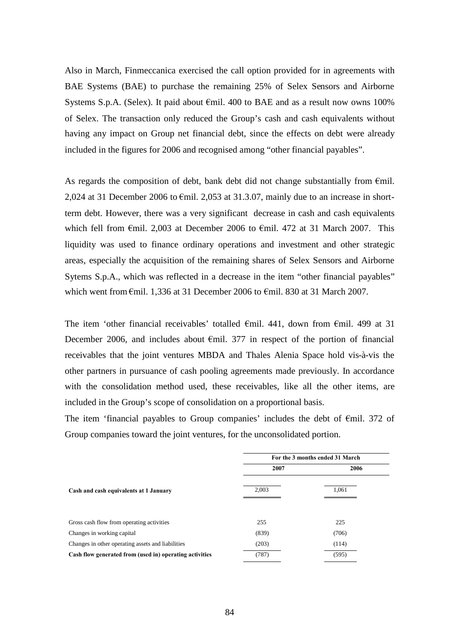Also in March, Finmeccanica exercised the call option provided for in agreements with BAE Systems (BAE) to purchase the remaining 25% of Selex Sensors and Airborne Systems S.p.A. (Selex). It paid about  $\epsilon$ mil. 400 to BAE and as a result now owns 100% of Selex. The transaction only reduced the Group's cash and cash equivalents without having any impact on Group net financial debt, since the effects on debt were already included in the figures for 2006 and recognised among "other financial payables".

As regards the composition of debt, bank debt did not change substantially from  $\epsilon$ mil. 2,024 at 31 December 2006 to  $\epsilon$ mil. 2,053 at 31,3,07, mainly due to an increase in shortterm debt. However, there was a very significant decrease in cash and cash equivalents which fell from €mil. 2,003 at December 2006 to €mil. 472 at 31 March 2007. This liquidity was used to finance ordinary operations and investment and other strategic areas, especially the acquisition of the remaining shares of Selex Sensors and Airborne Sytems S.p.A., which was reflected in a decrease in the item "other financial payables" which went from  $\epsilon$ mil. 1,336 at 31 December 2006 to  $\epsilon$ mil. 830 at 31 March 2007.

The item 'other financial receivables' totalled €mil. 441, down from €mil. 499 at 31 December 2006, and includes about  $\epsilon$ mil. 377 in respect of the portion of financial receivables that the joint ventures MBDA and Thales Alenia Space hold vis-à-vis the other partners in pursuance of cash pooling agreements made previously. In accordance with the consolidation method used, these receivables, like all the other items, are included in the Group's scope of consolidation on a proportional basis.

The item 'financial payables to Group companies' includes the debt of  $\epsilon$ mil. 372 of Group companies toward the joint ventures, for the unconsolidated portion.

|                                                         | For the 3 months ended 31 March |       |  |  |  |
|---------------------------------------------------------|---------------------------------|-------|--|--|--|
|                                                         | 2007                            | 2006  |  |  |  |
| Cash and cash equivalents at 1 January                  | 2,003                           | 1,061 |  |  |  |
| Gross cash flow from operating activities               | 255                             | 225   |  |  |  |
| Changes in working capital                              | (839)                           | (706) |  |  |  |
| Changes in other operating assets and liabilities       | (203)                           | (114) |  |  |  |
| Cash flow generated from (used in) operating activities | (787)                           | (595) |  |  |  |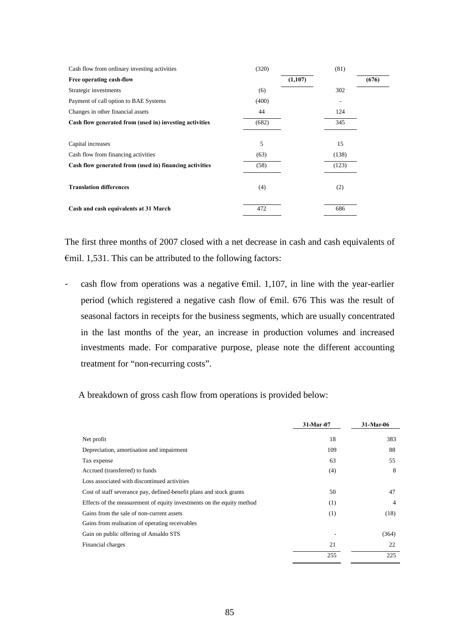| Cash flow from ordinary investing activities            | (320) |         | (81)  |       |
|---------------------------------------------------------|-------|---------|-------|-------|
| Free operating cash-flow                                |       | (1,107) |       | (676) |
| Strategic investments                                   | (6)   |         | 302   |       |
| Payment of call option to BAE Systems                   | (400) |         |       |       |
| Changes in other financial assets                       | 44    |         | 124   |       |
| Cash flow generated from (used in) investing activities | (682) |         | 345   |       |
|                                                         |       |         |       |       |
| Capital increases                                       | 5     |         | 15    |       |
| Cash flow from financing activities                     | (63)  |         | (138) |       |
| Cash flow generated from (used in) financing activities | (58)  |         | (123) |       |
|                                                         |       |         |       |       |
| <b>Translation differences</b>                          | (4)   |         | (2)   |       |
|                                                         |       |         |       |       |
| Cash and cash equivalents at 31 March                   | 472   |         | 686   |       |
|                                                         |       |         |       |       |

The first three months of 2007 closed with a net decrease in cash and cash equivalents of €mil. 1,531. This can be attributed to the following factors:

- cash flow from operations was a negative  $\epsilon$ mil. 1,107, in line with the year-earlier period (which registered a negative cash flow of €mil. 676 This was the result of seasonal factors in receipts for the business segments, which are usually concentrated in the last months of the year, an increase in production volumes and increased investments made. For comparative purpose, please note the different accounting treatment for "non-recurring costs".

A breakdown of gross cash flow from operations is provided below:

|                                                                       | 31-Mar - 07 | 31-Mar-06 |
|-----------------------------------------------------------------------|-------------|-----------|
| Net profit                                                            | 18          | 383       |
| Depreciation, amortisation and impairment                             | 109         | 88        |
| Tax expense                                                           | 63          | 55        |
| Accrued (transferred) to funds                                        | (4)         | 8         |
| Loss associated with discontinued activities                          |             |           |
| Cost of staff severance pay, defined-benefit plans and stock grants   | 50          | 47        |
| Effects of the measurement of equity investments on the equity method | (1)         | 4         |
| Gains from the sale of non-current assets                             | (1)         | (18)      |
| Gains from realisation of operating receivables                       |             |           |
| Gain on public offering of Ansaldo STS                                |             | (364)     |
| Financial charges                                                     | 21          | 22        |
|                                                                       | 255         | 225       |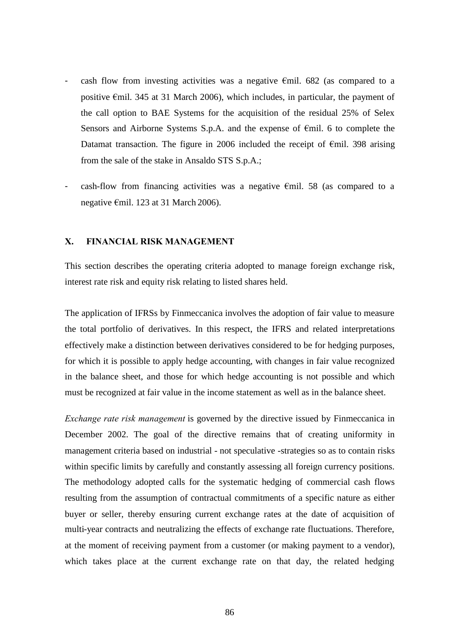- cash flow from investing activities was a negative  $\epsilon$ mil. 682 (as compared to a positive €mil. 345 at 31 March 2006), which includes, in particular, the payment of the call option to BAE Systems for the acquisition of the residual 25% of Selex Sensors and Airborne Systems S.p.A. and the expense of €mil. 6 to complete the Datamat transaction. The figure in 2006 included the receipt of  $\epsilon$ mil. 398 arising from the sale of the stake in Ansaldo STS S.p.A.;
- $\cosh$ -flow from financing activities was a negative  $\epsilon$ mil. 58 (as compared to a negative €mil. 123 at 31 March 2006).

#### **X. FINANCIAL RISK MANAGEMENT**

This section describes the operating criteria adopted to manage foreign exchange risk, interest rate risk and equity risk relating to listed shares held.

The application of IFRSs by Finmeccanica involves the adoption of fair value to measure the total portfolio of derivatives. In this respect, the IFRS and related interpretations effectively make a distinction between derivatives considered to be for hedging purposes, for which it is possible to apply hedge accounting, with changes in fair value recognized in the balance sheet, and those for which hedge accounting is not possible and which must be recognized at fair value in the income statement as well as in the balance sheet.

*Exchange rate risk management* is governed by the directive issued by Finmeccanica in December 2002. The goal of the directive remains that of creating uniformity in management criteria based on industrial - not speculative -strategies so as to contain risks within specific limits by carefully and constantly assessing all foreign currency positions. The methodology adopted calls for the systematic hedging of commercial cash flows resulting from the assumption of contractual commitments of a specific nature as either buyer or seller, thereby ensuring current exchange rates at the date of acquisition of multi-year contracts and neutralizing the effects of exchange rate fluctuations. Therefore, at the moment of receiving payment from a customer (or making payment to a vendor), which takes place at the current exchange rate on that day, the related hedging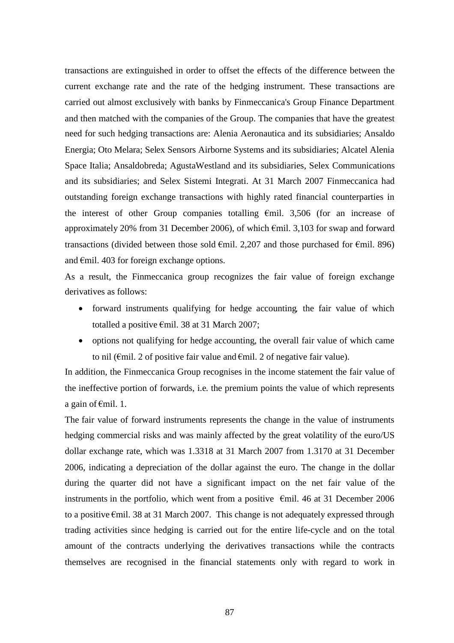transactions are extinguished in order to offset the effects of the difference between the current exchange rate and the rate of the hedging instrument. These transactions are carried out almost exclusively with banks by Finmeccanica's Group Finance Department and then matched with the companies of the Group. The companies that have the greatest need for such hedging transactions are: Alenia Aeronautica and its subsidiaries; Ansaldo Energia; Oto Melara; Selex Sensors Airborne Systems and its subsidiaries; Alcatel Alenia Space Italia; Ansaldobreda; AgustaWestland and its subsidiaries, Selex Communications and its subsidiaries; and Selex Sistemi Integrati. At 31 March 2007 Finmeccanica had outstanding foreign exchange transactions with highly rated financial counterparties in the interest of other Group companies totalling €mil. 3,506 (for an increase of approximately 20% from 31 December 2006), of which €mil. 3,103 for swap and forward transactions (divided between those sold  $\epsilon$ mil. 2,207 and those purchased for  $\epsilon$ mil. 896) and €mil. 403 for foreign exchange options.

As a result, the Finmeccanica group recognizes the fair value of foreign exchange derivatives as follows:

- forward instruments qualifying for hedge accounting*,* the fair value of which totalled a positive €mil. 38 at 31 March 2007;
- options not qualifying for hedge accounting, the overall fair value of which came to nil ( $\epsilon$ mil. 2 of positive fair value and  $\epsilon$ mil. 2 of negative fair value).

In addition, the Finmeccanica Group recognises in the income statement the fair value of the ineffective portion of forwards, i.e. the premium points the value of which represents a gain of €mil. 1.

The fair value of forward instruments represents the change in the value of instruments hedging commercial risks and was mainly affected by the great volatility of the euro/US dollar exchange rate, which was 1.3318 at 31 March 2007 from 1.3170 at 31 December 2006, indicating a depreciation of the dollar against the euro. The change in the dollar during the quarter did not have a significant impact on the net fair value of the instruments in the portfolio, which went from a positive  $\epsilon$ mil. 46 at 31 December 2006 to a positive €mil. 38 at 31 March 2007. This change is not adequately expressed through trading activities since hedging is carried out for the entire life-cycle and on the total amount of the contracts underlying the derivatives transactions while the contracts themselves are recognised in the financial statements only with regard to work in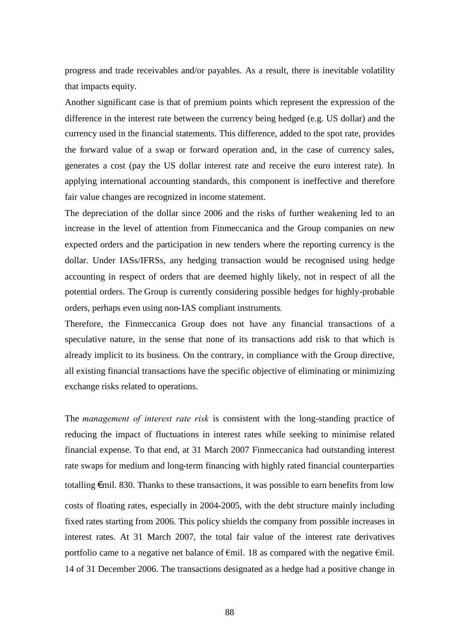progress and trade receivables and/or payables. As a result, there is inevitable volatility that impacts equity.

Another significant case is that of premium points which represent the expression of the difference in the interest rate between the currency being hedged (e.g. US dollar) and the currency used in the financial statements. This difference, added to the spot rate, provides the forward value of a swap or forward operation and, in the case of currency sales, generates a cost (pay the US dollar interest rate and receive the euro interest rate). In applying international accounting standards, this component is ineffective and therefore fair value changes are recognized in income statement.

The depreciation of the dollar since 2006 and the risks of further weakening led to an increase in the level of attention from Finmeccanica and the Group companies on new expected orders and the participation in new tenders where the reporting currency is the dollar. Under IASs/IFRSs, any hedging transaction would be recognised using hedge accounting in respect of orders that are deemed highly likely, not in respect of all the potential orders. The Group is currently considering possible hedges for highly-probable orders, perhaps even using non-IAS compliant instruments*.*

Therefore, the Finmeccanica Group does not have any financial transactions of a speculative nature, in the sense that none of its transactions add risk to that which is already implicit to its business. On the contrary, in compliance with the Group directive, all existing financial transactions have the specific objective of eliminating or minimizing exchange risks related to operations.

The *management of interest rate risk* is consistent with the long-standing practice of reducing the impact of fluctuations in interest rates while seeking to minimise related financial expense. To that end, at 31 March 2007 Finmeccanica had outstanding interest rate swaps for medium and long-term financing with highly rated financial counterparties totalling  $\epsilon$ mil. 830. Thanks to these transactions, it was possible to earn benefits from low costs of floating rates, especially in 2004-2005, with the debt structure mainly including fixed rates starting from 2006. This policy shields the company from possible increases in interest rates. At 31 March 2007, the total fair value of the interest rate derivatives portfolio came to a negative net balance of  $\epsilon$ mil. 18 as compared with the negative  $\epsilon$ mil. 14 of 31 December 2006. The transactions designated as a hedge had a positive change in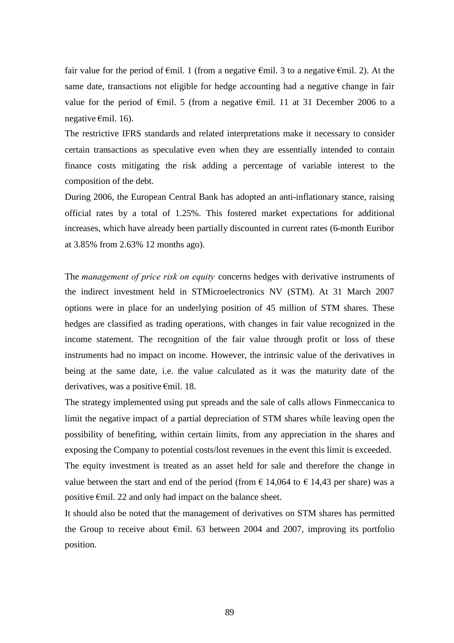fair value for the period of  $\epsilon$ mil. 1 (from a negative  $\epsilon$ mil. 3 to a negative  $\epsilon$ mil. 2). At the same date, transactions not eligible for hedge accounting had a negative change in fair value for the period of  $\epsilon$ mil. 5 (from a negative  $\epsilon$ mil. 11 at 31 December 2006 to a negative €mil. 16).

The restrictive IFRS standards and related interpretations make it necessary to consider certain transactions as speculative even when they are essentially intended to contain finance costs mitigating the risk adding a percentage of variable interest to the composition of the debt.

During 2006, the European Central Bank has adopted an anti-inflationary stance, raising official rates by a total of 1.25%. This fostered market expectations for additional increases, which have already been partially discounted in current rates (6-month Euribor at 3.85% from 2.63% 12 months ago).

The *management of price risk on equity* concerns hedges with derivative instruments of the indirect investment held in STMicroelectronics NV (STM). At 31 March 2007 options were in place for an underlying position of 45 million of STM shares. These hedges are classified as trading operations, with changes in fair value recognized in the income statement. The recognition of the fair value through profit or loss of these instruments had no impact on income. However, the intrinsic value of the derivatives in being at the same date, i.e. the value calculated as it was the maturity date of the derivatives, was a positive €mil. 18.

The strategy implemented using put spreads and the sale of calls allows Finmeccanica to limit the negative impact of a partial depreciation of STM shares while leaving open the possibility of benefiting, within certain limits, from any appreciation in the shares and exposing the Company to potential costs/lost revenues in the event this limit is exceeded. The equity investment is treated as an asset held for sale and therefore the change in value between the start and end of the period (from  $\epsilon$  14,064 to  $\epsilon$  14,43 per share) was a positive €mil. 22 and only had impact on the balance sheet.

It should also be noted that the management of derivatives on STM shares has permitted the Group to receive about  $\epsilon$ mil. 63 between 2004 and 2007, improving its portfolio position.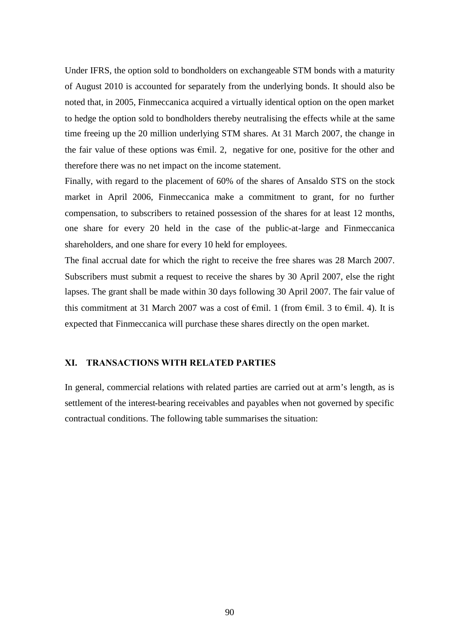Under IFRS, the option sold to bondholders on exchangeable STM bonds with a maturity of August 2010 is accounted for separately from the underlying bonds. It should also be noted that, in 2005, Finmeccanica acquired a virtually identical option on the open market to hedge the option sold to bondholders thereby neutralising the effects while at the same time freeing up the 20 million underlying STM shares. At 31 March 2007, the change in the fair value of these options was  $\epsilon$ mil. 2, negative for one, positive for the other and therefore there was no net impact on the income statement.

Finally, with regard to the placement of 60% of the shares of Ansaldo STS on the stock market in April 2006, Finmeccanica make a commitment to grant, for no further compensation, to subscribers to retained possession of the shares for at least 12 months, one share for every 20 held in the case of the public-at-large and Finmeccanica shareholders, and one share for every 10 held for employees.

The final accrual date for which the right to receive the free shares was 28 March 2007. Subscribers must submit a request to receive the shares by 30 April 2007, else the right lapses. The grant shall be made within 30 days following 30 April 2007. The fair value of this commitment at 31 March 2007 was a cost of  $\epsilon$ mil. 1 (from  $\epsilon$ mil. 3 to  $\epsilon$ mil. 4). It is expected that Finmeccanica will purchase these shares directly on the open market.

#### **XI. TRANSACTIONS WITH RELATED PARTIES**

In general, commercial relations with related parties are carried out at arm's length, as is settlement of the interest-bearing receivables and payables when not governed by specific contractual conditions. The following table summarises the situation: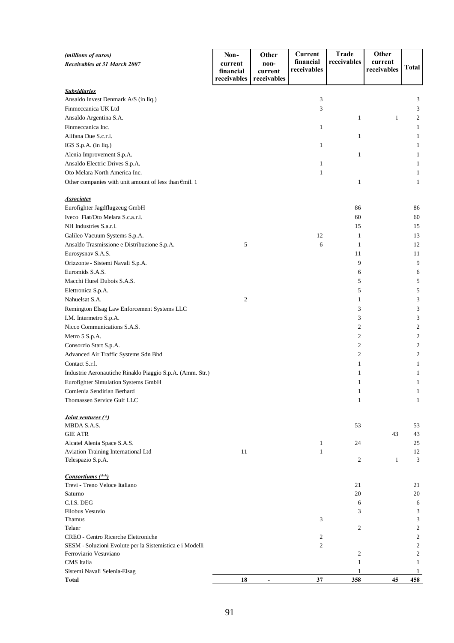| (millions of euros)<br>Receivables at 31 March 2007                                             | Non-<br>current<br>financial | Other<br>non-<br>current | Current<br>financial<br>receivables | <b>Trade</b><br>receivables | Other<br>current<br>receivables | Total                                              |
|-------------------------------------------------------------------------------------------------|------------------------------|--------------------------|-------------------------------------|-----------------------------|---------------------------------|----------------------------------------------------|
|                                                                                                 | receivables                  | receivables              |                                     |                             |                                 |                                                    |
| <b>Subsidiaries</b>                                                                             |                              |                          |                                     |                             |                                 |                                                    |
| Ansaldo Invest Denmark A/S (in liq.)                                                            |                              |                          | 3                                   |                             |                                 | 3                                                  |
| Finmeccanica UK Ltd                                                                             |                              |                          | 3                                   |                             |                                 | 3                                                  |
| Ansaldo Argentina S.A.                                                                          |                              |                          |                                     | $\mathbf{1}$                | $\mathbf{1}$                    | 2                                                  |
| Finmeccanica Inc.                                                                               |                              |                          | 1                                   |                             |                                 | $\mathbf{1}$                                       |
| Alifana Due S.c.r.l.                                                                            |                              |                          |                                     | $\mathbf{1}$                |                                 | 1                                                  |
| IGS S.p.A. (in liq.)                                                                            |                              |                          | 1                                   |                             |                                 | 1                                                  |
| Alenia Improvement S.p.A.                                                                       |                              |                          |                                     | $\mathbf{1}$                |                                 | 1                                                  |
| Ansaldo Electric Drives S.p.A.                                                                  |                              |                          | $\mathbf{1}$                        |                             |                                 | 1                                                  |
| Oto Melara North America Inc.                                                                   |                              |                          | 1                                   |                             |                                 | 1                                                  |
| Other companies with unit amount of less than $\epsilon$ mil. 1                                 |                              |                          |                                     | $\mathbf{1}$                |                                 | 1                                                  |
| <b>Associates</b>                                                                               |                              |                          |                                     |                             |                                 |                                                    |
| Eurofighter Jagdflugzeug GmbH                                                                   |                              |                          |                                     | 86                          |                                 | 86                                                 |
| Iveco Fiat/Oto Melara S.c.a.r.l.                                                                |                              |                          |                                     | 60                          |                                 | 60                                                 |
| NH Industries S.a.r.l.                                                                          |                              |                          |                                     | 15                          |                                 | 15                                                 |
| Galileo Vacuum Systems S.p.A.                                                                   |                              |                          | 12                                  | $\mathbf{1}$                |                                 | 13                                                 |
| Ansaldo Trasmissione e Distribuzione S.p.A.                                                     | 5                            |                          | 6                                   | $\mathbf{1}$                |                                 | 12                                                 |
| Eurosysnav S.A.S.                                                                               |                              |                          |                                     | 11                          |                                 | 11                                                 |
| Orizzonte - Sistemi Navali S.p.A.                                                               |                              |                          |                                     | 9                           |                                 | 9                                                  |
| Euromids S.A.S.                                                                                 |                              |                          |                                     | 6                           |                                 | 6                                                  |
| Macchi Hurel Dubois S.A.S.                                                                      |                              |                          |                                     | 5                           |                                 | 5                                                  |
| Elettronica S.p.A.                                                                              |                              |                          |                                     | 5                           |                                 | 5                                                  |
| Nahuelsat S.A.                                                                                  | $\boldsymbol{2}$             |                          |                                     | 1                           |                                 | 3                                                  |
| Remington Elsag Law Enforcement Systems LLC                                                     |                              |                          |                                     | 3                           |                                 | 3                                                  |
| I.M. Intermetro S.p.A.                                                                          |                              |                          |                                     | 3                           |                                 | 3                                                  |
| Nicco Communications S.A.S.                                                                     |                              |                          |                                     | $\overline{c}$              |                                 | 2                                                  |
| Metro 5 S.p.A.                                                                                  |                              |                          |                                     | $\overline{2}$              |                                 | 2                                                  |
| Consorzio Start S.p.A.                                                                          |                              |                          |                                     | $\overline{2}$              |                                 | 2                                                  |
| Advanced Air Traffic Systems Sdn Bhd                                                            |                              |                          |                                     | $\overline{c}$              |                                 | 2                                                  |
| Contact S.r.l.                                                                                  |                              |                          |                                     | 1                           |                                 | 1                                                  |
| Industrie Aeronautiche Rinaldo Piaggio S.p.A. (Amm. Str.)                                       |                              |                          |                                     | 1                           |                                 | 1                                                  |
| Eurofighter Simulation Systems GmbH                                                             |                              |                          |                                     | 1                           |                                 | 1                                                  |
| Comlenia Sendirian Berhard                                                                      |                              |                          |                                     | -1                          |                                 | 1                                                  |
| Thomassen Service Gulf LLC                                                                      |                              |                          |                                     | $\mathbf{1}$                |                                 | 1                                                  |
| <i>Joint ventures (*)</i>                                                                       |                              |                          |                                     |                             |                                 |                                                    |
| MBDA S.A.S.                                                                                     |                              |                          |                                     | 53                          |                                 | 53                                                 |
| <b>GIE ATR</b>                                                                                  |                              |                          |                                     |                             | 43                              | 43                                                 |
| Alcatel Alenia Space S.A.S.                                                                     |                              |                          | $\mathbf{1}$                        | 24                          |                                 | 25                                                 |
| Aviation Training International Ltd                                                             | 11                           |                          | 1                                   |                             |                                 | 12                                                 |
| Telespazio S.p.A.                                                                               |                              |                          |                                     | $\overline{c}$              | 1                               | 3                                                  |
| Consortiums (**)                                                                                |                              |                          |                                     |                             |                                 |                                                    |
| Trevi - Treno Veloce Italiano                                                                   |                              |                          |                                     | 21                          |                                 | 21                                                 |
| Saturno                                                                                         |                              |                          |                                     | 20                          |                                 | 20                                                 |
| C.I.S. DEG                                                                                      |                              |                          |                                     | 6                           |                                 | 6                                                  |
| Filobus Vesuvio                                                                                 |                              |                          |                                     | 3                           |                                 | 3                                                  |
| Thamus                                                                                          |                              |                          | 3                                   |                             |                                 | 3                                                  |
| Telaer                                                                                          |                              |                          |                                     | 2                           |                                 | $\overline{\mathbf{c}}$                            |
| CREO - Centro Ricerche Elettroniche<br>SESM - Soluzioni Evolute per la Sistemistica e i Modelli |                              |                          | 2<br>$\overline{c}$                 |                             |                                 | $\overline{\mathbf{c}}$<br>$\overline{\mathbf{c}}$ |
| Ferroviario Vesuviano                                                                           |                              |                          |                                     | $\overline{2}$              |                                 | $\mathfrak{2}$                                     |
| CMS Italia                                                                                      |                              |                          |                                     | $\mathbf{1}$                |                                 | 1                                                  |
| Sistemi Navali Selenia-Elsag                                                                    |                              |                          |                                     |                             |                                 | 1                                                  |
| <b>Total</b>                                                                                    | 18                           |                          | 37                                  | 358                         | 45                              | 458                                                |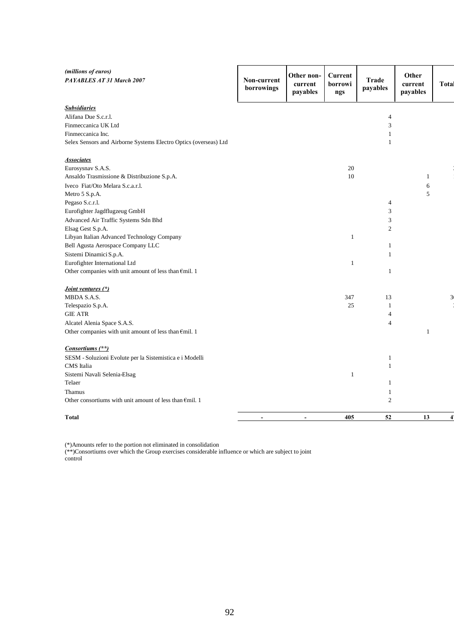| (millions of euros)<br>PAYABLES AT 31 March 2007                  | Non-current<br>borrowings    | Other non-<br>current<br>payables | Current<br>borrowi<br>ngs | Trade<br>payables | Other<br>current<br>payables | Total                |
|-------------------------------------------------------------------|------------------------------|-----------------------------------|---------------------------|-------------------|------------------------------|----------------------|
| <b>Subsidiaries</b>                                               |                              |                                   |                           |                   |                              |                      |
| Alifana Due S.c.r.l.                                              |                              |                                   |                           | $\overline{4}$    |                              |                      |
| Finmeccanica UK Ltd                                               |                              |                                   |                           | $\mathfrak{Z}$    |                              |                      |
| Finmeccanica Inc.                                                 |                              |                                   |                           | $\mathbf{1}$      |                              |                      |
| Selex Sensors and Airborne Systems Electro Optics (overseas) Ltd  |                              |                                   |                           | $\mathbf{1}$      |                              |                      |
| <b>Associates</b>                                                 |                              |                                   |                           |                   |                              |                      |
| Eurosysnav S.A.S.                                                 |                              |                                   | 20                        |                   |                              |                      |
| Ansaldo Trasmissione & Distribuzione S.p.A.                       |                              |                                   | 10                        |                   | $\mathbf{1}$                 |                      |
| Iveco Fiat/Oto Melara S.c.a.r.l.                                  |                              |                                   |                           |                   | 6                            |                      |
| Metro 5 S.p.A.                                                    |                              |                                   |                           |                   | 5                            |                      |
| Pegaso S.c.r.l.                                                   |                              |                                   |                           | $\overline{4}$    |                              |                      |
| Eurofighter Jagdflugzeug GmbH                                     |                              |                                   |                           | 3                 |                              |                      |
| Advanced Air Traffic Systems Sdn Bhd                              |                              |                                   |                           | 3                 |                              |                      |
| Elsag Gest S.p.A.                                                 |                              |                                   |                           | $\overline{c}$    |                              |                      |
| Libyan Italian Advanced Technology Company                        |                              |                                   | $\mathbf{1}$              |                   |                              |                      |
| Bell Agusta Aerospace Company LLC                                 |                              |                                   |                           | $\mathbf{1}$      |                              |                      |
| Sistemi Dinamici S.p.A.                                           |                              |                                   |                           | $\mathbf{1}$      |                              |                      |
| Eurofighter International Ltd                                     |                              |                                   | $\mathbf{1}$              |                   |                              |                      |
| Other companies with unit amount of less than €mil. 1             |                              |                                   |                           | $\mathbf{1}$      |                              |                      |
| <i>Joint ventures (*)</i>                                         |                              |                                   |                           |                   |                              |                      |
| MBDA S.A.S.                                                       |                              |                                   | 347                       | 13                |                              | 3 <sub>0</sub>       |
| Telespazio S.p.A.                                                 |                              |                                   | 25                        | $\mathbf{1}$      |                              |                      |
| <b>GIE ATR</b>                                                    |                              |                                   |                           | 4                 |                              |                      |
| Alcatel Alenia Space S.A.S.                                       |                              |                                   |                           | $\overline{4}$    |                              |                      |
| Other companies with unit amount of less than €mil. 1             |                              |                                   |                           |                   | $\mathbf{1}$                 |                      |
| Consortiums (**)                                                  |                              |                                   |                           |                   |                              |                      |
| SESM - Soluzioni Evolute per la Sistemistica e i Modelli          |                              |                                   |                           | $\mathbf{1}$      |                              |                      |
| CMS Italia                                                        |                              |                                   |                           | $\mathbf{1}$      |                              |                      |
| Sistemi Navali Selenia-Elsag                                      |                              |                                   | $\mathbf{1}$              |                   |                              |                      |
| Telaer                                                            |                              |                                   |                           | $\mathbf{1}$      |                              |                      |
| Thamus                                                            |                              |                                   |                           | $\mathbf{1}$      |                              |                      |
| Other consortiums with unit amount of less than $\epsilon$ mil. 1 |                              |                                   |                           | $\mathfrak{2}$    |                              |                      |
| Total                                                             | $\qquad \qquad \blacksquare$ | $\overline{\phantom{a}}$          | 405                       | 52                | 13                           | $\ddot{\phantom{1}}$ |

(\*)Amounts refer to the portion not eliminated in consolidation

(\*\*)Consortiums over which the Group exercises considerable influence or which are subject to joint control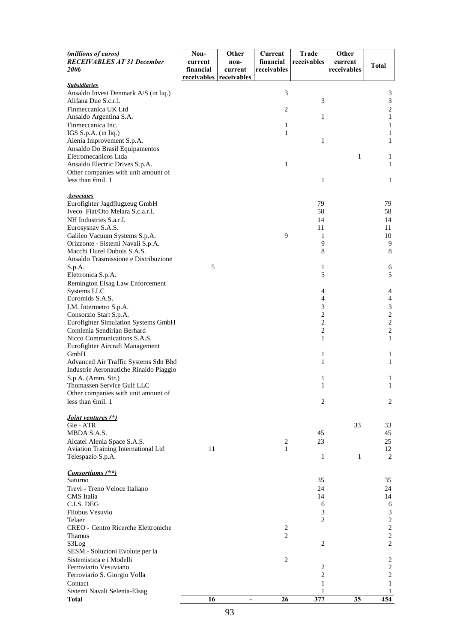| (millions of euros)<br><b>RECEIVABLES AT 31 December</b><br><i>2006</i>                                                                                                                                                                          | Non-<br>current<br>financial<br>receivables receivables | Other<br>non-<br>current | Current<br>financial<br>receivables | <b>Trade</b><br>receivables                     | Other<br>current<br>receivables | <b>Total</b>                                                                                 |
|--------------------------------------------------------------------------------------------------------------------------------------------------------------------------------------------------------------------------------------------------|---------------------------------------------------------|--------------------------|-------------------------------------|-------------------------------------------------|---------------------------------|----------------------------------------------------------------------------------------------|
| <b>Subsidiaries</b><br>Ansaldo Invest Denmark A/S (in liq.)<br>Alifana Due S.c.r.l.<br>Finmeccanica UK Ltd<br>Ansaldo Argentina S.A.<br>Finmeccanica Inc.<br>IGS S.p.A. (in liq.)<br>Alenia Improvement S.p.A.<br>Ansaldo Do Brasil Equipamentos |                                                         |                          | 3<br>2<br>1<br>1                    | 3<br>1<br>$\mathbf{1}$                          |                                 | 3<br>$\mathfrak{Z}$<br>$\sqrt{2}$<br>$\mathbf{1}$<br>$\mathbf{1}$<br>1<br>$\mathbf{1}$       |
| Eletromecanicos Ltda<br>Ansaldo Electric Drives S.p.A.<br>Other companies with unit amount of<br>less than $\epsilon$ mil. 1                                                                                                                     |                                                         |                          | 1                                   | 1                                               | 1                               | $\mathbf{1}$<br>$\mathbf{1}$<br>1                                                            |
| <b>Associates</b><br>Eurofighter Jagdflugzeug GmbH<br>Iveco Fiat/Oto Melara S.c.a.r.l.<br>NH Industries S.a.r.l.<br>Eurosysnav S.A.S.<br>Galileo Vacuum Systems S.p.A.<br>Orizzonte - Sistemi Navali S.p.A.<br>Macchi Hurel Dubois S.A.S.        |                                                         |                          | 9                                   | 79<br>58<br>14<br>11<br>1<br>9<br>8             |                                 | 79<br>58<br>14<br>11<br>10<br>9<br>8                                                         |
| Ansaldo Trasmissione e Distribuzione<br>S.p.A.<br>Elettronica S.p.A.<br>Remington Elsag Law Enforcement                                                                                                                                          | 5                                                       |                          |                                     | 1<br>5                                          |                                 | 6<br>5                                                                                       |
| Systems LLC<br>Euromids S.A.S.<br>I.M. Intermetro S.p.A.<br>Consorzio Start S.p.A.<br>Eurofighter Simulation Systems GmbH<br>Comlenia Sendirian Berhard<br>Nicco Communications S.A.S.<br>Eurofighter Aircraft Management                        |                                                         |                          |                                     | 4<br>4<br>3<br>2<br>2<br>$\overline{2}$<br>1    |                                 | 4<br>4<br>3<br>$\sqrt{2}$<br>$\boldsymbol{2}$<br>$\sqrt{2}$<br>$\mathbf{1}$                  |
| GmbH<br>Advanced Air Traffic Systems Sdn Bhd<br>Industrie Aeronautiche Rinaldo Piaggio                                                                                                                                                           |                                                         |                          |                                     | 1<br>1                                          |                                 | $\mathbf{1}$<br>1                                                                            |
| S.p.A. (Amm. Str.)<br>Thomassen Service Gulf LLC<br>Other companies with unit amount of<br>less than $\epsilon$ mil. 1                                                                                                                           |                                                         |                          |                                     | 1<br>1<br>$\overline{2}$                        |                                 | $\mathbf{1}$<br>$\mathbf{1}$<br>2                                                            |
| Joint ventures (*)<br>Gie - ATR<br>MBDA S.A.S.<br>Alcatel Alenia Space S.A.S.<br>Aviation Training International Ltd<br>Telespazio S.p.A.                                                                                                        | 11                                                      |                          | $\overline{\mathbf{c}}$<br>1        | 45<br>23<br>$\mathbf{1}$                        | 33<br>1                         | 33<br>45<br>25<br>12<br>2                                                                    |
| <i>Consortiums</i> (**)<br>Saturno<br>Trevi - Treno Veloce Italiano<br>CMS Italia<br>C.I.S. DEG<br>Filobus Vesuvio<br>Telaer<br><b>CREO - Centro Ricerche Elettroniche</b><br><b>Thamus</b><br>S3Log                                             |                                                         |                          | $\overline{c}$<br>$\overline{c}$    | 35<br>24<br>14<br>6<br>3<br>2<br>$\overline{2}$ |                                 | 35<br>24<br>14<br>6<br>3<br>$\overline{c}$<br>$\sqrt{2}$<br>$\overline{c}$<br>$\overline{c}$ |
| SESM - Soluzioni Evolute per la<br>Sistemistica e i Modelli<br>Ferroviario Vesuviano<br>Ferroviario S. Giorgio Volla<br>Contact<br>Sistemi Navali Selenia-Elsag<br><b>Total</b>                                                                  | 16                                                      | $\overline{\phantom{a}}$ | $\overline{2}$<br>26                | 2<br>2<br>1<br>1<br>377                         | 35                              | $\overline{c}$<br>$\sqrt{2}$<br>$\boldsymbol{2}$<br>$\mathbf{1}$<br>1<br>454                 |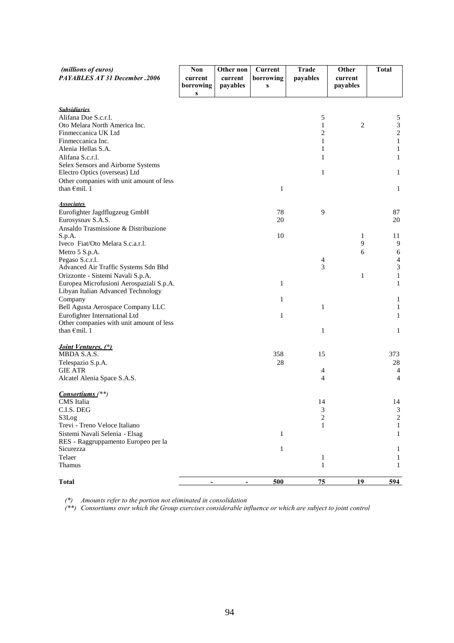| (millions of euros)                                                       | Non                      | Other non                    | Current        | Trade                       | Other               | <b>Total</b>          |
|---------------------------------------------------------------------------|--------------------------|------------------------------|----------------|-----------------------------|---------------------|-----------------------|
| PAYABLES AT 31 December .2006                                             | current<br>borrowing     | current<br>payables          | borrowing<br>S | payables                    | current<br>payables |                       |
|                                                                           | ${\bf S}$                |                              |                |                             |                     |                       |
| <b>Subsidiaries</b>                                                       |                          |                              |                |                             |                     |                       |
| Alifana Due S.c.r.l.                                                      |                          |                              |                | 5                           |                     | 5                     |
| Oto Melara North America Inc.                                             |                          |                              |                | 1                           | 2                   | $\overline{3}$        |
| Finmeccanica UK Ltd<br>Finmeccanica Inc.                                  |                          |                              |                | 2<br>1                      |                     | $\sqrt{2}$<br>$\,1$   |
| Alenia Hellas S.A.                                                        |                          |                              |                | 1                           |                     | $\mathbf{1}$          |
| Alifana S.c.r.l.                                                          |                          |                              |                | 1                           |                     | $\mathbf{1}$          |
| Selex Sensors and Airborne Systems                                        |                          |                              |                |                             |                     |                       |
| Electro Optics (overseas) Ltd                                             |                          |                              |                | $\mathbf{1}$                |                     | $\mathbf{1}$          |
| Other companies with unit amount of less<br>than $\epsilon$ mil. 1        |                          |                              |                |                             |                     |                       |
|                                                                           |                          |                              | $\mathbf{1}$   |                             |                     | 1                     |
| <b>Associates</b>                                                         |                          |                              |                |                             |                     |                       |
| Eurofighter Jagdflugzeug GmbH                                             |                          |                              | 78             | 9                           |                     | 87                    |
| Eurosysnav S.A.S.<br>Ansaldo Trasmissione & Distribuzione                 |                          |                              | 20             |                             |                     | 20                    |
| S.p.A.                                                                    |                          |                              | 10             |                             | 1                   | 11                    |
| Iveco Fiat/Oto Melara S.c.a.r.l.                                          |                          |                              |                |                             | 9                   | 9                     |
| Metro 5 S.p.A.                                                            |                          |                              |                |                             | 6                   | 6                     |
| Pegaso S.c.r.l.                                                           |                          |                              |                | $\overline{4}$              |                     | $\overline{4}$        |
| Advanced Air Traffic Systems Sdn Bhd<br>Orizzonte - Sistemi Navali S.p.A. |                          |                              |                | 3                           | 1                   | $\sqrt{3}$<br>$\,1\,$ |
| Europea Microfusioni Aerospaziali S.p.A.                                  |                          |                              | $\mathbf{1}$   |                             |                     | $\mathbf{1}$          |
| Libyan Italian Advanced Technology                                        |                          |                              |                |                             |                     |                       |
| Company                                                                   |                          |                              | $\mathbf{1}$   |                             |                     | $\mathbf{1}$          |
| Bell Agusta Aerospace Company LLC                                         |                          |                              |                | 1                           |                     | $\mathbf{1}$          |
| Eurofighter International Ltd                                             |                          |                              | $\mathbf{1}$   |                             |                     | $\mathbf{1}$          |
| Other companies with unit amount of less<br>than $\epsilon$ mil. 1        |                          |                              |                | 1                           |                     | $\mathbf{1}$          |
|                                                                           |                          |                              |                |                             |                     |                       |
| <i>Joint Ventures.</i> (*)                                                |                          |                              |                |                             |                     |                       |
| MBDA S.A.S.                                                               |                          |                              | 358            | 15                          |                     | 373                   |
| Telespazio S.p.A.<br><b>GIE ATR</b>                                       |                          |                              | 28             | 4                           |                     | 28<br>$\overline{4}$  |
| Alcatel Alenia Space S.A.S.                                               |                          |                              |                | 4                           |                     | $\overline{4}$        |
|                                                                           |                          |                              |                |                             |                     |                       |
| <i>Consortiums</i> (**)<br>CMS Italia                                     |                          |                              |                | 14                          |                     | 14                    |
| C.I.S. DEG                                                                |                          |                              |                | $\ensuremath{\mathfrak{Z}}$ |                     | 3                     |
| S3Log                                                                     |                          |                              |                | $\overline{\mathbf{c}}$     |                     | $\sqrt{2}$            |
| Trevi - Treno Veloce Italiano                                             |                          |                              |                | 1                           |                     | 1                     |
| Sistemi Navali Selenia - Elsag                                            |                          |                              | $\mathbf{1}$   |                             |                     | 1                     |
| RES - Raggruppamento Europeo per la<br>Sicurezza                          |                          |                              | $\mathbf{1}$   |                             |                     | 1                     |
| Telaer                                                                    |                          |                              |                | 1                           |                     | 1                     |
| Thamus                                                                    |                          |                              |                | $\mathbf{1}$                |                     | 1                     |
| <b>Total</b>                                                              | $\overline{\phantom{a}}$ | $\qquad \qquad \blacksquare$ | 500            | 75                          | 19                  | 594                   |
|                                                                           |                          |                              |                |                             |                     |                       |

*(\*) Amounts refer to the portion not eliminated in consolidation*

*(\*\*) Consortiums over which the Group exercises considerable influence or which are subject to joint control*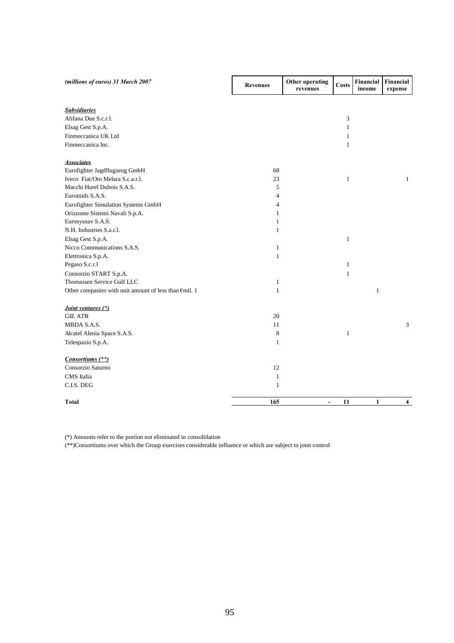| (millions of euros) 31 March 2007                     | <b>Revenues</b> | Other operating<br>revenues | <b>Costs</b> | Financial<br>income | Financial<br>expense |
|-------------------------------------------------------|-----------------|-----------------------------|--------------|---------------------|----------------------|
| <b>Subsidiaries</b>                                   |                 |                             |              |                     |                      |
| Alifana Due S.c.r.l.                                  |                 |                             | 3            |                     |                      |
| Elsag Gest S.p.A.                                     |                 |                             | 1            |                     |                      |
| Finmeccanica UK Ltd                                   |                 |                             | $\mathbf{1}$ |                     |                      |
| Finmeccanica Inc.                                     |                 |                             | $\mathbf{1}$ |                     |                      |
| <b>Associates</b>                                     |                 |                             |              |                     |                      |
| Eurofighter Jagdflugzeug GmbH                         | 68              |                             |              |                     |                      |
| Iveco Fiat/Oto Melara S.c.a.r.l.                      | 23              |                             | $\mathbf{1}$ |                     | $\mathbf{1}$         |
| Macchi Hurel Dubois S.A.S.                            | 5               |                             |              |                     |                      |
| Euromids S.A.S.                                       | $\overline{4}$  |                             |              |                     |                      |
| Eurofighter Simulation Systems GmbH                   | 4               |                             |              |                     |                      |
| Orizzonte Sistemi Navali S.p.A.                       | 1               |                             |              |                     |                      |
| Eurosysnav S.A.S.                                     | $\mathbf{1}$    |                             |              |                     |                      |
| N.H. Industries S.a.r.l.                              | 1               |                             |              |                     |                      |
| Elsag Gest S.p.A.                                     |                 |                             | $\mathbf{1}$ |                     |                      |
| Nicco Communications S.A.S.                           | $\mathbf{1}$    |                             |              |                     |                      |
| Elettronica S.p.A.                                    | $\mathbf{1}$    |                             |              |                     |                      |
| Pegaso S.c.r.1                                        |                 |                             | $\mathbf{1}$ |                     |                      |
| Consorzio START S.p.A.                                |                 |                             | $\mathbf{1}$ |                     |                      |
| Thomassen Service Gulf LLC                            | $\mathbf{1}$    |                             |              |                     |                      |
| Other companies with unit amount of less than €mil. 1 | $\mathbf{1}$    |                             |              | $\mathbf{1}$        |                      |
| Joint ventures (*)                                    |                 |                             |              |                     |                      |
| <b>GIE ATR</b>                                        | 20              |                             |              |                     |                      |
| MBDA S.A.S.                                           | 11              |                             |              |                     | 3                    |
| Alcatel Alenia Space S.A.S.                           | 8               |                             | $\mathbf{1}$ |                     |                      |
| Telespazio S.p.A.                                     | $\mathbf{1}$    |                             |              |                     |                      |
| Consortiums (**)                                      |                 |                             |              |                     |                      |
| Consorzio Saturno                                     | 12              |                             |              |                     |                      |
| CMS Italia                                            | $\mathbf{1}$    |                             |              |                     |                      |
| C.I.S. DEG                                            | $\mathbf{1}$    |                             |              |                     |                      |
| <b>Total</b>                                          | 165             | $\overline{\phantom{a}}$    | 11           | 1                   | 4                    |

(\*) Amounts refer to the portion not eliminated in consolidation

(\*\*)Consortiums over which the Group exercises considerable influence or which are subject to joint control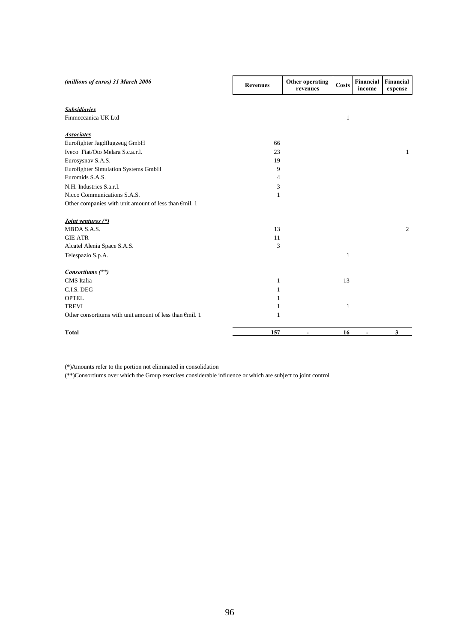| (millions of euros) 31 March 2006                                 | <b>Revenues</b> | Other operating<br>revenues | Costs | Financial<br>income          | Financial<br>expense |
|-------------------------------------------------------------------|-----------------|-----------------------------|-------|------------------------------|----------------------|
| <b>Subsidiaries</b><br>Finmeccanica UK Ltd                        |                 |                             | 1     |                              |                      |
| <b>Associates</b>                                                 |                 |                             |       |                              |                      |
| Eurofighter Jagdflugzeug GmbH                                     | 66              |                             |       |                              |                      |
| Iveco Fiat/Oto Melara S.c.a.r.l.                                  | 23              |                             |       |                              | $\mathbf{1}$         |
| Eurosysnav S.A.S.                                                 | 19              |                             |       |                              |                      |
| Eurofighter Simulation Systems GmbH                               | 9               |                             |       |                              |                      |
| Euromids S.A.S.                                                   | $\overline{4}$  |                             |       |                              |                      |
| N.H. Industries S.a.r.l.                                          | 3               |                             |       |                              |                      |
| Nicco Communications S.A.S.                                       | 1               |                             |       |                              |                      |
| Other companies with unit amount of less than $\epsilon$ mil. 1   |                 |                             |       |                              |                      |
| Joint ventures (*)                                                |                 |                             |       |                              |                      |
| MBDA S.A.S.                                                       | 13              |                             |       |                              | 2                    |
| <b>GIE ATR</b>                                                    | 11              |                             |       |                              |                      |
| Alcatel Alenia Space S.A.S.                                       | 3               |                             |       |                              |                      |
| Telespazio S.p.A.                                                 |                 |                             | 1     |                              |                      |
| Consortiums (**)                                                  |                 |                             |       |                              |                      |
| CMS Italia                                                        | $\mathbf{1}$    |                             | 13    |                              |                      |
| C.I.S. DEG                                                        | 1               |                             |       |                              |                      |
| <b>OPTEL</b>                                                      | 1               |                             |       |                              |                      |
| <b>TREVI</b>                                                      | 1               |                             | 1     |                              |                      |
| Other consortiums with unit amount of less than $\epsilon$ mil. 1 | 1               |                             |       |                              |                      |
| <b>Total</b>                                                      | 157             | $\overline{\phantom{a}}$    | 16    | $\qquad \qquad \blacksquare$ | 3                    |

(\*)Amounts refer to the portion not eliminated in consolidation

(\*\*)Consortiums over which the Group exercises considerable influence or which are subject to joint control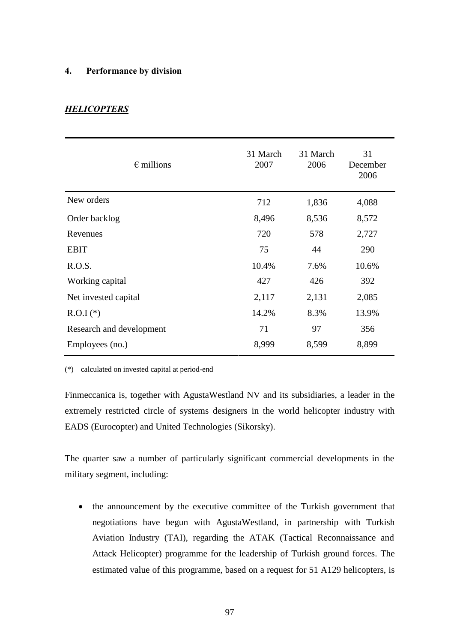### **4. Performance by division**

# *HELICOPTERS*

| $\epsilon$ millions      | 31 March<br>2007 | 31 March<br>2006 | 31<br>December<br>2006 |
|--------------------------|------------------|------------------|------------------------|
| New orders               | 712              | 1,836            | 4,088                  |
| Order backlog            | 8,496            | 8,536            | 8,572                  |
| Revenues                 | 720              | 578              | 2,727                  |
| <b>EBIT</b>              | 75               | 44               | 290                    |
| R.O.S.                   | 10.4%            | 7.6%             | 10.6%                  |
| Working capital          | 427              | 426              | 392                    |
| Net invested capital     | 2,117            | 2,131            | 2,085                  |
| $R.O.I$ (*)              | 14.2%            | 8.3%             | 13.9%                  |
| Research and development | 71               | 97               | 356                    |
| Employees (no.)          | 8,999            | 8,599            | 8,899                  |

(\*) calculated on invested capital at period-end

Finmeccanica is, together with AgustaWestland NV and its subsidiaries, a leader in the extremely restricted circle of systems designers in the world helicopter industry with EADS (Eurocopter) and United Technologies (Sikorsky).

The quarter saw a number of particularly significant commercial developments in the military segment, including:

• the announcement by the executive committee of the Turkish government that negotiations have begun with AgustaWestland, in partnership with Turkish Aviation Industry (TAI), regarding the ATAK (Tactical Reconnaissance and Attack Helicopter) programme for the leadership of Turkish ground forces. The estimated value of this programme, based on a request for 51 A129 helicopters, is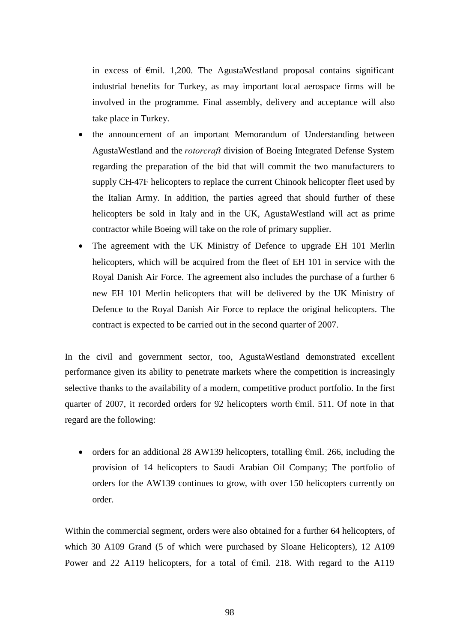in excess of €mil. 1,200. The AgustaWestland proposal contains significant industrial benefits for Turkey, as may important local aerospace firms will be involved in the programme. Final assembly, delivery and acceptance will also take place in Turkey.

- the announcement of an important Memorandum of Understanding between AgustaWestland and the *rotorcraft* division of Boeing Integrated Defense System regarding the preparation of the bid that will commit the two manufacturers to supply CH-47F helicopters to replace the current Chinook helicopter fleet used by the Italian Army. In addition, the parties agreed that should further of these helicopters be sold in Italy and in the UK, AgustaWestland will act as prime contractor while Boeing will take on the role of primary supplier.
- The agreement with the UK Ministry of Defence to upgrade EH 101 Merlin helicopters, which will be acquired from the fleet of EH 101 in service with the Royal Danish Air Force. The agreement also includes the purchase of a further 6 new EH 101 Merlin helicopters that will be delivered by the UK Ministry of Defence to the Royal Danish Air Force to replace the original helicopters. The contract is expected to be carried out in the second quarter of 2007.

In the civil and government sector, too, AgustaWestland demonstrated excellent performance given its ability to penetrate markets where the competition is increasingly selective thanks to the availability of a modern, competitive product portfolio. In the first quarter of 2007, it recorded orders for 92 helicopters worth €mil. 511. Of note in that regard are the following:

• orders for an additional 28 AW139 helicopters, totalling  $\epsilon$ mil. 266, including the provision of 14 helicopters to Saudi Arabian Oil Company; The portfolio of orders for the AW139 continues to grow, with over 150 helicopters currently on order.

Within the commercial segment, orders were also obtained for a further 64 helicopters, of which 30 A109 Grand (5 of which were purchased by Sloane Helicopters), 12 A109 Power and 22 A119 helicopters, for a total of  $\epsilon$ mil. 218. With regard to the A119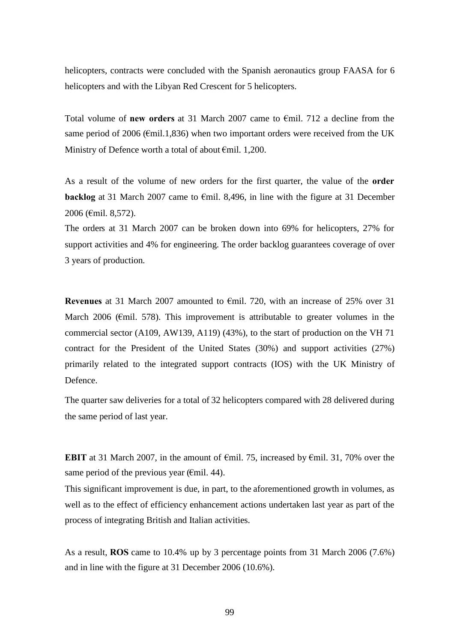helicopters, contracts were concluded with the Spanish aeronautics group FAASA for 6 helicopters and with the Libyan Red Crescent for 5 helicopters.

Total volume of **new orders** at 31 March 2007 came to €mil. 712 a decline from the same period of 2006 ( $\epsilon$ mil.1,836) when two important orders were received from the UK Ministry of Defence worth a total of about €mil. 1,200.

As a result of the volume of new orders for the first quarter, the value of the **order backlog** at 31 March 2007 came to €mil. 8,496, in line with the figure at 31 December 2006 (€mil. 8,572).

The orders at 31 March 2007 can be broken down into 69% for helicopters, 27% for support activities and 4% for engineering. The order backlog guarantees coverage of over 3 years of production.

**Revenues** at 31 March 2007 amounted to €mil. 720, with an increase of 25% over 31 March 2006 ( $\epsilon$ mil. 578). This improvement is attributable to greater volumes in the commercial sector (A109, AW139, A119) (43%), to the start of production on the VH 71 contract for the President of the United States (30%) and support activities (27%) primarily related to the integrated support contracts (IOS) with the UK Ministry of Defence.

The quarter saw deliveries for a total of 32 helicopters compared with 28 delivered during the same period of last year.

**EBIT** at 31 March 2007, in the amount of €mil. 75, increased by €mil. 31, 70% over the same period of the previous year ( $\epsilon$ mil. 44).

This significant improvement is due, in part, to the aforementioned growth in volumes, as well as to the effect of efficiency enhancement actions undertaken last year as part of the process of integrating British and Italian activities.

As a result, **ROS** came to 10.4% up by 3 percentage points from 31 March 2006 (7.6%) and in line with the figure at 31 December 2006 (10.6%).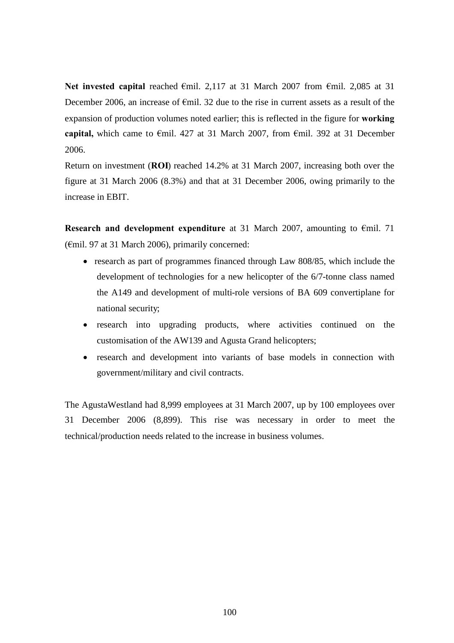**Net invested capital** reached €mil. 2,117 at 31 March 2007 from €mil. 2,085 at 31 December 2006, an increase of €mil. 32 due to the rise in current assets as a result of the expansion of production volumes noted earlier; this is reflected in the figure for **working capital,** which came to €mil. 427 at 31 March 2007, from €mil. 392 at 31 December 2006.

Return on investment (**ROI**) reached 14.2% at 31 March 2007, increasing both over the figure at 31 March 2006 (8.3%) and that at 31 December 2006, owing primarily to the increase in EBIT.

**Research and development expenditure** at 31 March 2007, amounting to €mil. 71 (€mil. 97 at 31 March 2006), primarily concerned:

- research as part of programmes financed through Law 808/85, which include the development of technologies for a new helicopter of the 6/7-tonne class named the A149 and development of multi-role versions of BA 609 convertiplane for national security;
- research into upgrading products, where activities continued on the customisation of the AW139 and Agusta Grand helicopters;
- research and development into variants of base models in connection with government/military and civil contracts.

The AgustaWestland had 8,999 employees at 31 March 2007, up by 100 employees over 31 December 2006 (8,899). This rise was necessary in order to meet the technical/production needs related to the increase in business volumes.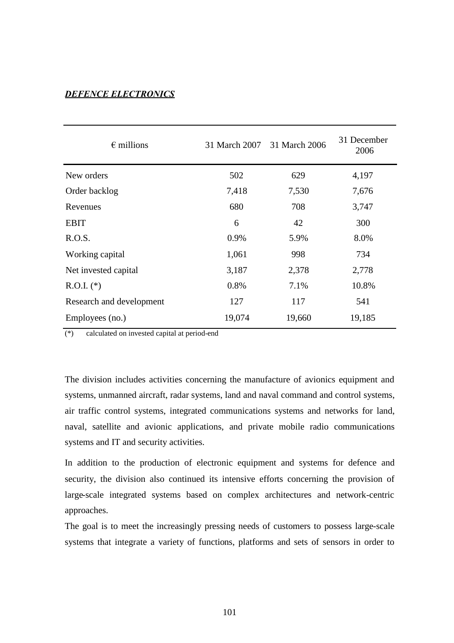# *DEFENCE ELECTRONICS*

| $\epsilon$ millions      | 31 March 2007 31 March 2006 |        | 31 December<br>2006 |
|--------------------------|-----------------------------|--------|---------------------|
| New orders               | 502                         | 629    | 4,197               |
| Order backlog            | 7,418                       | 7,530  | 7,676               |
| Revenues                 | 680                         | 708    | 3,747               |
| <b>EBIT</b>              | 6                           | 42     | 300                 |
| R.O.S.                   | 0.9%                        | 5.9%   | 8.0%                |
| Working capital          | 1,061                       | 998    | 734                 |
| Net invested capital     | 3,187                       | 2,378  | 2,778               |
| $R.O.I.$ (*)             | 0.8%                        | 7.1%   | 10.8%               |
| Research and development | 127                         | 117    | 541                 |
| Employees (no.)          | 19,074                      | 19,660 | 19,185              |

(\*) calculated on invested capital at period-end

The division includes activities concerning the manufacture of avionics equipment and systems, unmanned aircraft, radar systems, land and naval command and control systems, air traffic control systems, integrated communications systems and networks for land, naval, satellite and avionic applications, and private mobile radio communications systems and IT and security activities.

In addition to the production of electronic equipment and systems for defence and security, the division also continued its intensive efforts concerning the provision of large-scale integrated systems based on complex architectures and network-centric approaches.

The goal is to meet the increasingly pressing needs of customers to possess large-scale systems that integrate a variety of functions, platforms and sets of sensors in order to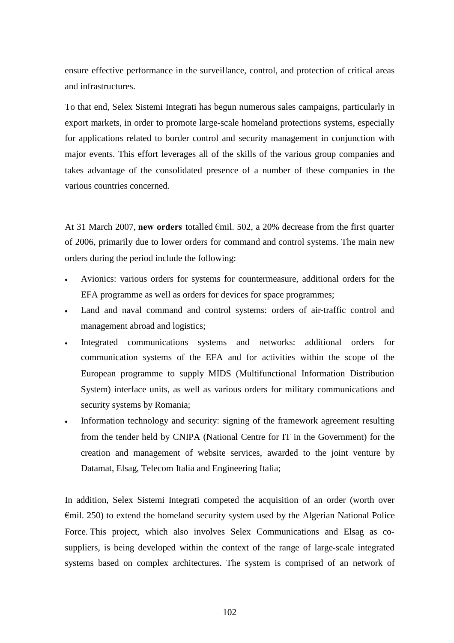ensure effective performance in the surveillance, control, and protection of critical areas and infrastructures.

To that end, Selex Sistemi Integrati has begun numerous sales campaigns, particularly in export markets, in order to promote large-scale homeland protections systems, especially for applications related to border control and security management in conjunction with major events. This effort leverages all of the skills of the various group companies and takes advantage of the consolidated presence of a number of these companies in the various countries concerned.

At 31 March 2007, **new orders** totalled €mil. 502, a 20% decrease from the first quarter of 2006, primarily due to lower orders for command and control systems. The main new orders during the period include the following:

- Avionics: various orders for systems for countermeasure, additional orders for the EFA programme as well as orders for devices for space programmes;
- Land and naval command and control systems: orders of air-traffic control and management abroad and logistics;
- Integrated communications systems and networks: additional orders for communication systems of the EFA and for activities within the scope of the European programme to supply MIDS (Multifunctional Information Distribution System) interface units, as well as various orders for military communications and security systems by Romania;
- Information technology and security: signing of the framework agreement resulting from the tender held by CNIPA (National Centre for IT in the Government) for the creation and management of website services, awarded to the joint venture by Datamat, Elsag, Telecom Italia and Engineering Italia;

In addition, Selex Sistemi Integrati competed the acquisition of an order (worth over €mil. 250) to extend the homeland security system used by the Algerian National Police Force. This project, which also involves Selex Communications and Elsag as cosuppliers, is being developed within the context of the range of large-scale integrated systems based on complex architectures. The system is comprised of an network of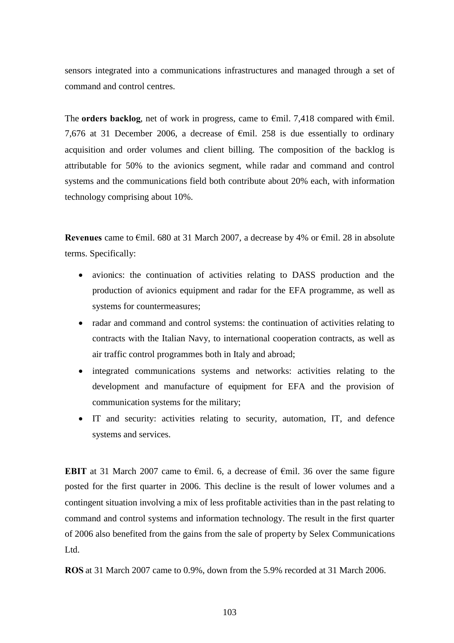sensors integrated into a communications infrastructures and managed through a set of command and control centres.

The **orders backlog**, net of work in progress, came to  $\epsilon$ mil. 7,418 compared with  $\epsilon$ mil. 7,676 at 31 December 2006, a decrease of  $\epsilon$ mil. 258 is due essentially to ordinary acquisition and order volumes and client billing. The composition of the backlog is attributable for 50% to the avionics segment, while radar and command and control systems and the communications field both contribute about 20% each, with information technology comprising about 10%.

**Revenues** came to €mil. 680 at 31 March 2007, a decrease by 4% or €mil. 28 in absolute terms. Specifically:

- avionics: the continuation of activities relating to DASS production and the production of avionics equipment and radar for the EFA programme, as well as systems for countermeasures;
- radar and command and control systems: the continuation of activities relating to contracts with the Italian Navy, to international cooperation contracts, as well as air traffic control programmes both in Italy and abroad;
- integrated communications systems and networks: activities relating to the development and manufacture of equipment for EFA and the provision of communication systems for the military;
- IT and security: activities relating to security, automation, IT, and defence systems and services.

**EBIT** at 31 March 2007 came to  $\epsilon$ mil. 6, a decrease of  $\epsilon$ mil. 36 over the same figure posted for the first quarter in 2006. This decline is the result of lower volumes and a contingent situation involving a mix of less profitable activities than in the past relating to command and control systems and information technology. The result in the first quarter of 2006 also benefited from the gains from the sale of property by Selex Communications Ltd.

**ROS** at 31 March 2007 came to 0.9%, down from the 5.9% recorded at 31 March 2006.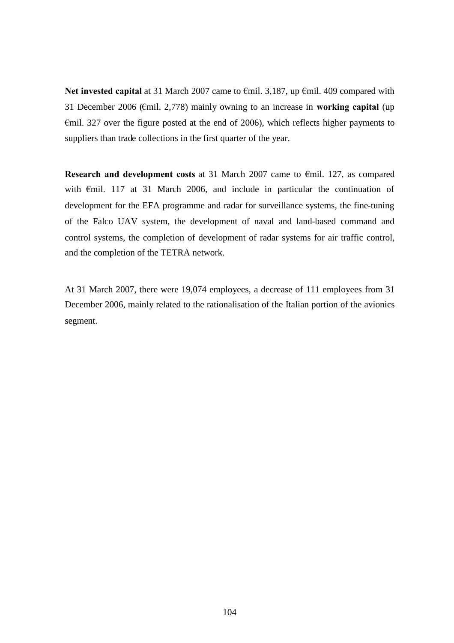**Net invested capital** at 31 March 2007 came to €mil. 3,187, up €mil. 409 compared with 31 December 2006 (€mil. 2,778) mainly owning to an increase in **working capital** (up  $\epsilon$ mil. 327 over the figure posted at the end of 2006), which reflects higher payments to suppliers than trade collections in the first quarter of the year.

**Research and development costs** at 31 March 2007 came to €mil. 127, as compared with €mil. 117 at 31 March 2006, and include in particular the continuation of development for the EFA programme and radar for surveillance systems, the fine-tuning of the Falco UAV system, the development of naval and land-based command and control systems, the completion of development of radar systems for air traffic control, and the completion of the TETRA network.

At 31 March 2007, there were 19,074 employees, a decrease of 111 employees from 31 December 2006, mainly related to the rationalisation of the Italian portion of the avionics segment.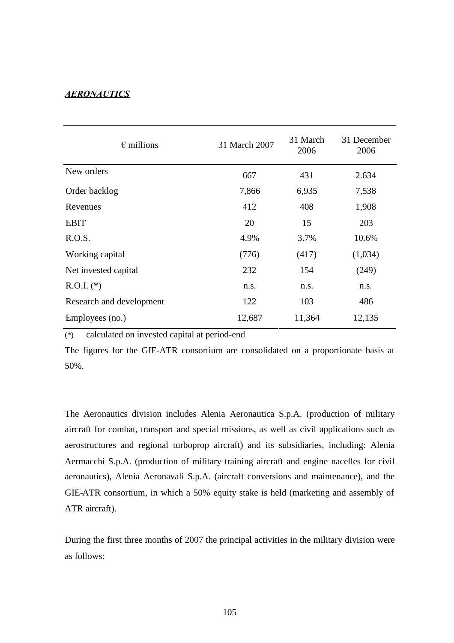# *AERONAUTICS*

| $\epsilon$ millions      | 31 March 2007 | 31 March<br>2006 | 31 December<br>2006 |
|--------------------------|---------------|------------------|---------------------|
| New orders               | 667           | 431              | 2.634               |
| Order backlog            | 7,866         | 6,935            | 7,538               |
| Revenues                 | 412           | 408              | 1,908               |
| <b>EBIT</b>              | 20            | 15               | 203                 |
| R.O.S.                   | 4.9%          | 3.7%             | 10.6%               |
| Working capital          | (776)         | (417)            | (1,034)             |
| Net invested capital     | 232           | 154              | (249)               |
| $R.O.I.$ (*)             | n.s.          | n.s.             | n.s.                |
| Research and development | 122           | 103              | 486                 |
| Employees (no.)          | 12,687        | 11,364           | 12,135              |

(\*) calculated on invested capital at period-end

The figures for the GIE-ATR consortium are consolidated on a proportionate basis at 50%.

The Aeronautics division includes Alenia Aeronautica S.p.A. (production of military aircraft for combat, transport and special missions, as well as civil applications such as aerostructures and regional turboprop aircraft) and its subsidiaries, including: Alenia Aermacchi S.p.A. (production of military training aircraft and engine nacelles for civil aeronautics), Alenia Aeronavali S.p.A. (aircraft conversions and maintenance), and the GIE-ATR consortium, in which a 50% equity stake is held (marketing and assembly of ATR aircraft).

During the first three months of 2007 the principal activities in the military division were as follows: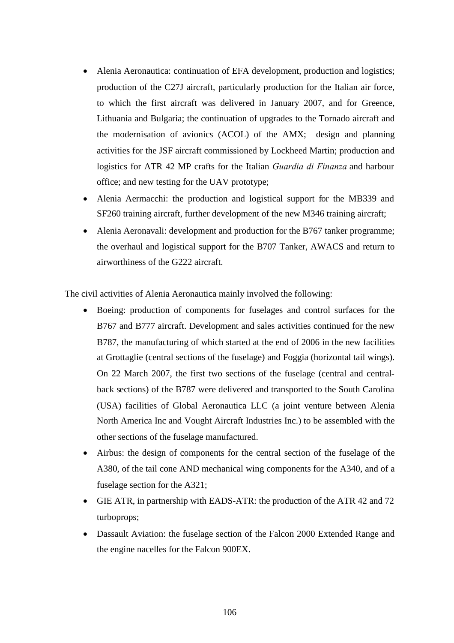- Alenia Aeronautica: continuation of EFA development, production and logistics; production of the C27J aircraft, particularly production for the Italian air force, to which the first aircraft was delivered in January 2007, and for Greence, Lithuania and Bulgaria; the continuation of upgrades to the Tornado aircraft and the modernisation of avionics (ACOL) of the AMX; design and planning activities for the JSF aircraft commissioned by Lockheed Martin; production and logistics for ATR 42 MP crafts for the Italian *Guardia di Finanza* and harbour office; and new testing for the UAV prototype;
- Alenia Aermacchi: the production and logistical support for the MB339 and SF260 training aircraft, further development of the new M346 training aircraft;
- Alenia Aeronavali: development and production for the B767 tanker programme; the overhaul and logistical support for the B707 Tanker, AWACS and return to airworthiness of the G222 aircraft.

The civil activities of Alenia Aeronautica mainly involved the following:

- Boeing: production of components for fuselages and control surfaces for the B767 and B777 aircraft. Development and sales activities continued for the new B787, the manufacturing of which started at the end of 2006 in the new facilities at Grottaglie (central sections of the fuselage) and Foggia (horizontal tail wings). On 22 March 2007, the first two sections of the fuselage (central and centralback sections) of the B787 were delivered and transported to the South Carolina (USA) facilities of Global Aeronautica LLC (a joint venture between Alenia North America Inc and Vought Aircraft Industries Inc.) to be assembled with the other sections of the fuselage manufactured.
- Airbus: the design of components for the central section of the fuselage of the A380, of the tail cone AND mechanical wing components for the A340, and of a fuselage section for the A321;
- GIE ATR, in partnership with EADS-ATR: the production of the ATR 42 and 72 turboprops;
- Dassault Aviation: the fuselage section of the Falcon 2000 Extended Range and the engine nacelles for the Falcon 900EX.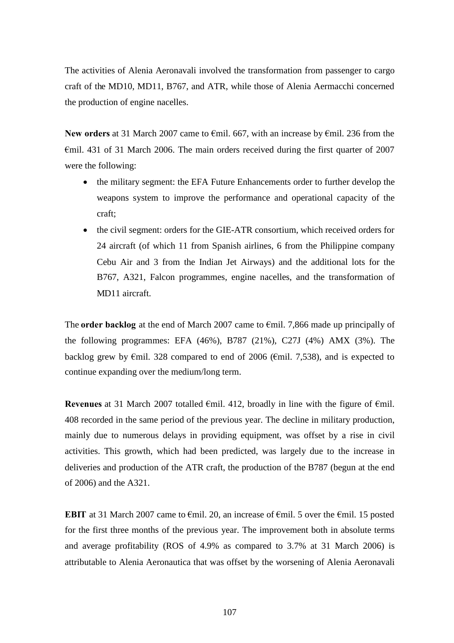The activities of Alenia Aeronavali involved the transformation from passenger to cargo craft of the MD10, MD11, B767, and ATR, while those of Alenia Aermacchi concerned the production of engine nacelles.

**New orders** at 31 March 2007 came to €mil. 667, with an increase by €mil. 236 from the  $\epsilon$ mil. 431 of 31 March 2006. The main orders received during the first quarter of 2007 were the following:

- the military segment: the EFA Future Enhancements order to further develop the weapons system to improve the performance and operational capacity of the craft;
- the civil segment: orders for the GIE-ATR consortium, which received orders for 24 aircraft (of which 11 from Spanish airlines, 6 from the Philippine company Cebu Air and 3 from the Indian Jet Airways) and the additional lots for the B767, A321, Falcon programmes, engine nacelles, and the transformation of MD11 aircraft.

The **order backlog** at the end of March 2007 came to €mil. 7,866 made up principally of the following programmes: EFA (46%), B787 (21%), C27J (4%) AMX (3%). The backlog grew by  $\epsilon$ mil. 328 compared to end of 2006 ( $\epsilon$ mil. 7,538), and is expected to continue expanding over the medium/long term.

**Revenues** at 31 March 2007 totalled €mil. 412, broadly in line with the figure of €mil. 408 recorded in the same period of the previous year. The decline in military production, mainly due to numerous delays in providing equipment, was offset by a rise in civil activities. This growth, which had been predicted, was largely due to the increase in deliveries and production of the ATR craft, the production of the B787 (begun at the end of 2006) and the A321.

**EBIT** at 31 March 2007 came to  $\epsilon$ mil. 20, an increase of  $\epsilon$ mil. 5 over the  $\epsilon$ mil. 15 posted for the first three months of the previous year. The improvement both in absolute terms and average profitability (ROS of 4.9% as compared to 3.7% at 31 March 2006) is attributable to Alenia Aeronautica that was offset by the worsening of Alenia Aeronavali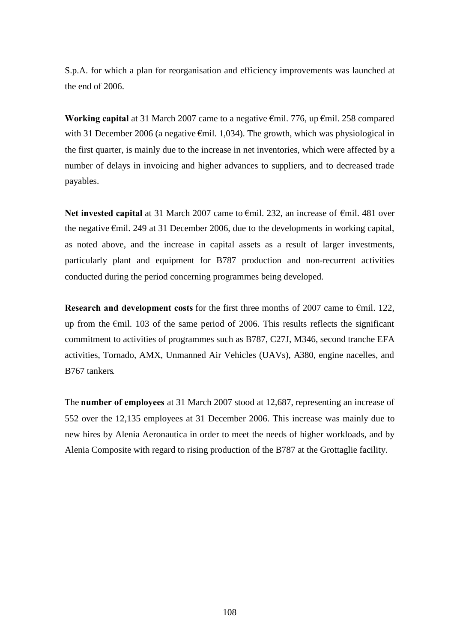S.p.A. for which a plan for reorganisation and efficiency improvements was launched at the end of 2006.

**Working capital** at 31 March 2007 came to a negative €mil. 776, up €mil. 258 compared with 31 December 2006 (a negative  $\epsilon$ mil. 1,034). The growth, which was physiological in the first quarter, is mainly due to the increase in net inventories, which were affected by a number of delays in invoicing and higher advances to suppliers, and to decreased trade payables.

Net invested capital at 31 March 2007 came to €mil. 232, an increase of €mil. 481 over the negative €mil. 249 at 31 December 2006, due to the developments in working capital, as noted above, and the increase in capital assets as a result of larger investments, particularly plant and equipment for B787 production and non-recurrent activities conducted during the period concerning programmes being developed.

**Research and development costs** for the first three months of 2007 came to €mil. 122, up from the €mil. 103 of the same period of 2006. This results reflects the significant commitment to activities of programmes such as B787, C27J, M346, second tranche EFA activities, Tornado, AMX, Unmanned Air Vehicles (UAVs), A380, engine nacelles, and B767 tankers*.*

The **number of employees** at 31 March 2007 stood at 12,687, representing an increase of 552 over the 12,135 employees at 31 December 2006. This increase was mainly due to new hires by Alenia Aeronautica in order to meet the needs of higher workloads, and by Alenia Composite with regard to rising production of the B787 at the Grottaglie facility.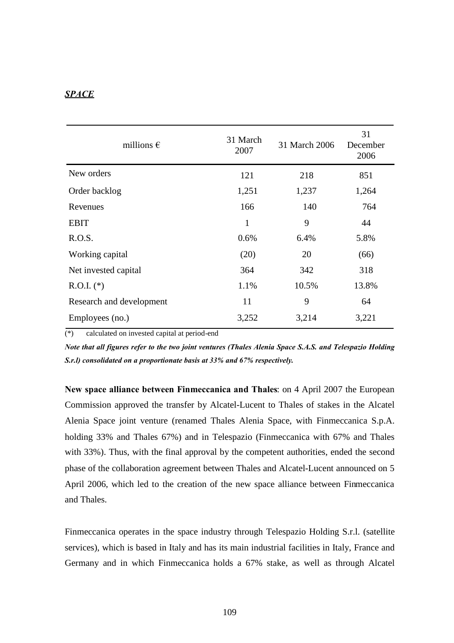# *SPACE*

| millions $\epsilon$      | 31 March<br>2007 | 31 March 2006 | 31<br>December<br>2006 |
|--------------------------|------------------|---------------|------------------------|
| New orders               | 121              | 218           | 851                    |
| Order backlog            | 1,251            | 1,237         | 1,264                  |
| Revenues                 | 166              | 140           | 764                    |
| <b>EBIT</b>              | $\mathbf{1}$     | 9             | 44                     |
| R.O.S.                   | 0.6%             | 6.4%          | 5.8%                   |
| Working capital          | (20)             | 20            | (66)                   |
| Net invested capital     | 364              | 342           | 318                    |
| $R.O.I.$ (*)             | 1.1%             | 10.5%         | 13.8%                  |
| Research and development | 11               | 9             | 64                     |
| Employees (no.)          | 3,252            | 3,214         | 3,221                  |

(\*) calculated on invested capital at period-end

*Note that all figures refer to the two joint ventures (Thales Alenia Space S.A.S. and Telespazio Holding S.r.l) consolidated on a proportionate basis at 33% and 67% respectively.*

**New space alliance between Finmeccanica and Thales**: on 4 April 2007 the European Commission approved the transfer by Alcatel-Lucent to Thales of stakes in the Alcatel Alenia Space joint venture (renamed Thales Alenia Space, with Finmeccanica S.p.A. holding 33% and Thales 67%) and in Telespazio (Finmeccanica with 67% and Thales with 33%). Thus, with the final approval by the competent authorities, ended the second phase of the collaboration agreement between Thales and Alcatel-Lucent announced on 5 April 2006, which led to the creation of the new space alliance between Finmeccanica and Thales.

Finmeccanica operates in the space industry through Telespazio Holding S.r.l. (satellite services), which is based in Italy and has its main industrial facilities in Italy, France and Germany and in which Finmeccanica holds a 67% stake, as well as through Alcatel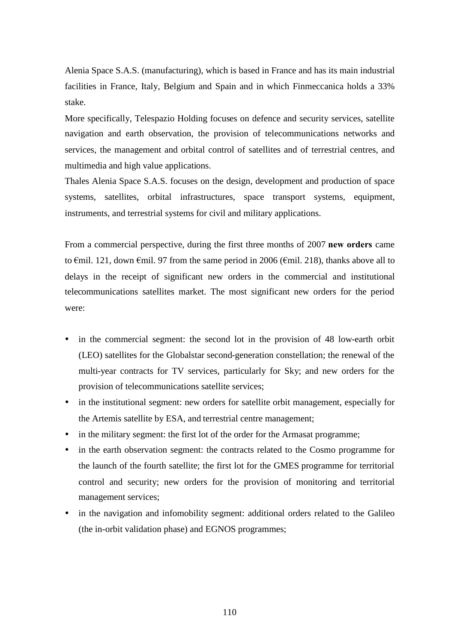Alenia Space S.A.S. (manufacturing), which is based in France and has its main industrial facilities in France, Italy, Belgium and Spain and in which Finmeccanica holds a 33% stake.

More specifically, Telespazio Holding focuses on defence and security services, satellite navigation and earth observation, the provision of telecommunications networks and services, the management and orbital control of satellites and of terrestrial centres, and multimedia and high value applications.

Thales Alenia Space S.A.S. focuses on the design, development and production of space systems, satellites, orbital infrastructures, space transport systems, equipment, instruments, and terrestrial systems for civil and military applications.

From a commercial perspective, during the first three months of 2007 **new orders** came to €mil. 121, down €mil. 97 from the same period in 2006 (€mil. 218), thanks above all to delays in the receipt of significant new orders in the commercial and institutional telecommunications satellites market. The most significant new orders for the period were:

- in the commercial segment: the second lot in the provision of 48 low-earth orbit (LEO) satellites for the Globalstar second-generation constellation; the renewal of the multi-year contracts for TV services, particularly for Sky; and new orders for the provision of telecommunications satellite services;
- in the institutional segment: new orders for satellite orbit management, especially for the Artemis satellite by ESA, and terrestrial centre management;
- in the military segment: the first lot of the order for the Armasat programme;
- in the earth observation segment: the contracts related to the Cosmo programme for the launch of the fourth satellite; the first lot for the GMES programme for territorial control and security; new orders for the provision of monitoring and territorial management services;
- in the navigation and infomobility segment: additional orders related to the Galileo (the in-orbit validation phase) and EGNOS programmes;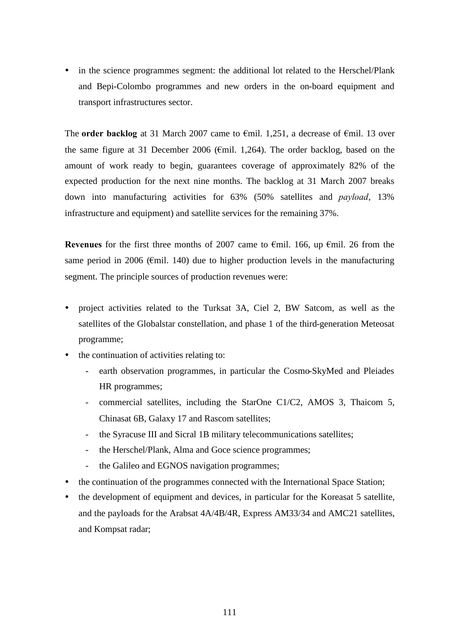• in the science programmes segment: the additional lot related to the Herschel/Plank and Bepi-Colombo programmes and new orders in the on-board equipment and transport infrastructures sector.

The **order backlog** at 31 March 2007 came to €mil. 1,251, a decrease of €mil. 13 over the same figure at 31 December 2006 ( $\epsilon$ mil. 1,264). The order backlog, based on the amount of work ready to begin, guarantees coverage of approximately 82% of the expected production for the next nine months. The backlog at 31 March 2007 breaks down into manufacturing activities for 63% (50% satellites and *payload*, 13% infrastructure and equipment) and satellite services for the remaining 37%.

**Revenues** for the first three months of 2007 came to €mil. 166, up €mil. 26 from the same period in 2006 ( $\epsilon$ mil. 140) due to higher production levels in the manufacturing segment. The principle sources of production revenues were:

- project activities related to the Turksat 3A, Ciel 2, BW Satcom, as well as the satellites of the Globalstar constellation, and phase 1 of the third-generation Meteosat programme;
- the continuation of activities relating to:
	- earth observation programmes, in particular the Cosmo-SkyMed and Pleiades HR programmes;
	- commercial satellites, including the StarOne C1/C2, AMOS 3, Thaicom 5, Chinasat 6B, Galaxy 17 and Rascom satellites;
	- the Syracuse III and Sicral 1B military telecommunications satellites;
	- the Herschel/Plank, Alma and Goce science programmes;
	- the Galileo and EGNOS navigation programmes;
- the continuation of the programmes connected with the International Space Station;
- the development of equipment and devices, in particular for the Koreasat 5 satellite, and the payloads for the Arabsat 4A/4B/4R, Express AM33/34 and AMC21 satellites, and Kompsat radar;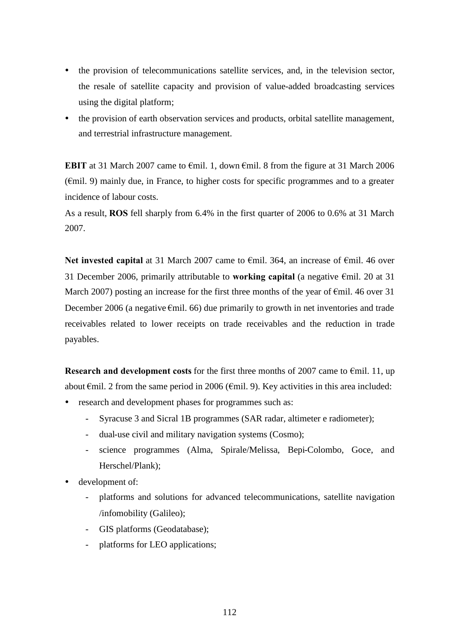- the provision of telecommunications satellite services, and, in the television sector, the resale of satellite capacity and provision of value-added broadcasting services using the digital platform;
- the provision of earth observation services and products, orbital satellite management, and terrestrial infrastructure management.

**EBIT** at 31 March 2007 came to €mil. 1, down €mil. 8 from the figure at 31 March 2006 (€mil. 9) mainly due, in France, to higher costs for specific programmes and to a greater incidence of labour costs.

As a result, **ROS** fell sharply from 6.4% in the first quarter of 2006 to 0.6% at 31 March 2007.

Net invested capital at 31 March 2007 came to €mil. 364, an increase of €mil. 46 over 31 December 2006, primarily attributable to **working capital** (a negative €mil. 20 at 31 March 2007) posting an increase for the first three months of the year of  $\epsilon$ mil. 46 over 31 December 2006 (a negative  $\epsilon$ mil. 66) due primarily to growth in net inventories and trade receivables related to lower receipts on trade receivables and the reduction in trade payables.

**Research and development costs** for the first three months of 2007 came to €mil. 11, up about  $\epsilon$ mil. 2 from the same period in 2006 ( $\epsilon$ mil. 9). Key activities in this area included:

- research and development phases for programmes such as:
	- Syracuse 3 and Sicral 1B programmes (SAR radar, altimeter e radiometer);
	- dual-use civil and military navigation systems (Cosmo);
	- science programmes (Alma, Spirale/Melissa, Bepi-Colombo, Goce, and Herschel/Plank);
- development of:
	- platforms and solutions for advanced telecommunications, satellite navigation /infomobility (Galileo);
	- GIS platforms (Geodatabase);
	- platforms for LEO applications;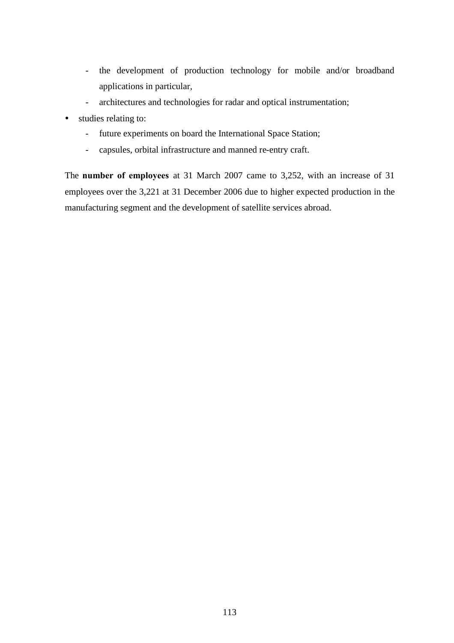- the development of production technology for mobile and/or broadband applications in particular,
- architectures and technologies for radar and optical instrumentation;
- studies relating to:
	- future experiments on board the International Space Station;
	- capsules, orbital infrastructure and manned re-entry craft.

The **number of employees** at 31 March 2007 came to 3,252, with an increase of 31 employees over the 3,221 at 31 December 2006 due to higher expected production in the manufacturing segment and the development of satellite services abroad.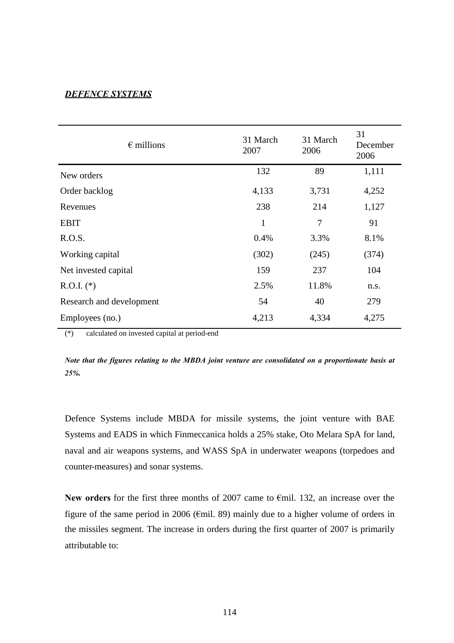### *DEFENCE SYSTEMS*

| $\epsilon$ millions      | 31 March<br>2007 | 31 March<br>2006 | 31<br>December<br>2006 |
|--------------------------|------------------|------------------|------------------------|
| New orders               | 132              | 89               | 1,111                  |
| Order backlog            | 4,133            | 3,731            | 4,252                  |
| Revenues                 | 238              | 214              | 1,127                  |
| <b>EBIT</b>              | $\mathbf{1}$     | 7                | 91                     |
| R.O.S.                   | 0.4%             | 3.3%             | 8.1%                   |
| Working capital          | (302)            | (245)            | (374)                  |
| Net invested capital     | 159              | 237              | 104                    |
| $R.O.I.$ (*)             | 2.5%             | 11.8%            | n.s.                   |
| Research and development | 54               | 40               | 279                    |
| Employees (no.)          | 4,213            | 4,334            | 4,275                  |

(\*) calculated on invested capital at period-end

*Note that the figures relating to the MBDA joint venture are consolidated on a proportionate basis at 25%.*

Defence Systems include MBDA for missile systems, the joint venture with BAE Systems and EADS in which Finmeccanica holds a 25% stake, Oto Melara SpA for land, naval and air weapons systems, and WASS SpA in underwater weapons (torpedoes and counter-measures) and sonar systems.

**New orders** for the first three months of 2007 came to €mil. 132, an increase over the figure of the same period in 2006 (€mil. 89) mainly due to a higher volume of orders in the missiles segment. The increase in orders during the first quarter of 2007 is primarily attributable to: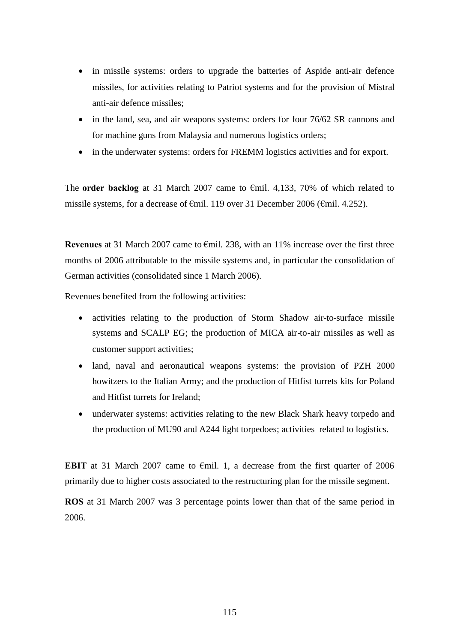- in missile systems: orders to upgrade the batteries of Aspide anti-air defence missiles, for activities relating to Patriot systems and for the provision of Mistral anti-air defence missiles;
- in the land, sea, and air weapons systems: orders for four 76/62 SR cannons and for machine guns from Malaysia and numerous logistics orders;
- in the underwater systems: orders for FREMM logistics activities and for export.

The **order backlog** at 31 March 2007 came to €mil. 4,133, 70% of which related to missile systems, for a decrease of €mil. 119 over 31 December 2006 (€mil. 4.252).

**Revenues** at 31 March 2007 came to €mil. 238, with an 11% increase over the first three months of 2006 attributable to the missile systems and, in particular the consolidation of German activities (consolidated since 1 March 2006).

Revenues benefited from the following activities:

- activities relating to the production of Storm Shadow air-to-surface missile systems and SCALP EG; the production of MICA air-to-air missiles as well as customer support activities;
- land, naval and aeronautical weapons systems: the provision of PZH 2000 howitzers to the Italian Army; and the production of Hitfist turrets kits for Poland and Hitfist turrets for Ireland;
- underwater systems: activities relating to the new Black Shark heavy torpedo and the production of MU90 and A244 light torpedoes; activities related to logistics.

**EBIT** at 31 March 2007 came to €mil. 1, a decrease from the first quarter of 2006 primarily due to higher costs associated to the restructuring plan for the missile segment.

**ROS** at 31 March 2007 was 3 percentage points lower than that of the same period in 2006.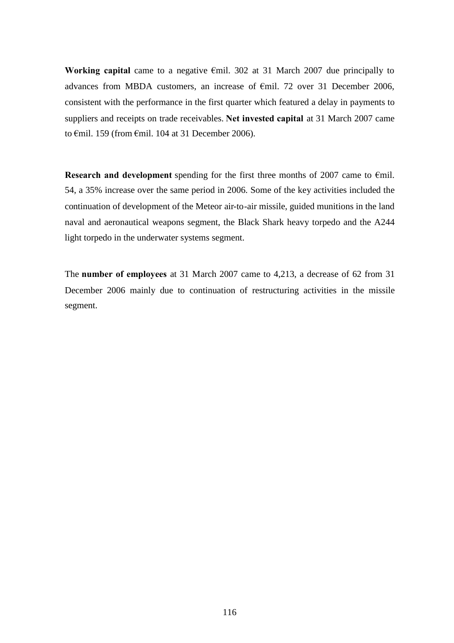**Working capital** came to a negative €mil. 302 at 31 March 2007 due principally to advances from MBDA customers, an increase of €mil. 72 over 31 December 2006, consistent with the performance in the first quarter which featured a delay in payments to suppliers and receipts on trade receivables. **Net invested capital** at 31 March 2007 came to €mil. 159 (from €mil. 104 at 31 December 2006).

**Research and development** spending for the first three months of 2007 came to €mil. 54, a 35% increase over the same period in 2006. Some of the key activities included the continuation of development of the Meteor air-to-air missile, guided munitions in the land naval and aeronautical weapons segment, the Black Shark heavy torpedo and the A244 light torpedo in the underwater systems segment.

The **number of employees** at 31 March 2007 came to 4,213, a decrease of 62 from 31 December 2006 mainly due to continuation of restructuring activities in the missile segment.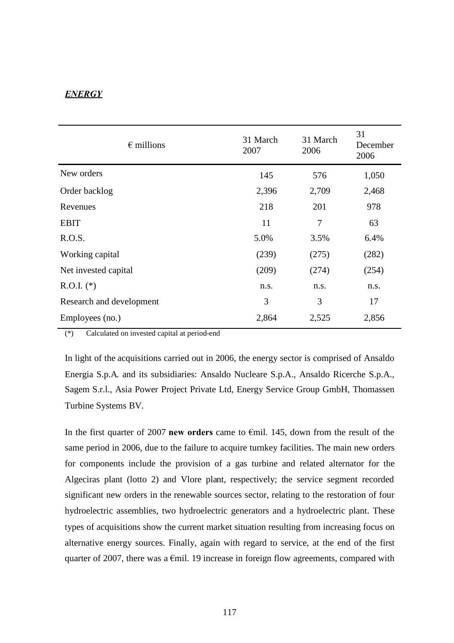# *ENERGY*

| $\epsilon$ millions      | 31 March<br>2007 | 31 March<br>2006 | 31<br>December<br>2006 |
|--------------------------|------------------|------------------|------------------------|
| New orders               | 145              | 576              | 1,050                  |
| Order backlog            | 2,396            | 2,709            | 2,468                  |
| Revenues                 | 218              | 201              | 978                    |
| <b>EBIT</b>              | 11               | 7                | 63                     |
| R.O.S.                   | 5.0%             | 3.5%             | 6.4%                   |
| Working capital          | (239)            | (275)            | (282)                  |
| Net invested capital     | (209)            | (274)            | (254)                  |
| $R.O.I.$ (*)             | n.s.             | n.s.             | n.s.                   |
| Research and development | 3                | 3                | 17                     |
| Employees (no.)          | 2,864            | 2,525            | 2,856                  |

(\*) Calculated on invested capital at period-end

In light of the acquisitions carried out in 2006, the energy sector is comprised of Ansaldo Energia S.p.A. and its subsidiaries: Ansaldo Nucleare S.p.A., Ansaldo Ricerche S.p.A., Sagem S.r.l., Asia Power Project Private Ltd, Energy Service Group GmbH, Thomassen Turbine Systems BV.

In the first quarter of 2007 **new orders** came to €mil. 145, down from the result of the same period in 2006, due to the failure to acquire turnkey facilities. The main new orders for components include the provision of a gas turbine and related alternator for the Algeciras plant (lotto 2) and Vlore plant, respectively; the service segment recorded significant new orders in the renewable sources sector, relating to the restoration of four hydroelectric assemblies, two hydroelectric generators and a hydroelectric plant. These types of acquisitions show the current market situation resulting from increasing focus on alternative energy sources. Finally, again with regard to service, at the end of the first quarter of 2007, there was a  $\epsilon$ mil. 19 increase in foreign flow agreements, compared with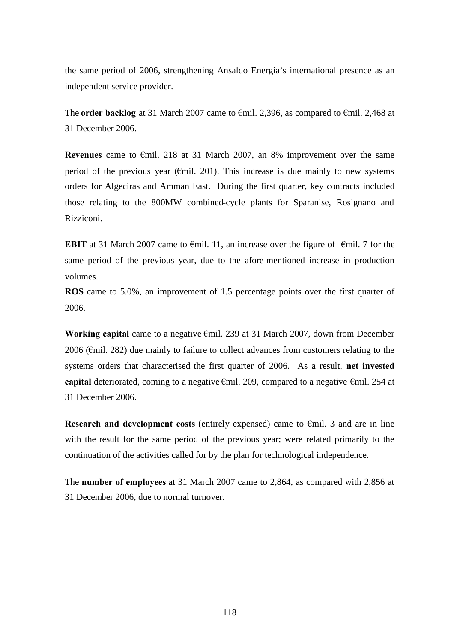the same period of 2006, strengthening Ansaldo Energia's international presence as an independent service provider.

The **order backlog** at 31 March 2007 came to €mil. 2,396, as compared to €mil. 2,468 at 31 December 2006.

**Revenues** came to €mil. 218 at 31 March 2007, an 8% improvement over the same period of the previous year ( $\epsilon$ mil. 201). This increase is due mainly to new systems orders for Algeciras and Amman East. During the first quarter, key contracts included those relating to the 800MW combined-cycle plants for Sparanise, Rosignano and Rizziconi.

**EBIT** at 31 March 2007 came to  $\epsilon$ mil. 11, an increase over the figure of  $\epsilon$ mil. 7 for the same period of the previous year, due to the afore-mentioned increase in production volumes.

**ROS** came to 5.0%, an improvement of 1.5 percentage points over the first quarter of 2006.

**Working capital** came to a negative €mil. 239 at 31 March 2007, down from December 2006 (€mil. 282) due mainly to failure to collect advances from customers relating to the systems orders that characterised the first quarter of 2006. As a result, **net invested capital** deteriorated, coming to a negative €mil. 209, compared to a negative €mil. 254 at 31 December 2006.

**Research and development costs** (entirely expensed) came to €mil. 3 and are in line with the result for the same period of the previous year; were related primarily to the continuation of the activities called for by the plan for technological independence.

The **number of employees** at 31 March 2007 came to 2,864, as compared with 2,856 at 31 December 2006, due to normal turnover.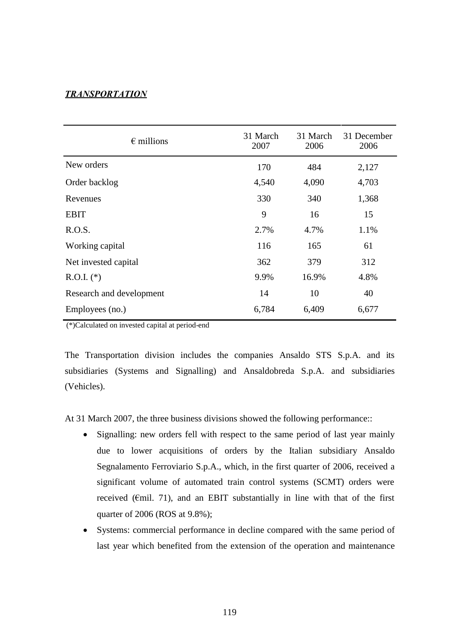### *TRANSPORTATION*

| $\epsilon$ millions      | 31 March<br>2007 | 31 March<br>2006 | 31 December<br>2006 |
|--------------------------|------------------|------------------|---------------------|
| New orders               | 170              | 484              | 2,127               |
| Order backlog            | 4,540            | 4,090            | 4,703               |
| Revenues                 | 330              | 340              | 1,368               |
| <b>EBIT</b>              | 9                | 16               | 15                  |
| R.O.S.                   | 2.7%             | 4.7%             | 1.1%                |
| Working capital          | 116              | 165              | 61                  |
| Net invested capital     | 362              | 379              | 312                 |
| $R.O.I.$ (*)             | 9.9%             | 16.9%            | 4.8%                |
| Research and development | 14               | 10               | 40                  |
| Employees (no.)          | 6,784            | 6,409            | 6,677               |

(\*)Calculated on invested capital at period-end

The Transportation division includes the companies Ansaldo STS S.p.A. and its subsidiaries (Systems and Signalling) and Ansaldobreda S.p.A. and subsidiaries (Vehicles).

At 31 March 2007, the three business divisions showed the following performance::

- Signalling: new orders fell with respect to the same period of last year mainly due to lower acquisitions of orders by the Italian subsidiary Ansaldo Segnalamento Ferroviario S.p.A., which, in the first quarter of 2006, received a significant volume of automated train control systems (SCMT) orders were received ( $\epsilon$ mil. 71), and an EBIT substantially in line with that of the first quarter of 2006 (ROS at 9.8%);
- Systems: commercial performance in decline compared with the same period of last year which benefited from the extension of the operation and maintenance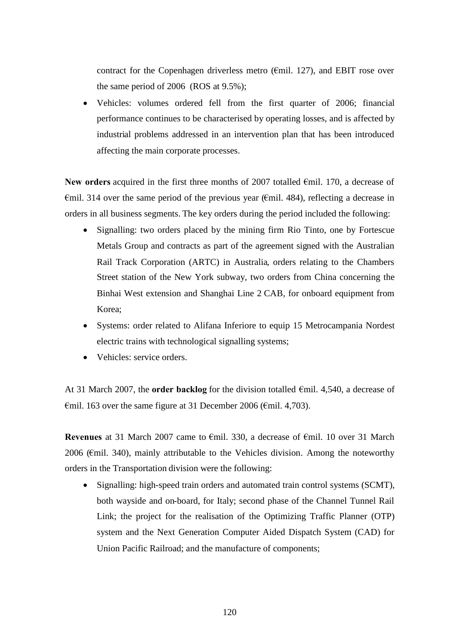contract for the Copenhagen driverless metro ( $\epsilon$ mil. 127), and EBIT rose over the same period of 2006 (ROS at 9.5%);

 Vehicles: volumes ordered fell from the first quarter of 2006; financial performance continues to be characterised by operating losses, and is affected by industrial problems addressed in an intervention plan that has been introduced affecting the main corporate processes.

**New orders** acquired in the first three months of 2007 totalled €mil. 170, a decrease of  $\epsilon$ mil. 314 over the same period of the previous year ( $\epsilon$ mil. 484), reflecting a decrease in orders in all business segments. The key orders during the period included the following:

- Signalling: two orders placed by the mining firm Rio Tinto, one by Fortescue Metals Group and contracts as part of the agreement signed with the Australian Rail Track Corporation (ARTC) in Australia, orders relating to the Chambers Street station of the New York subway, two orders from China concerning the Binhai West extension and Shanghai Line 2 CAB, for onboard equipment from Korea;
- Systems: order related to Alifana Inferiore to equip 15 Metrocampania Nordest electric trains with technological signalling systems;
- Vehicles: service orders.

At 31 March 2007, the **order backlog** for the division totalled €mil. 4,540, a decrease of €mil. 163 over the same figure at 31 December 2006 (€mil. 4,703).

**Revenues** at 31 March 2007 came to €mil. 330, a decrease of €mil. 10 over 31 March 2006 (€mil. 340), mainly attributable to the Vehicles division. Among the noteworthy orders in the Transportation division were the following:

• Signalling: high-speed train orders and automated train control systems (SCMT), both wayside and on-board, for Italy; second phase of the Channel Tunnel Rail Link; the project for the realisation of the Optimizing Traffic Planner (OTP) system and the Next Generation Computer Aided Dispatch System (CAD) for Union Pacific Railroad; and the manufacture of components;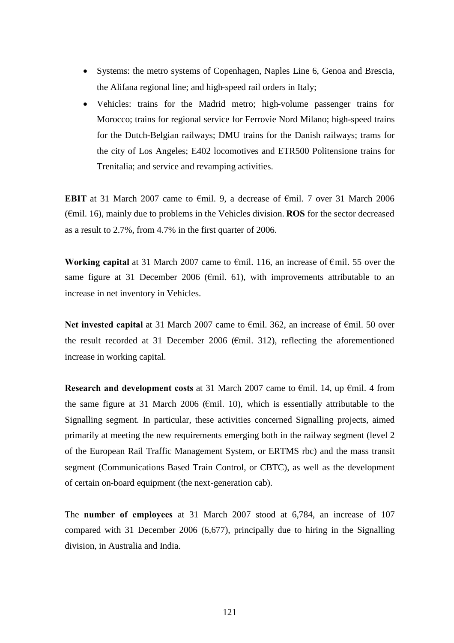- Systems: the metro systems of Copenhagen, Naples Line 6, Genoa and Brescia, the Alifana regional line; and high-speed rail orders in Italy;
- Vehicles: trains for the Madrid metro; high-volume passenger trains for Morocco; trains for regional service for Ferrovie Nord Milano; high-speed trains for the Dutch-Belgian railways; DMU trains for the Danish railways; trams for the city of Los Angeles; E402 locomotives and ETR500 Politensione trains for Trenitalia; and service and revamping activities.

**EBIT** at 31 March 2007 came to €mil. 9, a decrease of €mil. 7 over 31 March 2006 (€mil. 16), mainly due to problems in the Vehicles division. **ROS** for the sector decreased as a result to 2.7%, from 4.7% in the first quarter of 2006.

**Working capital** at 31 March 2007 came to €mil. 116, an increase of €mil. 55 over the same figure at 31 December 2006 ( $\epsilon$ mil. 61), with improvements attributable to an increase in net inventory in Vehicles.

Net invested capital at 31 March 2007 came to €mil. 362, an increase of €mil. 50 over the result recorded at 31 December 2006 ( $\epsilon$ mil. 312), reflecting the aforementioned increase in working capital.

**Research and development costs** at 31 March 2007 came to €mil. 14, up €mil. 4 from the same figure at 31 March 2006 ( $\epsilon$ mil. 10), which is essentially attributable to the Signalling segment. In particular, these activities concerned Signalling projects, aimed primarily at meeting the new requirements emerging both in the railway segment (level 2 of the European Rail Traffic Management System, or ERTMS rbc) and the mass transit segment (Communications Based Train Control, or CBTC), as well as the development of certain on-board equipment (the next-generation cab).

The **number of employees** at 31 March 2007 stood at 6,784, an increase of 107 compared with 31 December 2006 (6,677), principally due to hiring in the Signalling division, in Australia and India.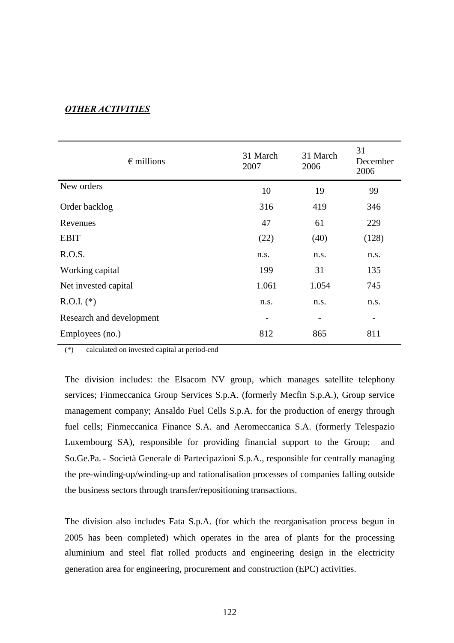# *OTHER ACTIVITIES*

| $\epsilon$ millions      | 31 March<br>2007 | 31 March<br>2006 | 31<br>December<br>2006 |
|--------------------------|------------------|------------------|------------------------|
| New orders               | 10               | 19               | 99                     |
| Order backlog            | 316              | 419              | 346                    |
| Revenues                 | 47               | 61               | 229                    |
| <b>EBIT</b>              | (22)             | (40)             | (128)                  |
| R.O.S.                   | n.s.             | n.s.             | n.s.                   |
| Working capital          | 199              | 31               | 135                    |
| Net invested capital     | 1.061            | 1.054            | 745                    |
| $R.O.I.$ (*)             | n.s.             | n.s.             | n.s.                   |
| Research and development |                  |                  | -                      |
| Employees (no.)          | 812              | 865              | 811                    |

(\*) calculated on invested capital at period-end

The division includes: the Elsacom NV group, which manages satellite telephony services; Finmeccanica Group Services S.p.A. (formerly Mecfin S.p.A.), Group service management company; Ansaldo Fuel Cells S.p.A. for the production of energy through fuel cells; Finmeccanica Finance S.A. and Aeromeccanica S.A. (formerly Telespazio Luxembourg SA), responsible for providing financial support to the Group; and So.Ge.Pa. - Società Generale di Partecipazioni S.p.A., responsible for centrally managing the pre-winding-up/winding-up and rationalisation processes of companies falling outside the business sectors through transfer/repositioning transactions.

The division also includes Fata S.p.A. (for which the reorganisation process begun in 2005 has been completed) which operates in the area of plants for the processing aluminium and steel flat rolled products and engineering design in the electricity generation area for engineering, procurement and construction (EPC) activities.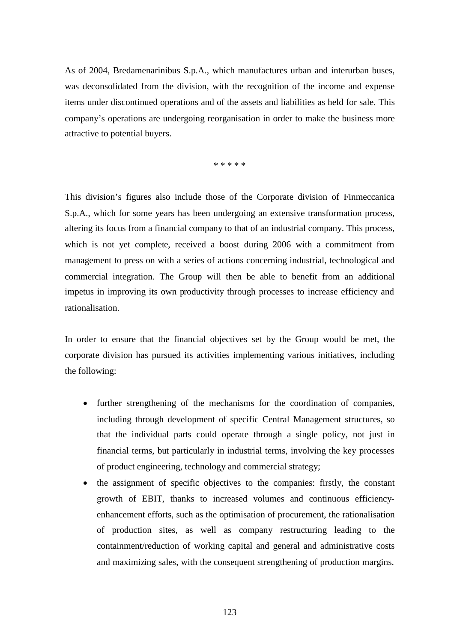As of 2004, Bredamenarinibus S.p.A., which manufactures urban and interurban buses, was deconsolidated from the division, with the recognition of the income and expense items under discontinued operations and of the assets and liabilities as held for sale. This company's operations are undergoing reorganisation in order to make the business more attractive to potential buyers.

\* \* \* \* \*

This division's figures also include those of the Corporate division of Finmeccanica S.p.A., which for some years has been undergoing an extensive transformation process, altering its focus from a financial company to that of an industrial company. This process, which is not yet complete, received a boost during 2006 with a commitment from management to press on with a series of actions concerning industrial, technological and commercial integration. The Group will then be able to benefit from an additional impetus in improving its own productivity through processes to increase efficiency and rationalisation.

In order to ensure that the financial objectives set by the Group would be met, the corporate division has pursued its activities implementing various initiatives, including the following:

- further strengthening of the mechanisms for the coordination of companies, including through development of specific Central Management structures, so that the individual parts could operate through a single policy, not just in financial terms, but particularly in industrial terms, involving the key processes of product engineering, technology and commercial strategy;
- the assignment of specific objectives to the companies: firstly, the constant growth of EBIT, thanks to increased volumes and continuous efficiencyenhancement efforts, such as the optimisation of procurement, the rationalisation of production sites, as well as company restructuring leading to the containment/reduction of working capital and general and administrative costs and maximizing sales, with the consequent strengthening of production margins.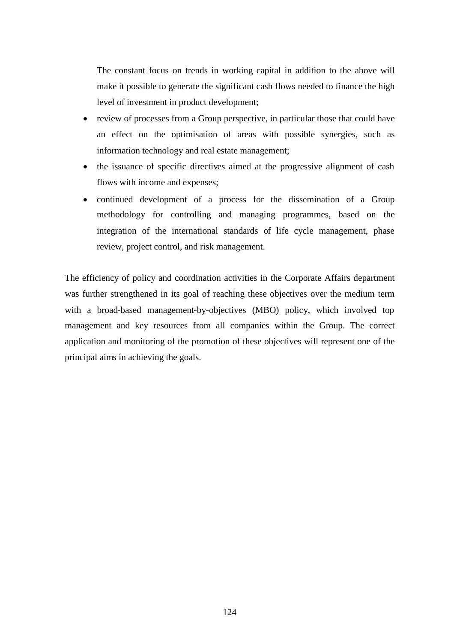The constant focus on trends in working capital in addition to the above will make it possible to generate the significant cash flows needed to finance the high level of investment in product development;

- review of processes from a Group perspective, in particular those that could have an effect on the optimisation of areas with possible synergies, such as information technology and real estate management;
- the issuance of specific directives aimed at the progressive alignment of cash flows with income and expenses;
- continued development of a process for the dissemination of a Group methodology for controlling and managing programmes, based on the integration of the international standards of life cycle management, phase review, project control, and risk management.

The efficiency of policy and coordination activities in the Corporate Affairs department was further strengthened in its goal of reaching these objectives over the medium term with a broad-based management-by-objectives (MBO) policy, which involved top management and key resources from all companies within the Group. The correct application and monitoring of the promotion of these objectives will represent one of the principal aims in achieving the goals.